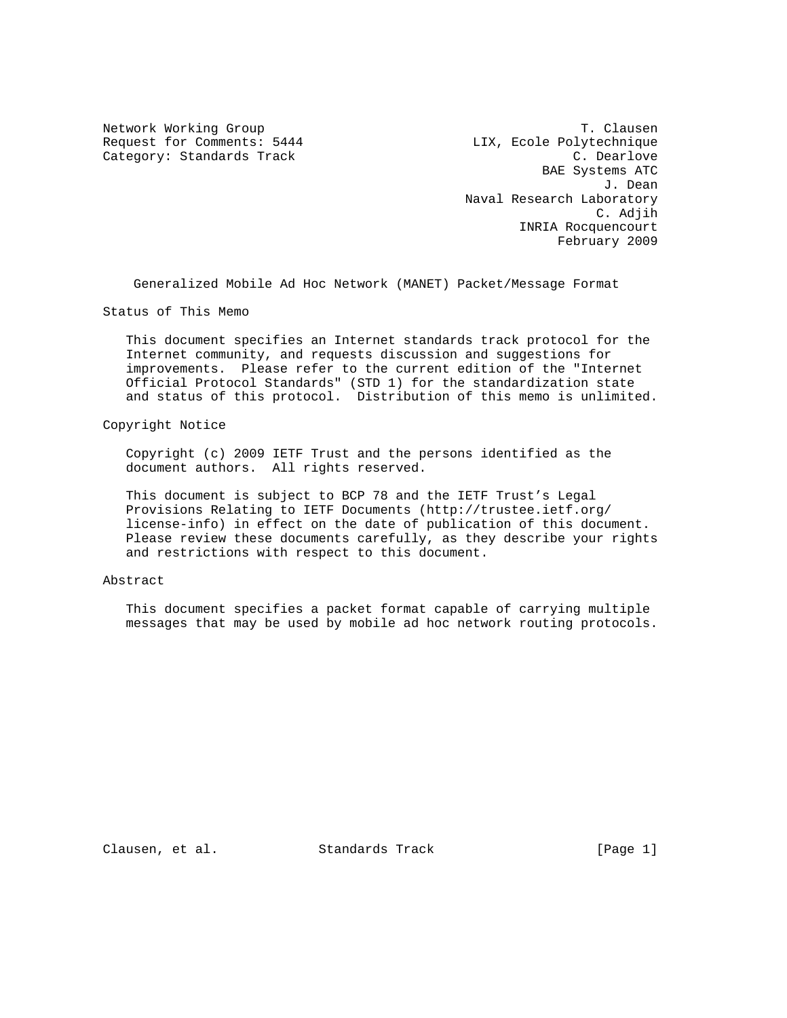Request for Comments: 5444 LIX, Ecole Polytechnique Category: Standards Track C. Dearlove

Network Working Group T. Clausen BAE Systems ATC J. Dean Naval Research Laboratory C. Adjih INRIA Rocquencourt February 2009

Generalized Mobile Ad Hoc Network (MANET) Packet/Message Format

Status of This Memo

 This document specifies an Internet standards track protocol for the Internet community, and requests discussion and suggestions for improvements. Please refer to the current edition of the "Internet Official Protocol Standards" (STD 1) for the standardization state and status of this protocol. Distribution of this memo is unlimited.

#### Copyright Notice

 Copyright (c) 2009 IETF Trust and the persons identified as the document authors. All rights reserved.

 This document is subject to BCP 78 and the IETF Trust's Legal Provisions Relating to IETF Documents (http://trustee.ietf.org/ license-info) in effect on the date of publication of this document. Please review these documents carefully, as they describe your rights and restrictions with respect to this document.

### Abstract

 This document specifies a packet format capable of carrying multiple messages that may be used by mobile ad hoc network routing protocols.

Clausen, et al. Standards Track [Page 1]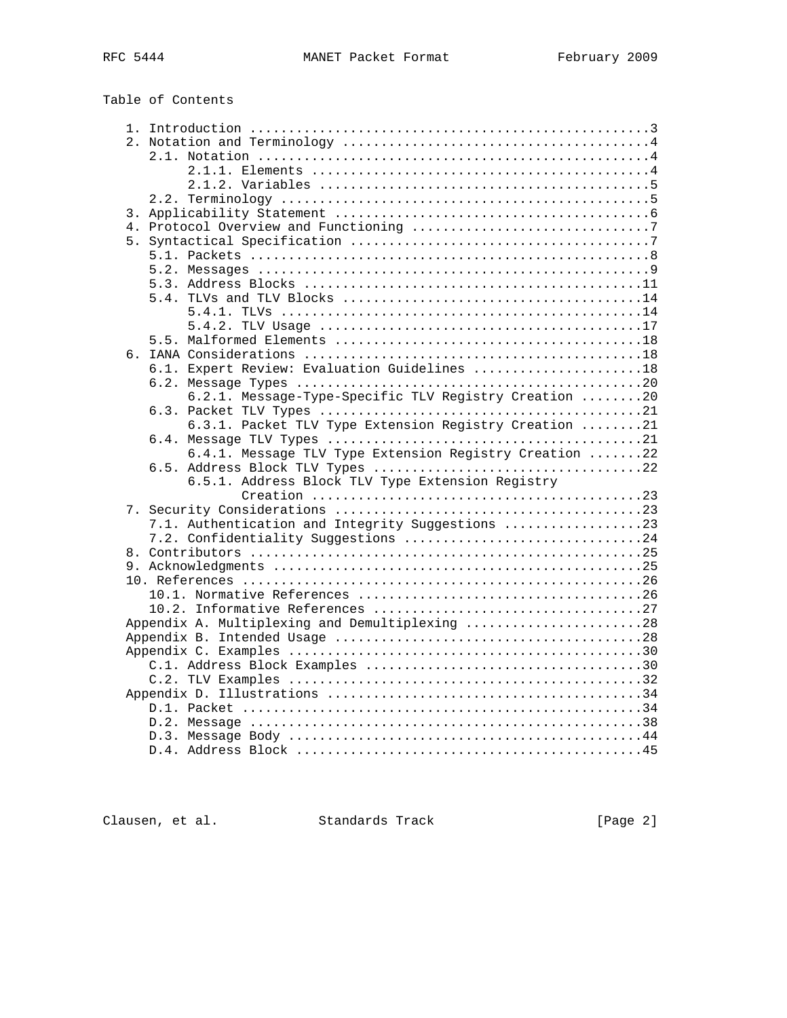| Table of Contents |  |
|-------------------|--|
|-------------------|--|

| 6.1. Expert Review: Evaluation Guidelines 18           |  |
|--------------------------------------------------------|--|
|                                                        |  |
| 6.2.1. Message-Type-Specific TLV Registry Creation 20  |  |
|                                                        |  |
| 6.3.1. Packet TLV Type Extension Registry Creation 21  |  |
|                                                        |  |
| 6.4.1. Message TLV Type Extension Registry Creation 22 |  |
|                                                        |  |
| 6.5.1. Address Block TLV Type Extension Registry       |  |
|                                                        |  |
|                                                        |  |
| 7.1. Authentication and Integrity Suggestions 23       |  |
| 7.2. Confidentiality Suggestions 24                    |  |
|                                                        |  |
|                                                        |  |
|                                                        |  |
|                                                        |  |
| Appendix A. Multiplexing and Demultiplexing 28         |  |
|                                                        |  |
|                                                        |  |
|                                                        |  |
|                                                        |  |
|                                                        |  |
|                                                        |  |
|                                                        |  |
|                                                        |  |
|                                                        |  |
|                                                        |  |

Clausen, et al. Standards Track [Page 2]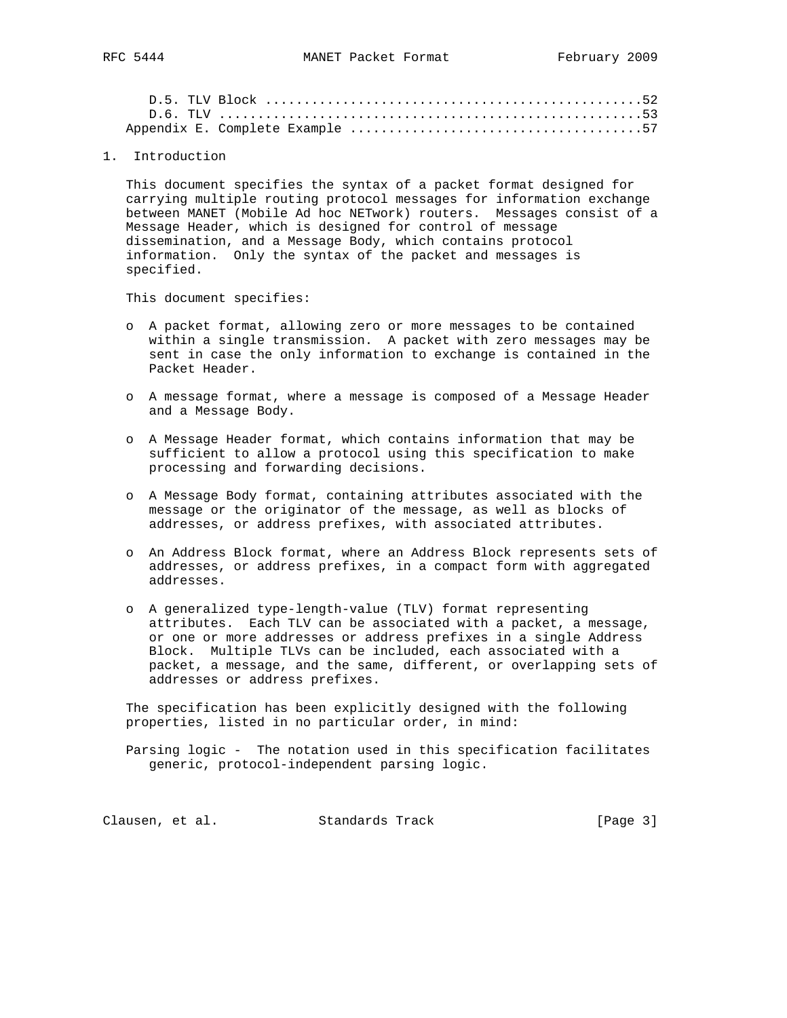1. Introduction

 This document specifies the syntax of a packet format designed for carrying multiple routing protocol messages for information exchange between MANET (Mobile Ad hoc NETwork) routers. Messages consist of a Message Header, which is designed for control of message dissemination, and a Message Body, which contains protocol information. Only the syntax of the packet and messages is specified.

This document specifies:

- o A packet format, allowing zero or more messages to be contained within a single transmission. A packet with zero messages may be sent in case the only information to exchange is contained in the Packet Header.
- o A message format, where a message is composed of a Message Header and a Message Body.
- o A Message Header format, which contains information that may be sufficient to allow a protocol using this specification to make processing and forwarding decisions.
- o A Message Body format, containing attributes associated with the message or the originator of the message, as well as blocks of addresses, or address prefixes, with associated attributes.
- o An Address Block format, where an Address Block represents sets of addresses, or address prefixes, in a compact form with aggregated addresses.
- o A generalized type-length-value (TLV) format representing attributes. Each TLV can be associated with a packet, a message, or one or more addresses or address prefixes in a single Address Block. Multiple TLVs can be included, each associated with a packet, a message, and the same, different, or overlapping sets of addresses or address prefixes.

 The specification has been explicitly designed with the following properties, listed in no particular order, in mind:

 Parsing logic - The notation used in this specification facilitates generic, protocol-independent parsing logic.

Clausen, et al. Standards Track [Page 3]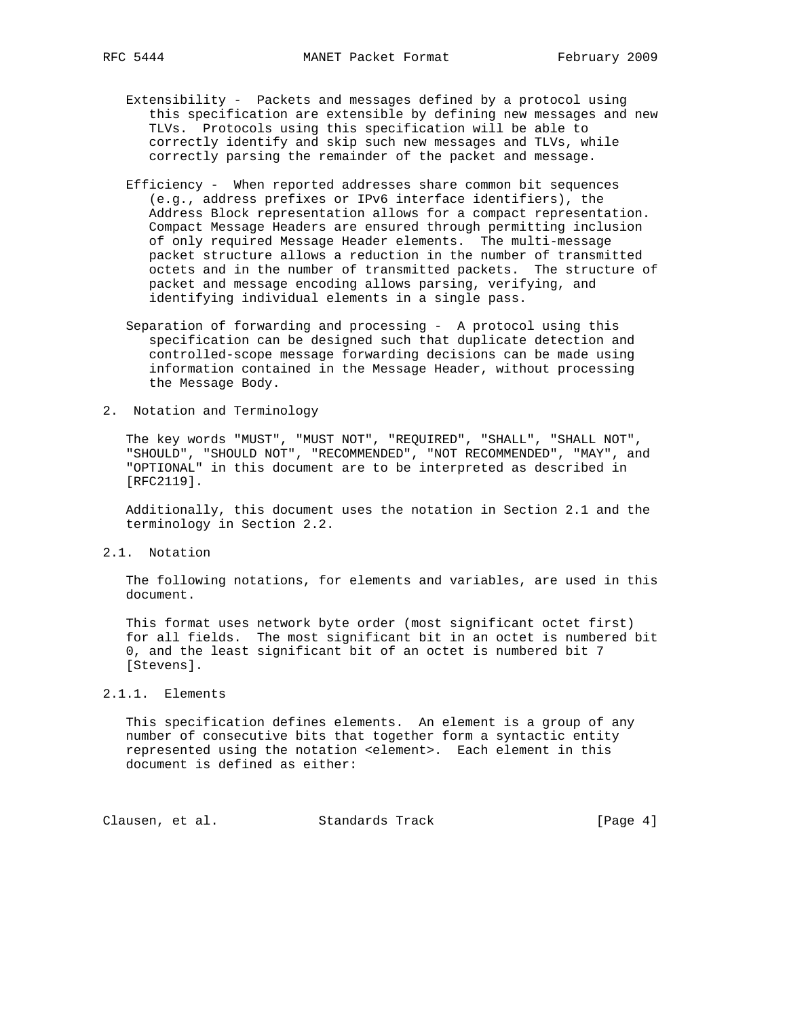- Extensibility Packets and messages defined by a protocol using this specification are extensible by defining new messages and new TLVs. Protocols using this specification will be able to correctly identify and skip such new messages and TLVs, while correctly parsing the remainder of the packet and message.
- Efficiency When reported addresses share common bit sequences (e.g., address prefixes or IPv6 interface identifiers), the Address Block representation allows for a compact representation. Compact Message Headers are ensured through permitting inclusion of only required Message Header elements. The multi-message packet structure allows a reduction in the number of transmitted octets and in the number of transmitted packets. The structure of packet and message encoding allows parsing, verifying, and identifying individual elements in a single pass.
- Separation of forwarding and processing A protocol using this specification can be designed such that duplicate detection and controlled-scope message forwarding decisions can be made using information contained in the Message Header, without processing the Message Body.
- 2. Notation and Terminology

 The key words "MUST", "MUST NOT", "REQUIRED", "SHALL", "SHALL NOT", "SHOULD", "SHOULD NOT", "RECOMMENDED", "NOT RECOMMENDED", "MAY", and "OPTIONAL" in this document are to be interpreted as described in [RFC2119].

 Additionally, this document uses the notation in Section 2.1 and the terminology in Section 2.2.

2.1. Notation

 The following notations, for elements and variables, are used in this document.

 This format uses network byte order (most significant octet first) for all fields. The most significant bit in an octet is numbered bit 0, and the least significant bit of an octet is numbered bit 7 [Stevens].

### 2.1.1. Elements

 This specification defines elements. An element is a group of any number of consecutive bits that together form a syntactic entity represented using the notation <element>. Each element in this document is defined as either:

Clausen, et al. Standards Track [Page 4]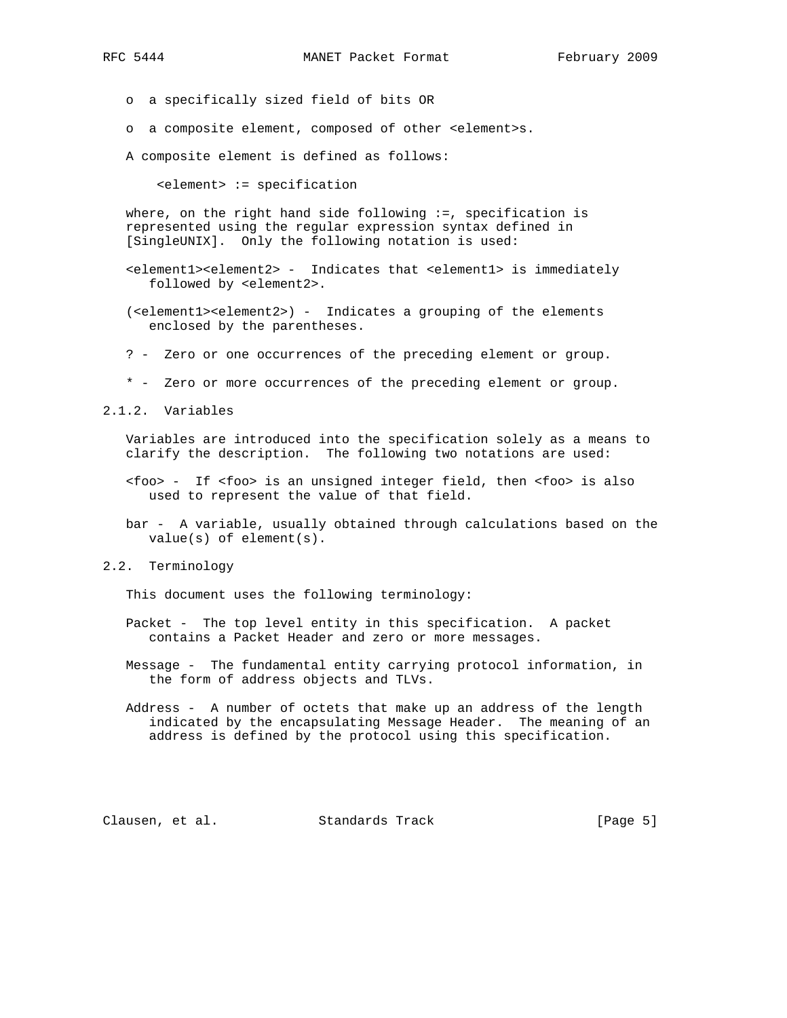o a specifically sized field of bits OR

o a composite element, composed of other <element>s.

A composite element is defined as follows:

<element> := specification

where, on the right hand side following  $:=$ , specification is represented using the regular expression syntax defined in [SingleUNIX]. Only the following notation is used:

- <element1><element2> Indicates that <element1> is immediately followed by <element2>.
- (<element1><element2>) Indicates a grouping of the elements enclosed by the parentheses.
- ? Zero or one occurrences of the preceding element or group.
- \* Zero or more occurrences of the preceding element or group.

2.1.2. Variables

 Variables are introduced into the specification solely as a means to clarify the description. The following two notations are used:

- <foo> If <foo> is an unsigned integer field, then <foo> is also used to represent the value of that field.
- bar A variable, usually obtained through calculations based on the value(s) of element(s).
- 2.2. Terminology

This document uses the following terminology:

- Packet The top level entity in this specification. A packet contains a Packet Header and zero or more messages.
- Message The fundamental entity carrying protocol information, in the form of address objects and TLVs.
- Address A number of octets that make up an address of the length indicated by the encapsulating Message Header. The meaning of an address is defined by the protocol using this specification.

Clausen, et al. Standards Track [Page 5]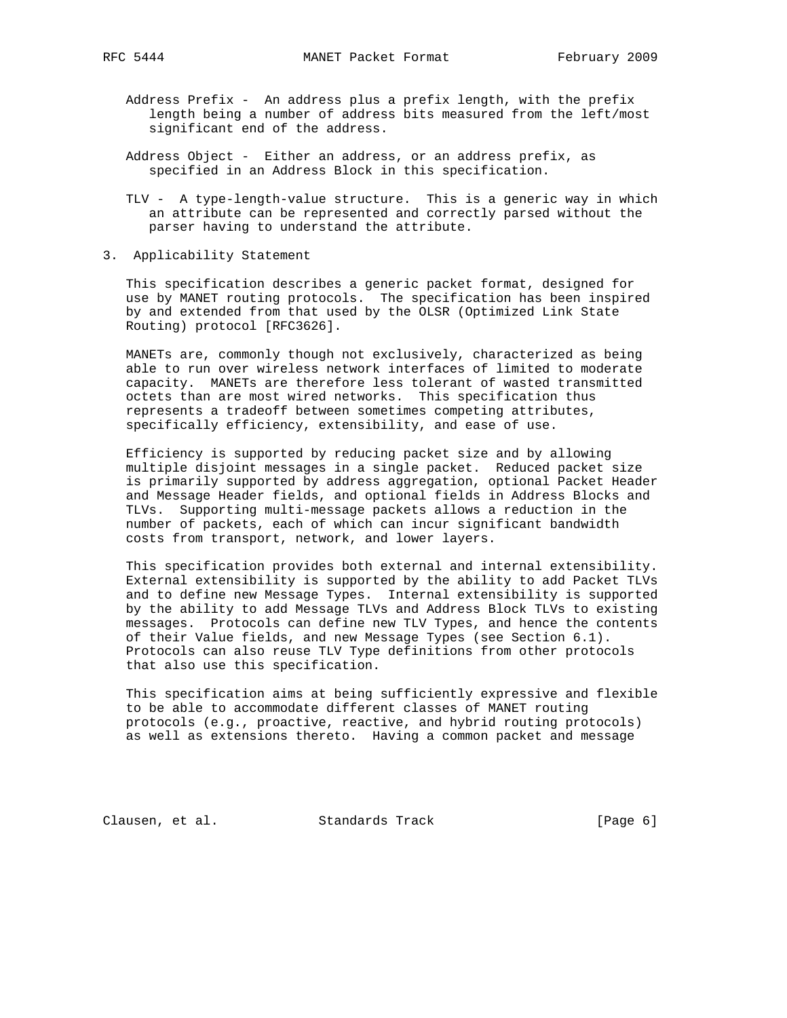- Address Prefix An address plus a prefix length, with the prefix length being a number of address bits measured from the left/most significant end of the address.
- Address Object Either an address, or an address prefix, as specified in an Address Block in this specification.
- TLV A type-length-value structure. This is a generic way in which an attribute can be represented and correctly parsed without the parser having to understand the attribute.
- 3. Applicability Statement

 This specification describes a generic packet format, designed for use by MANET routing protocols. The specification has been inspired by and extended from that used by the OLSR (Optimized Link State Routing) protocol [RFC3626].

 MANETs are, commonly though not exclusively, characterized as being able to run over wireless network interfaces of limited to moderate capacity. MANETs are therefore less tolerant of wasted transmitted octets than are most wired networks. This specification thus represents a tradeoff between sometimes competing attributes, specifically efficiency, extensibility, and ease of use.

 Efficiency is supported by reducing packet size and by allowing multiple disjoint messages in a single packet. Reduced packet size is primarily supported by address aggregation, optional Packet Header and Message Header fields, and optional fields in Address Blocks and TLVs. Supporting multi-message packets allows a reduction in the number of packets, each of which can incur significant bandwidth costs from transport, network, and lower layers.

 This specification provides both external and internal extensibility. External extensibility is supported by the ability to add Packet TLVs and to define new Message Types. Internal extensibility is supported by the ability to add Message TLVs and Address Block TLVs to existing messages. Protocols can define new TLV Types, and hence the contents of their Value fields, and new Message Types (see Section 6.1). Protocols can also reuse TLV Type definitions from other protocols that also use this specification.

 This specification aims at being sufficiently expressive and flexible to be able to accommodate different classes of MANET routing protocols (e.g., proactive, reactive, and hybrid routing protocols) as well as extensions thereto. Having a common packet and message

Clausen, et al. Standards Track [Page 6]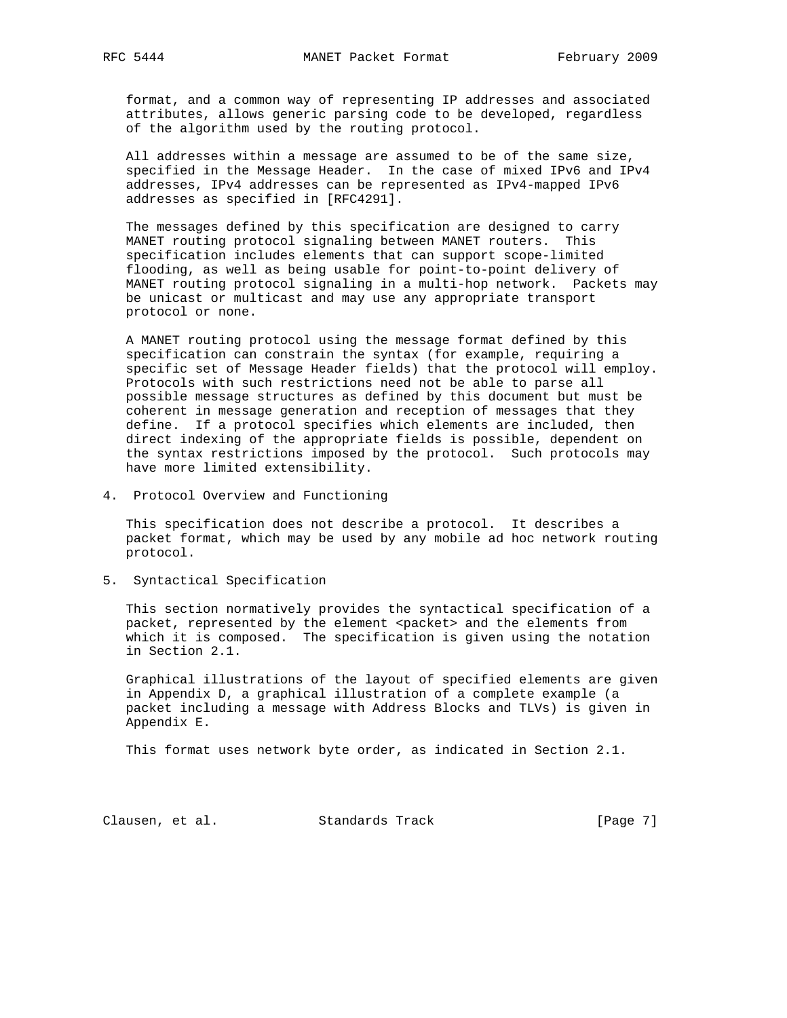format, and a common way of representing IP addresses and associated attributes, allows generic parsing code to be developed, regardless of the algorithm used by the routing protocol.

 All addresses within a message are assumed to be of the same size, specified in the Message Header. In the case of mixed IPv6 and IPv4 addresses, IPv4 addresses can be represented as IPv4-mapped IPv6 addresses as specified in [RFC4291].

 The messages defined by this specification are designed to carry MANET routing protocol signaling between MANET routers. This specification includes elements that can support scope-limited flooding, as well as being usable for point-to-point delivery of MANET routing protocol signaling in a multi-hop network. Packets may be unicast or multicast and may use any appropriate transport protocol or none.

 A MANET routing protocol using the message format defined by this specification can constrain the syntax (for example, requiring a specific set of Message Header fields) that the protocol will employ. Protocols with such restrictions need not be able to parse all possible message structures as defined by this document but must be coherent in message generation and reception of messages that they define. If a protocol specifies which elements are included, then direct indexing of the appropriate fields is possible, dependent on the syntax restrictions imposed by the protocol. Such protocols may have more limited extensibility.

4. Protocol Overview and Functioning

 This specification does not describe a protocol. It describes a packet format, which may be used by any mobile ad hoc network routing protocol.

5. Syntactical Specification

 This section normatively provides the syntactical specification of a packet, represented by the element <packet> and the elements from which it is composed. The specification is given using the notation in Section 2.1.

 Graphical illustrations of the layout of specified elements are given in Appendix D, a graphical illustration of a complete example (a packet including a message with Address Blocks and TLVs) is given in Appendix E.

This format uses network byte order, as indicated in Section 2.1.

Clausen, et al. Standards Track [Page 7]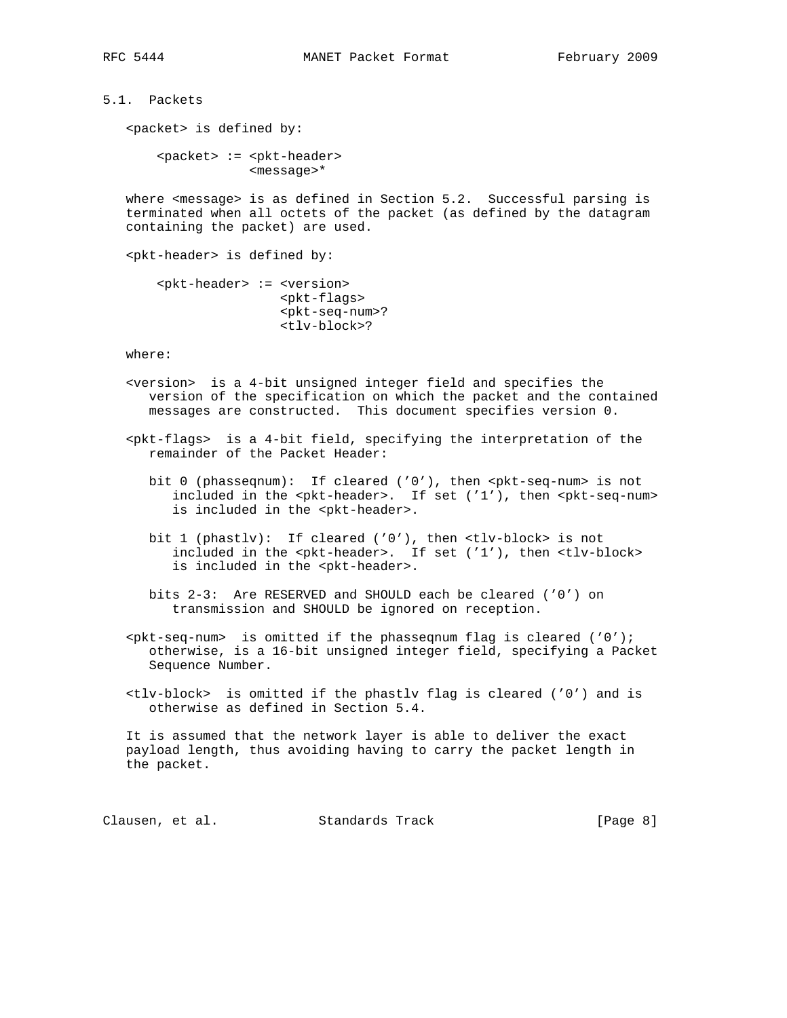5.1. Packets

<packet> is defined by:

 <packet> := <pkt-header> <message>\*

 where <message> is as defined in Section 5.2. Successful parsing is terminated when all octets of the packet (as defined by the datagram containing the packet) are used.

<pkt-header> is defined by:

```
 <pkt-header> := <version>
        <pkt-flags>
        <pkt-seq-num>?
        <tlv-block>?
```
where:

- <version> is a 4-bit unsigned integer field and specifies the version of the specification on which the packet and the contained messages are constructed. This document specifies version 0.
- <pkt-flags> is a 4-bit field, specifying the interpretation of the remainder of the Packet Header:
	- bit 0 (phasseqnum): If cleared ('0'), then <pkt-seq-num> is not included in the <pkt-header>. If set ('1'), then <pkt-seq-num> is included in the <pkt-header>.
	- bit 1 (phastlv): If cleared ('0'), then <tlv-block> is not included in the <pkt-header>. If set ('1'), then <tlv-block> is included in the <pkt-header>.
	- bits 2-3: Are RESERVED and SHOULD each be cleared ('0') on transmission and SHOULD be ignored on reception.
- $s$ pkt-seq-num> is omitted if the phasseqnum flag is cleared ('0'); otherwise, is a 16-bit unsigned integer field, specifying a Packet Sequence Number.
- <tlv-block> is omitted if the phastlv flag is cleared ('0') and is otherwise as defined in Section 5.4.

 It is assumed that the network layer is able to deliver the exact payload length, thus avoiding having to carry the packet length in the packet.

Clausen, et al. Standards Track [Page 8]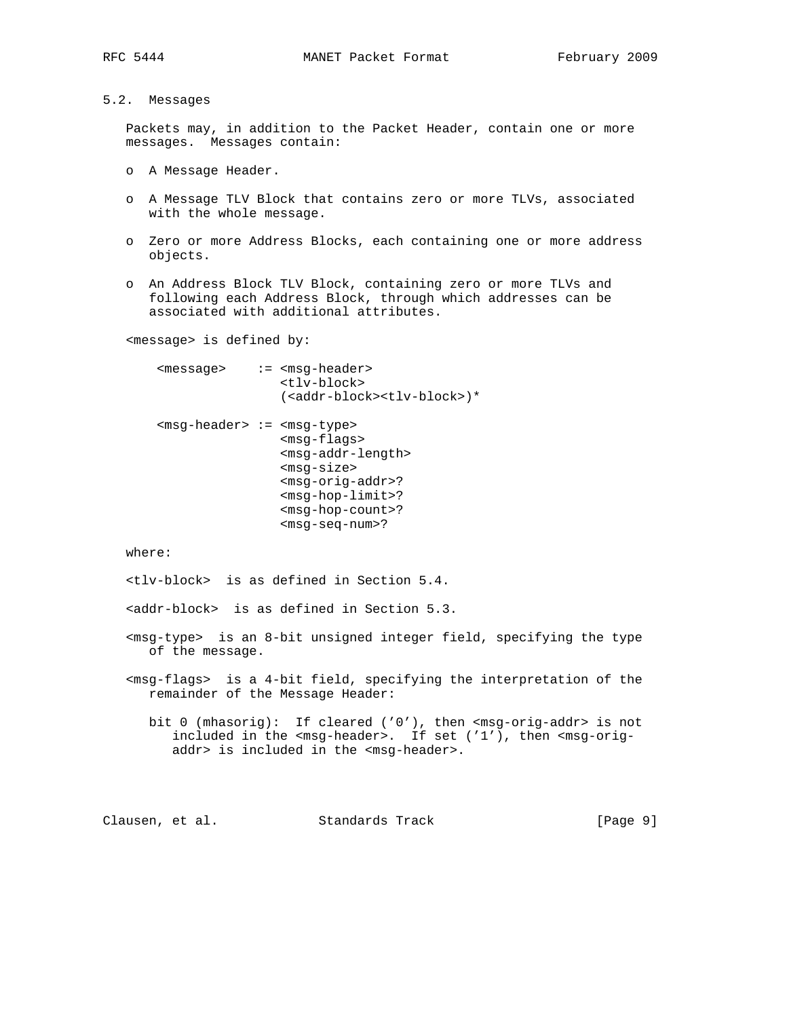- 
- 5.2. Messages

 Packets may, in addition to the Packet Header, contain one or more messages. Messages contain:

- o A Message Header.
- o A Message TLV Block that contains zero or more TLVs, associated with the whole message.
- o Zero or more Address Blocks, each containing one or more address objects.
- o An Address Block TLV Block, containing zero or more TLVs and following each Address Block, through which addresses can be associated with additional attributes.

<message> is defined by:

| <message></message>              | $:=$ $<$ msq-header><br><tlv-block><br/>(<addr-block><tlv-block>)*</tlv-block></addr-block></tlv-block>                                                                                                                            |
|----------------------------------|------------------------------------------------------------------------------------------------------------------------------------------------------------------------------------------------------------------------------------|
| $<$ msq-header> := $<$ msq-type> | $<$ msq-flaqs><br><msq-addr-length><br/><msq-size><br/><msq-oriq-addr>?<br/><math>&lt;</math>msq-hop-limit&gt;?<br/><math>msq-hop-count</math>?<br/><math>&lt;</math>msq-seq-num&gt;?</msq-oriq-addr></msq-size></msq-addr-length> |

where:

<tlv-block> is as defined in Section 5.4.

<addr-block> is as defined in Section 5.3.

- <msg-type> is an 8-bit unsigned integer field, specifying the type of the message.
- <msg-flags> is a 4-bit field, specifying the interpretation of the remainder of the Message Header:
	- bit 0 (mhasorig): If cleared ('0'), then <msg-orig-addr> is not included in the <msg-header>. If set ('1'), then <msg-orig addr> is included in the <msg-header>.

Clausen, et al. Standards Track [Page 9]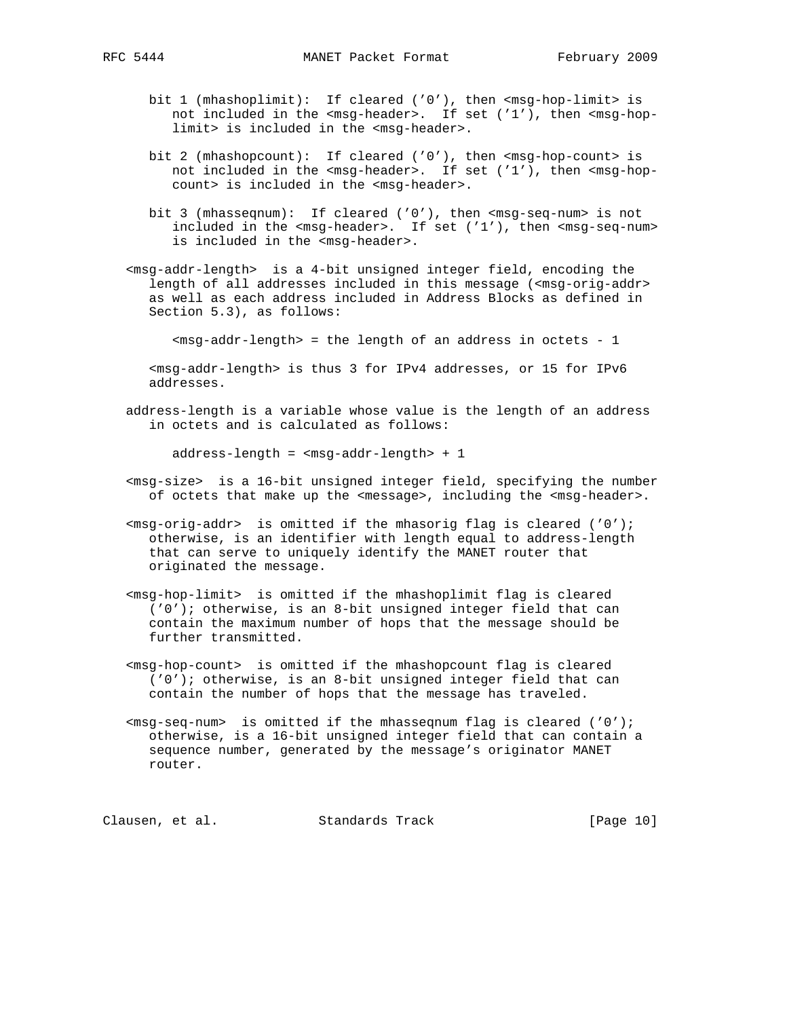- bit 1 (mhashoplimit): If cleared ('0'), then <msg-hop-limit> is not included in the <msg-header>. If set ('1'), then <msg-hop limit> is included in the <msg-header>.
- bit 2 (mhashopcount): If cleared ('0'), then <msg-hop-count> is not included in the <msg-header>. If set ('1'), then <msg-hop count> is included in the <msg-header>.
- bit 3 (mhasseqnum): If cleared ('0'), then <msg-seq-num> is not included in the <msg-header>. If set ('1'), then <msg-seq-num> is included in the <msg-header>.
- <msg-addr-length> is a 4-bit unsigned integer field, encoding the length of all addresses included in this message (<msg-orig-addr> as well as each address included in Address Blocks as defined in Section 5.3), as follows:

<msg-addr-length> = the length of an address in octets - 1

 <msg-addr-length> is thus 3 for IPv4 addresses, or 15 for IPv6 addresses.

 address-length is a variable whose value is the length of an address in octets and is calculated as follows:

address-length = <msg-addr-length> + 1

- <msg-size> is a 16-bit unsigned integer field, specifying the number of octets that make up the <message>, including the <msg-header>.
- $\langle \text{msg-orig-addr} \rangle$  is omitted if the mhasorig flag is cleared ('0'); otherwise, is an identifier with length equal to address-length that can serve to uniquely identify the MANET router that originated the message.
- <msg-hop-limit> is omitted if the mhashoplimit flag is cleared ('0'); otherwise, is an 8-bit unsigned integer field that can contain the maximum number of hops that the message should be further transmitted.
- <msg-hop-count> is omitted if the mhashopcount flag is cleared ('0'); otherwise, is an 8-bit unsigned integer field that can contain the number of hops that the message has traveled.
- $\langle \text{msg-seq-num} \rangle$  is omitted if the mhasseqnum flag is cleared ('0'); otherwise, is a 16-bit unsigned integer field that can contain a sequence number, generated by the message's originator MANET router.

Clausen, et al. Standards Track [Page 10]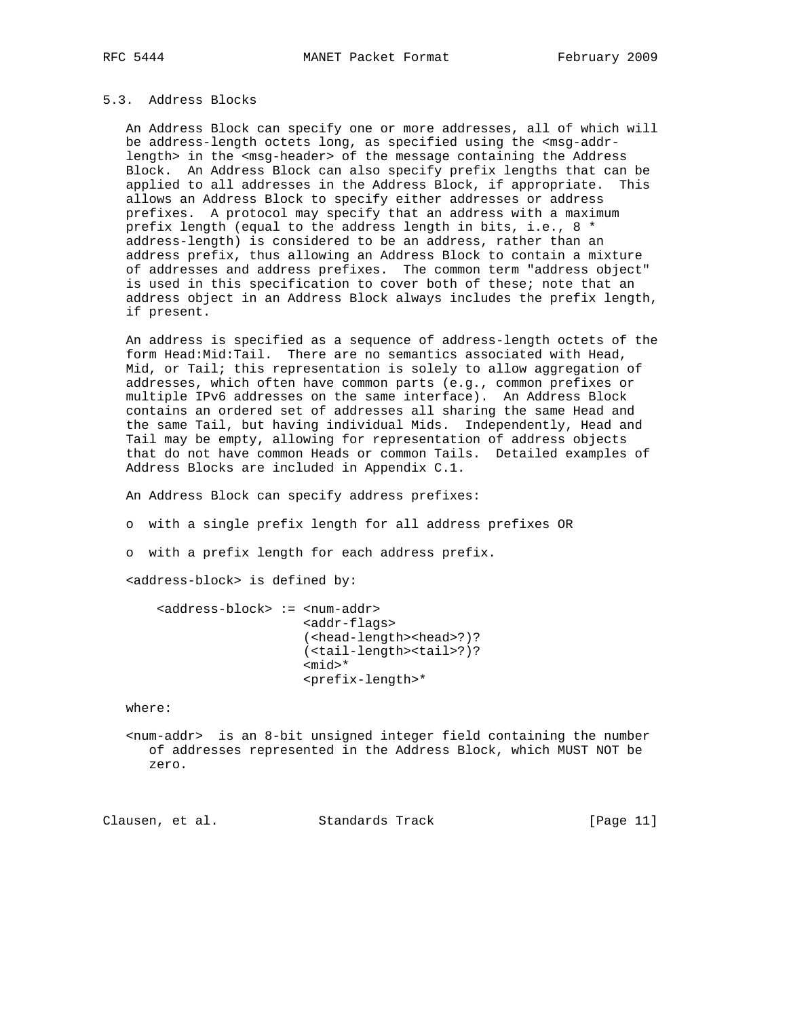# 5.3. Address Blocks

 An Address Block can specify one or more addresses, all of which will be address-length octets long, as specified using the <msg-addr length> in the <msg-header> of the message containing the Address Block. An Address Block can also specify prefix lengths that can be applied to all addresses in the Address Block, if appropriate. This allows an Address Block to specify either addresses or address prefixes. A protocol may specify that an address with a maximum prefix length (equal to the address length in bits, i.e., 8 \* address-length) is considered to be an address, rather than an address prefix, thus allowing an Address Block to contain a mixture of addresses and address prefixes. The common term "address object" is used in this specification to cover both of these; note that an address object in an Address Block always includes the prefix length, if present.

 An address is specified as a sequence of address-length octets of the form Head:Mid:Tail. There are no semantics associated with Head, Mid, or Tail; this representation is solely to allow aggregation of addresses, which often have common parts (e.g., common prefixes or multiple IPv6 addresses on the same interface). An Address Block contains an ordered set of addresses all sharing the same Head and the same Tail, but having individual Mids. Independently, Head and Tail may be empty, allowing for representation of address objects that do not have common Heads or common Tails. Detailed examples of Address Blocks are included in Appendix C.1.

An Address Block can specify address prefixes:

o with a single prefix length for all address prefixes OR

o with a prefix length for each address prefix.

<address-block> is defined by:

 <address-block> := <num-addr> <addr-flags> (<head-length><head>?)? (<tail-length><tail>?)? <mid>\* <prefix-length>\*

where:

 <num-addr> is an 8-bit unsigned integer field containing the number of addresses represented in the Address Block, which MUST NOT be zero.

Clausen, et al. Standards Track [Page 11]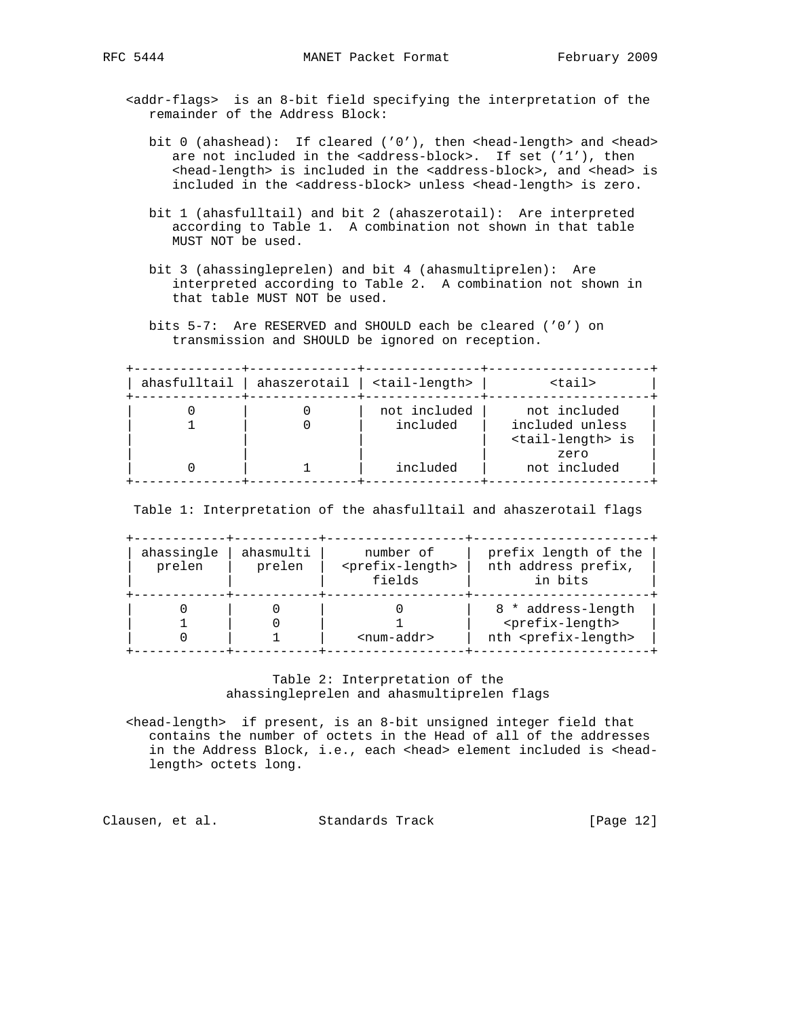- <addr-flags> is an 8-bit field specifying the interpretation of the remainder of the Address Block:
	- bit 0 (ahashead): If cleared ('0'), then <head-length> and <head> are not included in the <address-block>. If set ('1'), then <head-length> is included in the <address-block>, and <head> is included in the <address-block> unless <head-length> is zero.
	- bit 1 (ahasfulltail) and bit 2 (ahaszerotail): Are interpreted according to Table 1. A combination not shown in that table MUST NOT be used.
	- bit 3 (ahassingleprelen) and bit 4 (ahasmultiprelen): Are interpreted according to Table 2. A combination not shown in that table MUST NOT be used.
	- bits 5-7: Are RESERVED and SHOULD each be cleared ('0') on transmission and SHOULD be ignored on reception.

 +--------------+--------------+---------------+---------------------+ | ahasfulltail | ahaszerotail | <tail-length> | <tail> | +--------------+--------------+---------------+---------------------+ | 0 | 0 | not included | not included | | 1 | 0 | included | included unless | | | | | <tail-length> is | | | | | zero | | 0 | 1 | included | not included | +--------------+--------------+---------------+---------------------+

Table 1: Interpretation of the ahasfulltail and ahaszerotail flags

| ahassingle<br>prelen | ahasmulti<br>prelen | number of<br><prefix-length><br/>fields</prefix-length> | prefix length of the<br>nth address prefix,<br>in bits                                        |
|----------------------|---------------------|---------------------------------------------------------|-----------------------------------------------------------------------------------------------|
|                      |                     | $<$ num-addr>                                           | 8 * address-length<br><prefix-length><br/>nth <prefix-length></prefix-length></prefix-length> |

# Table 2: Interpretation of the ahassingleprelen and ahasmultiprelen flags

 <head-length> if present, is an 8-bit unsigned integer field that contains the number of octets in the Head of all of the addresses in the Address Block, i.e., each <head> element included is <headlength> octets long.

Clausen, et al. Standards Track [Page 12]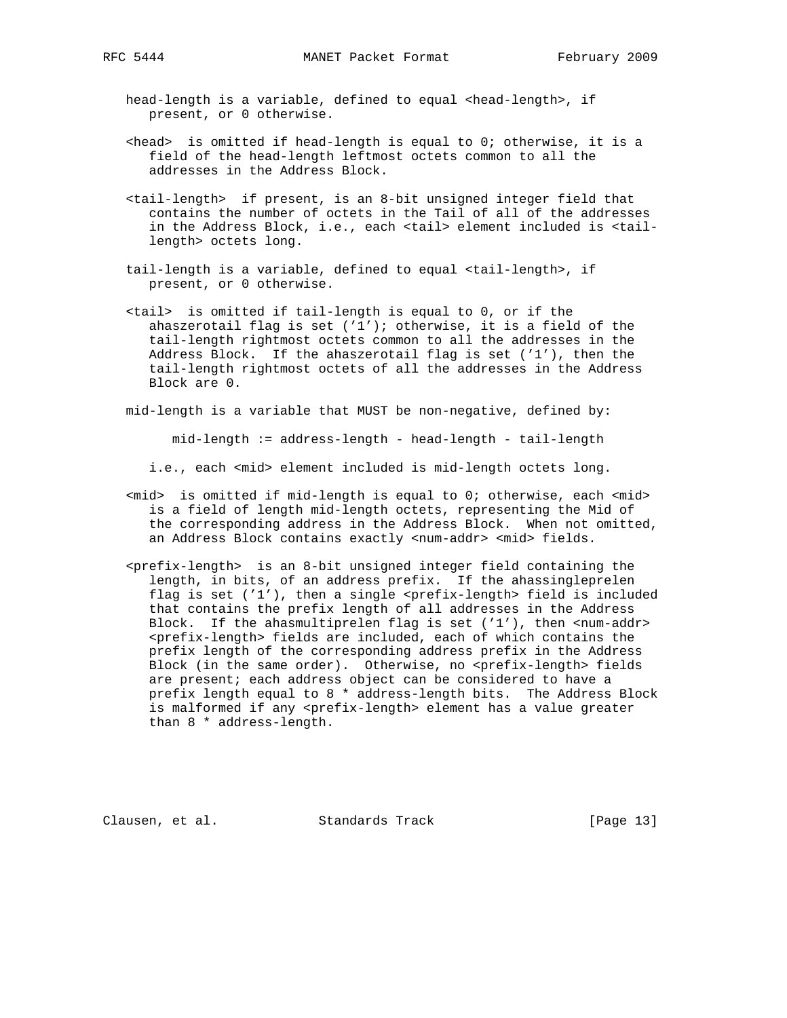head-length is a variable, defined to equal <head-length>, if present, or 0 otherwise.

- $\epsilon$ head> is omitted if head-length is equal to 0; otherwise, it is a field of the head-length leftmost octets common to all the addresses in the Address Block.
- <tail-length> if present, is an 8-bit unsigned integer field that contains the number of octets in the Tail of all of the addresses in the Address Block, i.e., each <tail> element included is <tail length> octets long.
- tail-length is a variable, defined to equal <tail-length>, if present, or 0 otherwise.
- <tail> is omitted if tail-length is equal to 0, or if the ahaszerotail flag is set  $('1')$ ; otherwise, it is a field of the tail-length rightmost octets common to all the addresses in the Address Block. If the ahaszerotail flag is set ('1'), then the tail-length rightmost octets of all the addresses in the Address Block are 0.

mid-length is a variable that MUST be non-negative, defined by:

mid-length := address-length - head-length - tail-length

i.e., each <mid> element included is mid-length octets long.

- <mid> is omitted if mid-length is equal to 0; otherwise, each <mid> is a field of length mid-length octets, representing the Mid of the corresponding address in the Address Block. When not omitted, an Address Block contains exactly <num-addr> <mid> fields.
- <prefix-length> is an 8-bit unsigned integer field containing the length, in bits, of an address prefix. If the ahassingleprelen flag is set ('1'), then a single <prefix-length> field is included that contains the prefix length of all addresses in the Address Block. If the ahasmultiprelen flag is set ('1'), then <num-addr> <prefix-length> fields are included, each of which contains the prefix length of the corresponding address prefix in the Address Block (in the same order). Otherwise, no <prefix-length> fields are present; each address object can be considered to have a prefix length equal to 8 \* address-length bits. The Address Block is malformed if any <prefix-length> element has a value greater than 8 \* address-length.

Clausen, et al. Standards Track [Page 13]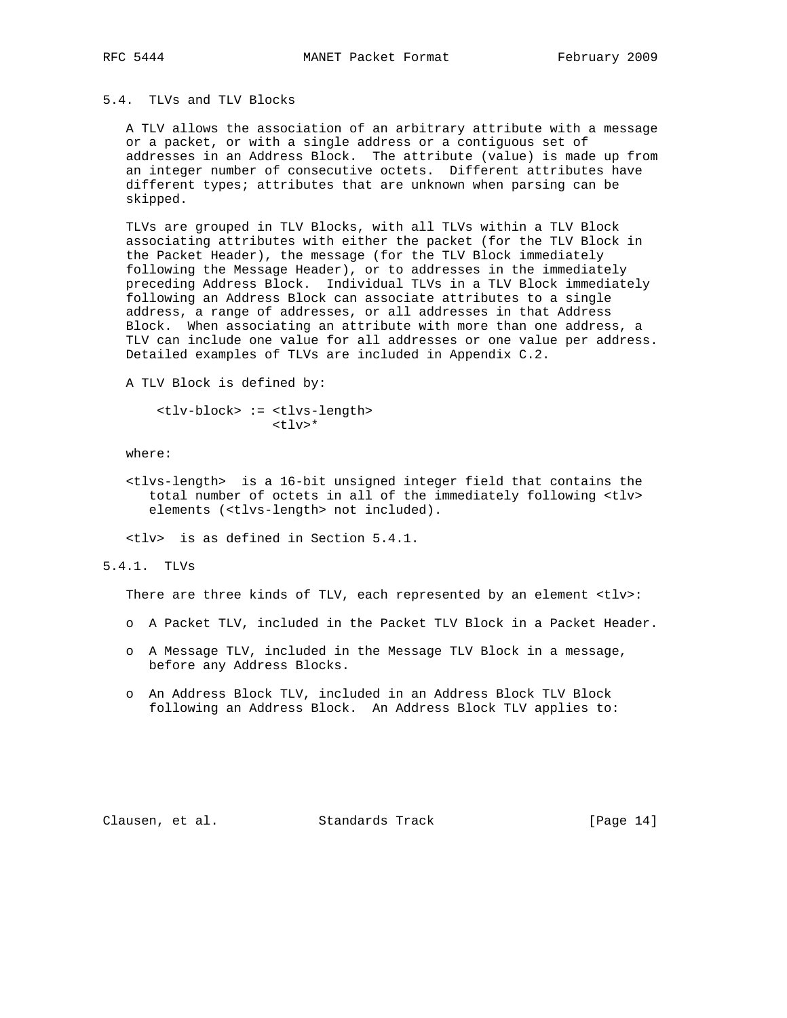# 5.4. TLVs and TLV Blocks

 A TLV allows the association of an arbitrary attribute with a message or a packet, or with a single address or a contiguous set of addresses in an Address Block. The attribute (value) is made up from an integer number of consecutive octets. Different attributes have different types; attributes that are unknown when parsing can be skipped.

 TLVs are grouped in TLV Blocks, with all TLVs within a TLV Block associating attributes with either the packet (for the TLV Block in the Packet Header), the message (for the TLV Block immediately following the Message Header), or to addresses in the immediately preceding Address Block. Individual TLVs in a TLV Block immediately following an Address Block can associate attributes to a single address, a range of addresses, or all addresses in that Address Block. When associating an attribute with more than one address, a TLV can include one value for all addresses or one value per address. Detailed examples of TLVs are included in Appendix C.2.

A TLV Block is defined by:

 <tlv-block> := <tlvs-length>  $<$ tlv>\*

where:

 <tlvs-length> is a 16-bit unsigned integer field that contains the total number of octets in all of the immediately following <tlv> elements (<tlvs-length> not included).

<tlv> is as defined in Section 5.4.1.

### 5.4.1. TLVs

There are three kinds of TLV, each represented by an element <tlv>:

- o A Packet TLV, included in the Packet TLV Block in a Packet Header.
- o A Message TLV, included in the Message TLV Block in a message, before any Address Blocks.
- o An Address Block TLV, included in an Address Block TLV Block following an Address Block. An Address Block TLV applies to:

Clausen, et al. Standards Track [Page 14]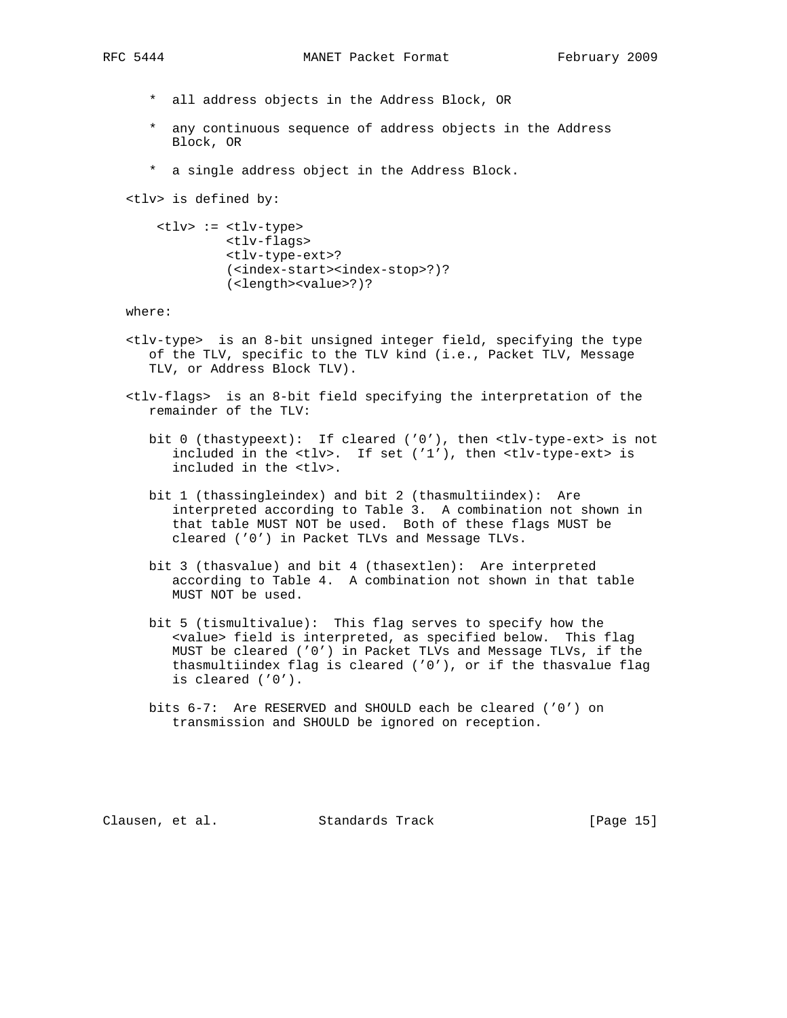- - \* all address objects in the Address Block, OR
	- \* any continuous sequence of address objects in the Address Block, OR
	- \* a single address object in the Address Block.

<tlv> is defined by:

```
 <tlv> := <tlv-type>
<tlv-flags>
<tlv-type-ext>?
(<index-start><index-stop>?)?
(<length><value>?)?
```
where:

- <tlv-type> is an 8-bit unsigned integer field, specifying the type of the TLV, specific to the TLV kind (i.e., Packet TLV, Message TLV, or Address Block TLV).
- <tlv-flags> is an 8-bit field specifying the interpretation of the remainder of the TLV:
	- bit 0 (thastypeext): If cleared ('0'), then <tlv-type-ext> is not included in the <tlv>. If set ('1'), then <tlv-type-ext> is included in the <tlv>.
	- bit 1 (thassingleindex) and bit 2 (thasmultiindex): Are interpreted according to Table 3. A combination not shown in that table MUST NOT be used. Both of these flags MUST be cleared ('0') in Packet TLVs and Message TLVs.
	- bit 3 (thasvalue) and bit 4 (thasextlen): Are interpreted according to Table 4. A combination not shown in that table MUST NOT be used.
	- bit 5 (tismultivalue): This flag serves to specify how the <value> field is interpreted, as specified below. This flag MUST be cleared ('0') in Packet TLVs and Message TLVs, if the thasmultiindex flag is cleared ('0'), or if the thasvalue flag is cleared ('0').
	- bits 6-7: Are RESERVED and SHOULD each be cleared ('0') on transmission and SHOULD be ignored on reception.

Clausen, et al. Standards Track [Page 15]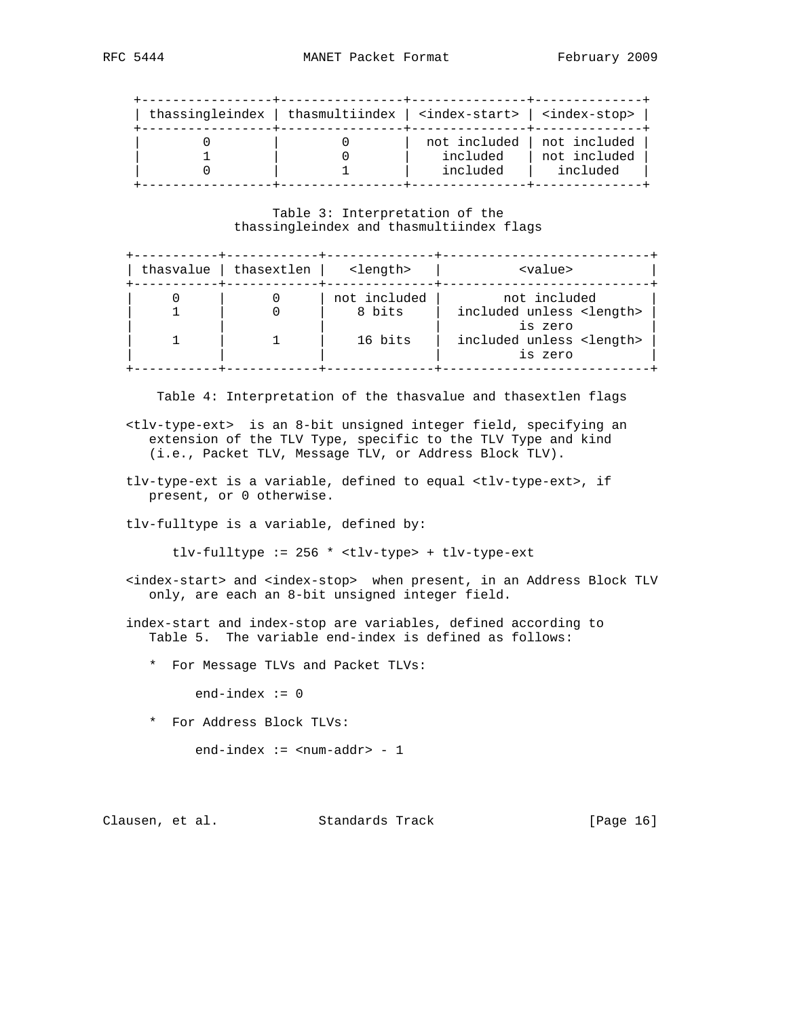| thassingleindex   thasmultiindex   $\langle$ index-start>   $\langle$ index-stop> |              |              |
|-----------------------------------------------------------------------------------|--------------|--------------|
|                                                                                   | not included | not included |
|                                                                                   | included     | not included |
|                                                                                   | included     | included     |

### Table 3: Interpretation of the thassingleindex and thasmultiindex flags

| thasvalue | thasextlen | <length></length>      | <value></value>                                          |
|-----------|------------|------------------------|----------------------------------------------------------|
|           |            | not included<br>8 bits | not included<br>included unless <length></length>        |
|           |            | 16 bits                | is zero<br>included unless <length><br/>is zero</length> |

Table 4: Interpretation of the thasvalue and thasextlen flags

- <tlv-type-ext> is an 8-bit unsigned integer field, specifying an extension of the TLV Type, specific to the TLV Type and kind (i.e., Packet TLV, Message TLV, or Address Block TLV).
- tlv-type-ext is a variable, defined to equal <tlv-type-ext>, if present, or 0 otherwise.

tlv-fulltype is a variable, defined by:

tlv-fulltype := 256 \* <tlv-type> + tlv-type-ext

- <index-start> and <index-stop> when present, in an Address Block TLV only, are each an 8-bit unsigned integer field.
- index-start and index-stop are variables, defined according to Table 5. The variable end-index is defined as follows:
	- \* For Message TLVs and Packet TLVs:

 $end$ -index  $:= 0$ 

\* For Address Block TLVs:

 $end$ -index := <num-addr> - 1

Clausen, et al. Standards Track [Page 16]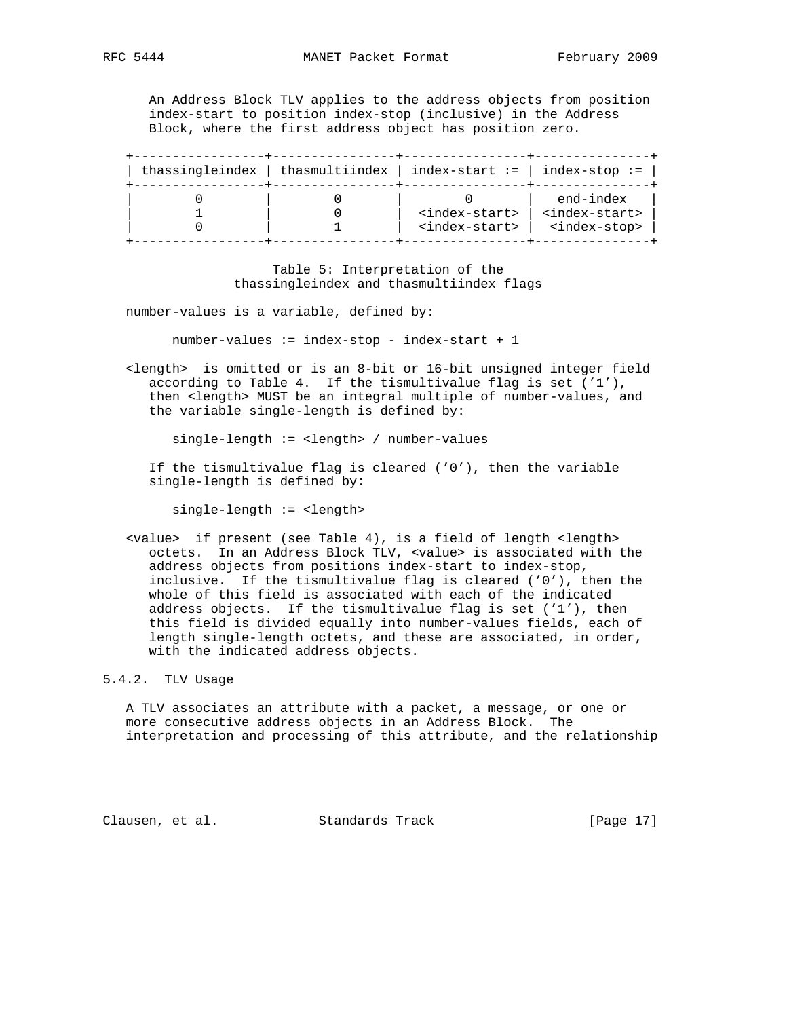An Address Block TLV applies to the address objects from position index-start to position index-stop (inclusive) in the Address Block, where the first address object has position zero.

| thassingleindex   thasmultiindex   index-start :=   index-stop := |                             |                             |
|-------------------------------------------------------------------|-----------------------------|-----------------------------|
|                                                                   |                             | end-index                   |
|                                                                   | <index-start></index-start> | <index-start></index-start> |
|                                                                   | <index-start></index-start> | <index-stop></index-stop>   |

 Table 5: Interpretation of the thassingleindex and thasmultiindex flags

number-values is a variable, defined by:

number-values := index-stop - index-start + 1

 <length> is omitted or is an 8-bit or 16-bit unsigned integer field according to Table 4. If the tismultivalue flag is set ('1'), then <length> MUST be an integral multiple of number-values, and the variable single-length is defined by:

single-length := <length> / number-values

If the tismultivalue flag is cleared  $(10')$ , then the variable single-length is defined by:

single-length := <length>

 <value> if present (see Table 4), is a field of length <length> octets. In an Address Block TLV, <value> is associated with the address objects from positions index-start to index-stop, inclusive. If the tismultivalue flag is cleared ('0'), then the whole of this field is associated with each of the indicated address objects. If the tismultivalue flag is set ('1'), then this field is divided equally into number-values fields, each of length single-length octets, and these are associated, in order, with the indicated address objects.

#### 5.4.2. TLV Usage

 A TLV associates an attribute with a packet, a message, or one or more consecutive address objects in an Address Block. The interpretation and processing of this attribute, and the relationship

Clausen, et al. Standards Track [Page 17]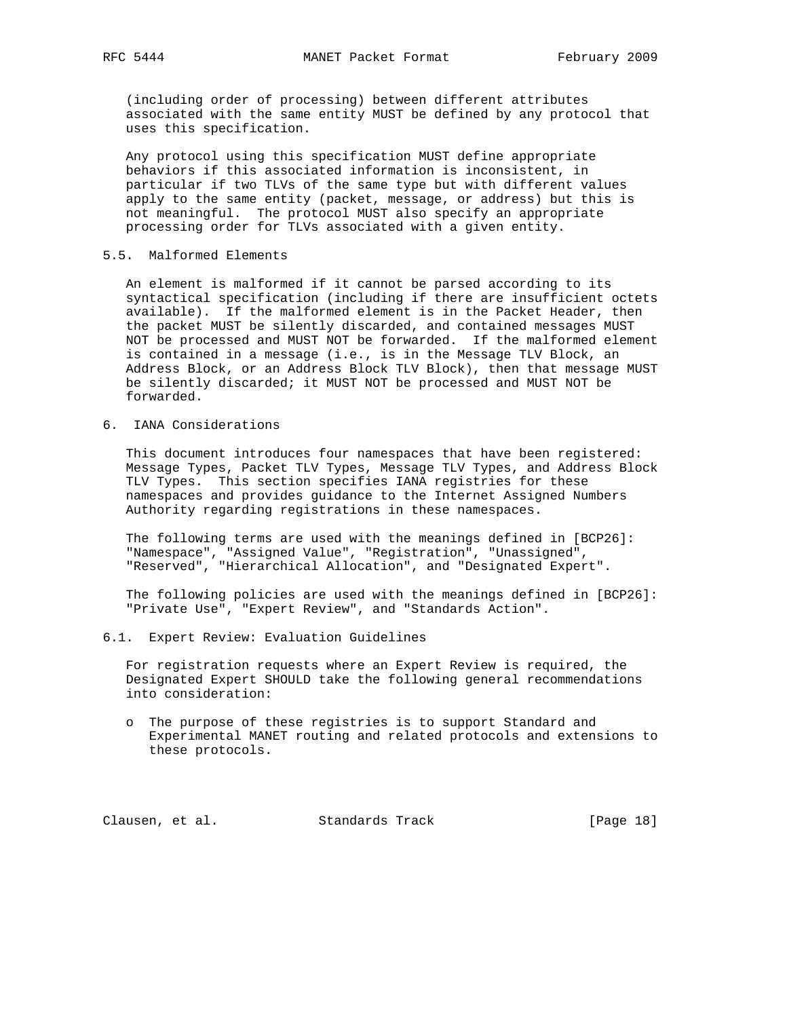(including order of processing) between different attributes associated with the same entity MUST be defined by any protocol that uses this specification.

 Any protocol using this specification MUST define appropriate behaviors if this associated information is inconsistent, in particular if two TLVs of the same type but with different values apply to the same entity (packet, message, or address) but this is not meaningful. The protocol MUST also specify an appropriate processing order for TLVs associated with a given entity.

#### 5.5. Malformed Elements

 An element is malformed if it cannot be parsed according to its syntactical specification (including if there are insufficient octets available). If the malformed element is in the Packet Header, then the packet MUST be silently discarded, and contained messages MUST NOT be processed and MUST NOT be forwarded. If the malformed element is contained in a message (i.e., is in the Message TLV Block, an Address Block, or an Address Block TLV Block), then that message MUST be silently discarded; it MUST NOT be processed and MUST NOT be forwarded.

6. IANA Considerations

 This document introduces four namespaces that have been registered: Message Types, Packet TLV Types, Message TLV Types, and Address Block TLV Types. This section specifies IANA registries for these namespaces and provides guidance to the Internet Assigned Numbers Authority regarding registrations in these namespaces.

 The following terms are used with the meanings defined in [BCP26]: "Namespace", "Assigned Value", "Registration", "Unassigned", "Reserved", "Hierarchical Allocation", and "Designated Expert".

 The following policies are used with the meanings defined in [BCP26]: "Private Use", "Expert Review", and "Standards Action".

6.1. Expert Review: Evaluation Guidelines

 For registration requests where an Expert Review is required, the Designated Expert SHOULD take the following general recommendations into consideration:

 o The purpose of these registries is to support Standard and Experimental MANET routing and related protocols and extensions to these protocols.

Clausen, et al. Standards Track [Page 18]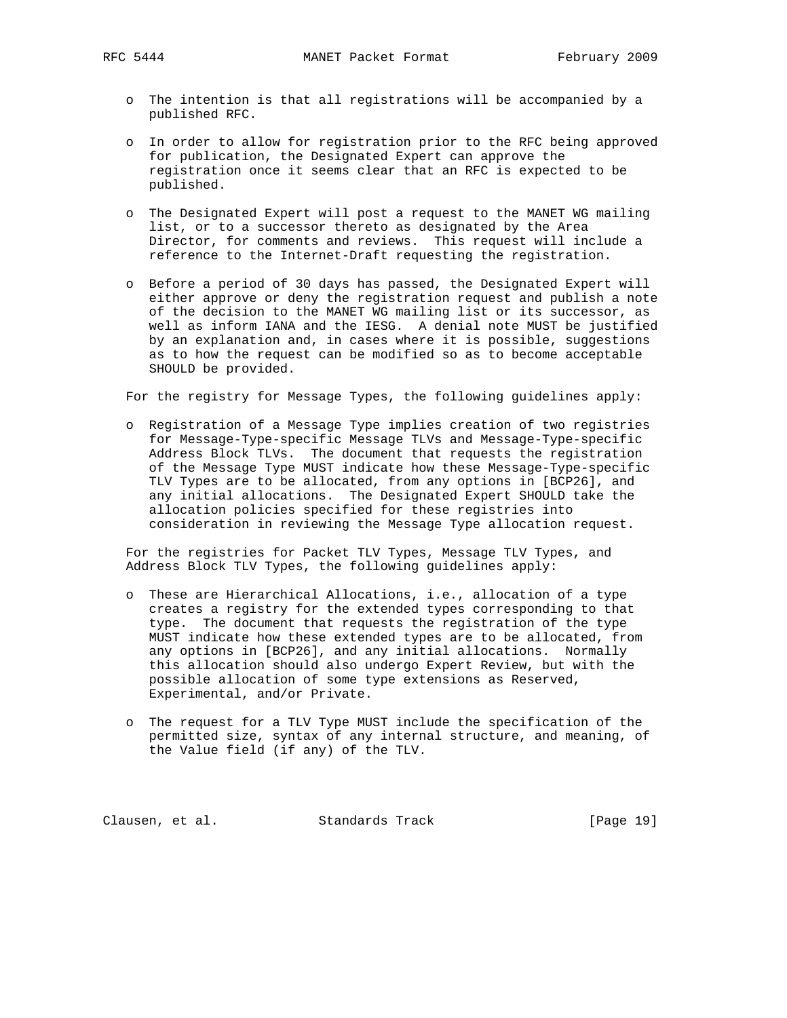RFC 5444 MANET Packet Format February 2009

- o The intention is that all registrations will be accompanied by a published RFC.
- o In order to allow for registration prior to the RFC being approved for publication, the Designated Expert can approve the registration once it seems clear that an RFC is expected to be published.
- o The Designated Expert will post a request to the MANET WG mailing list, or to a successor thereto as designated by the Area Director, for comments and reviews. This request will include a reference to the Internet-Draft requesting the registration.
- o Before a period of 30 days has passed, the Designated Expert will either approve or deny the registration request and publish a note of the decision to the MANET WG mailing list or its successor, as well as inform IANA and the IESG. A denial note MUST be justified by an explanation and, in cases where it is possible, suggestions as to how the request can be modified so as to become acceptable SHOULD be provided.

For the registry for Message Types, the following guidelines apply:

 o Registration of a Message Type implies creation of two registries for Message-Type-specific Message TLVs and Message-Type-specific Address Block TLVs. The document that requests the registration of the Message Type MUST indicate how these Message-Type-specific TLV Types are to be allocated, from any options in [BCP26], and any initial allocations. The Designated Expert SHOULD take the allocation policies specified for these registries into consideration in reviewing the Message Type allocation request.

 For the registries for Packet TLV Types, Message TLV Types, and Address Block TLV Types, the following guidelines apply:

- o These are Hierarchical Allocations, i.e., allocation of a type creates a registry for the extended types corresponding to that type. The document that requests the registration of the type MUST indicate how these extended types are to be allocated, from any options in [BCP26], and any initial allocations. Normally this allocation should also undergo Expert Review, but with the possible allocation of some type extensions as Reserved, Experimental, and/or Private.
- o The request for a TLV Type MUST include the specification of the permitted size, syntax of any internal structure, and meaning, of the Value field (if any) of the TLV.

Clausen, et al. Standards Track [Page 19]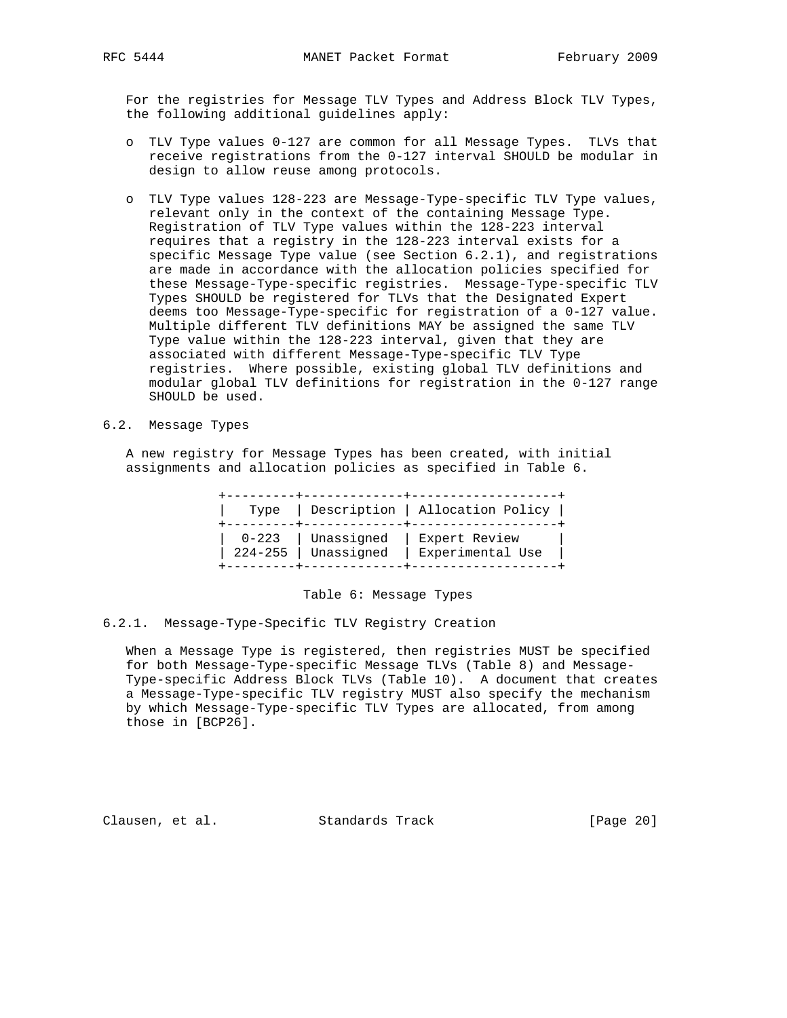For the registries for Message TLV Types and Address Block TLV Types, the following additional guidelines apply:

- o TLV Type values 0-127 are common for all Message Types. TLVs that receive registrations from the 0-127 interval SHOULD be modular in design to allow reuse among protocols.
- o TLV Type values 128-223 are Message-Type-specific TLV Type values, relevant only in the context of the containing Message Type. Registration of TLV Type values within the 128-223 interval requires that a registry in the 128-223 interval exists for a specific Message Type value (see Section 6.2.1), and registrations are made in accordance with the allocation policies specified for these Message-Type-specific registries. Message-Type-specific TLV Types SHOULD be registered for TLVs that the Designated Expert deems too Message-Type-specific for registration of a 0-127 value. Multiple different TLV definitions MAY be assigned the same TLV Type value within the 128-223 interval, given that they are associated with different Message-Type-specific TLV Type registries. Where possible, existing global TLV definitions and modular global TLV definitions for registration in the 0-127 range SHOULD be used.
- 6.2. Message Types

 A new registry for Message Types has been created, with initial assignments and allocation policies as specified in Table 6.

|  |                                              | Type   Description   Allocation Policy |
|--|----------------------------------------------|----------------------------------------|
|  | 0-223   Unassigned  <br>224-255   Unassigned | Expert Review<br>Experimental Use      |

Table 6: Message Types

6.2.1. Message-Type-Specific TLV Registry Creation

 When a Message Type is registered, then registries MUST be specified for both Message-Type-specific Message TLVs (Table 8) and Message- Type-specific Address Block TLVs (Table 10). A document that creates a Message-Type-specific TLV registry MUST also specify the mechanism by which Message-Type-specific TLV Types are allocated, from among those in [BCP26].

Clausen, et al. Standards Track [Page 20]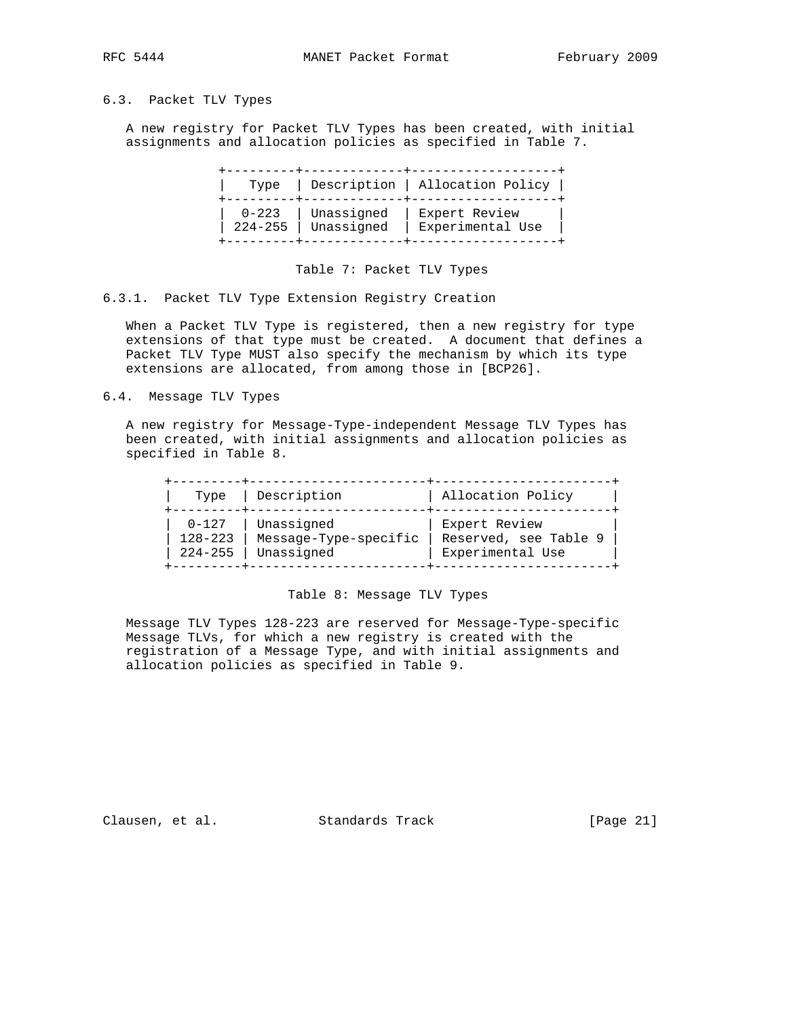# 6.3. Packet TLV Types

 A new registry for Packet TLV Types has been created, with initial assignments and allocation policies as specified in Table 7.

| Type        |            | Description   Allocation Policy |
|-------------|------------|---------------------------------|
| 0-223       | Unassigned | Expert Review                   |
| $224 - 255$ | Unassigned | Experimental Use                |

Table 7: Packet TLV Types

6.3.1. Packet TLV Type Extension Registry Creation

 When a Packet TLV Type is registered, then a new registry for type extensions of that type must be created. A document that defines a Packet TLV Type MUST also specify the mechanism by which its type extensions are allocated, from among those in [BCP26].

6.4. Message TLV Types

 A new registry for Message-Type-independent Message TLV Types has been created, with initial assignments and allocation policies as specified in Table 8.

| Type        | Description           | Allocation Policy     |
|-------------|-----------------------|-----------------------|
| $0 - 127$   | Unassigned            | Expert Review         |
| $128 - 223$ | Message-Type-specific | Reserved, see Table 9 |
| $224 - 255$ | Unassigned            | Experimental Use      |

Table 8: Message TLV Types

 Message TLV Types 128-223 are reserved for Message-Type-specific Message TLVs, for which a new registry is created with the registration of a Message Type, and with initial assignments and allocation policies as specified in Table 9.

Clausen, et al. Standards Track [Page 21]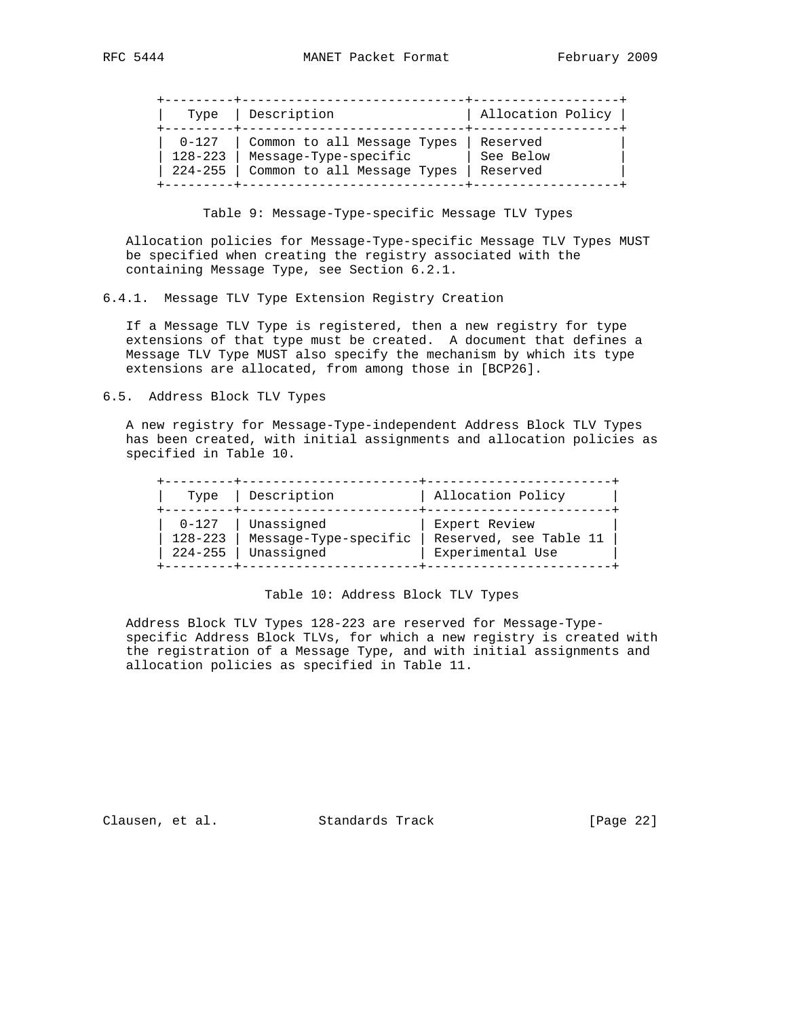| Type        | Description                 | Allocation Policy |
|-------------|-----------------------------|-------------------|
| $0 - 127$   | Common to all Message Types | Reserved          |
| $128 - 223$ | Message-Type-specific       | See Below         |
| $224 - 255$ | Common to all Message Types | Reserved          |

Table 9: Message-Type-specific Message TLV Types

 Allocation policies for Message-Type-specific Message TLV Types MUST be specified when creating the registry associated with the containing Message Type, see Section 6.2.1.

6.4.1. Message TLV Type Extension Registry Creation

 If a Message TLV Type is registered, then a new registry for type extensions of that type must be created. A document that defines a Message TLV Type MUST also specify the mechanism by which its type extensions are allocated, from among those in [BCP26].

6.5. Address Block TLV Types

 A new registry for Message-Type-independent Address Block TLV Types has been created, with initial assignments and allocation policies as specified in Table 10.

| Type        | Description           | Allocation Policy      |
|-------------|-----------------------|------------------------|
| $0 - 127$   | Unassigned            | Expert Review          |
| $128 - 223$ | Message-Type-specific | Reserved, see Table 11 |
| $224 - 255$ | Unassigned            | Experimental Use       |

Table 10: Address Block TLV Types

 Address Block TLV Types 128-223 are reserved for Message-Type specific Address Block TLVs, for which a new registry is created with the registration of a Message Type, and with initial assignments and allocation policies as specified in Table 11.

Clausen, et al. Standards Track [Page 22]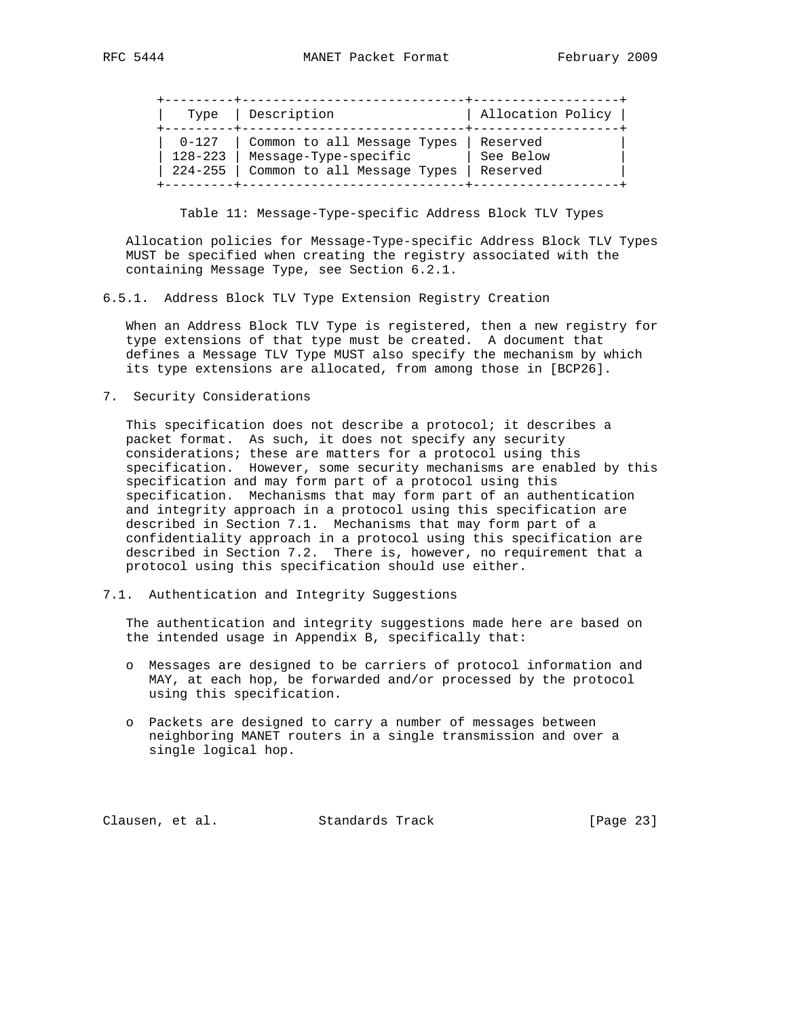| Type        | Description                 | Allocation Policy |
|-------------|-----------------------------|-------------------|
| $0 - 127$   | Common to all Message Types | Reserved          |
| $128 - 223$ | Message-Type-specific       | See Below         |
| $224 - 255$ | Common to all Message Types | Reserved          |

Table 11: Message-Type-specific Address Block TLV Types

 Allocation policies for Message-Type-specific Address Block TLV Types MUST be specified when creating the registry associated with the containing Message Type, see Section 6.2.1.

6.5.1. Address Block TLV Type Extension Registry Creation

 When an Address Block TLV Type is registered, then a new registry for type extensions of that type must be created. A document that defines a Message TLV Type MUST also specify the mechanism by which its type extensions are allocated, from among those in [BCP26].

7. Security Considerations

 This specification does not describe a protocol; it describes a packet format. As such, it does not specify any security considerations; these are matters for a protocol using this specification. However, some security mechanisms are enabled by this specification and may form part of a protocol using this specification. Mechanisms that may form part of an authentication and integrity approach in a protocol using this specification are described in Section 7.1. Mechanisms that may form part of a confidentiality approach in a protocol using this specification are described in Section 7.2. There is, however, no requirement that a protocol using this specification should use either.

7.1. Authentication and Integrity Suggestions

 The authentication and integrity suggestions made here are based on the intended usage in Appendix B, specifically that:

- o Messages are designed to be carriers of protocol information and MAY, at each hop, be forwarded and/or processed by the protocol using this specification.
- o Packets are designed to carry a number of messages between neighboring MANET routers in a single transmission and over a single logical hop.

Clausen, et al. Standards Track [Page 23]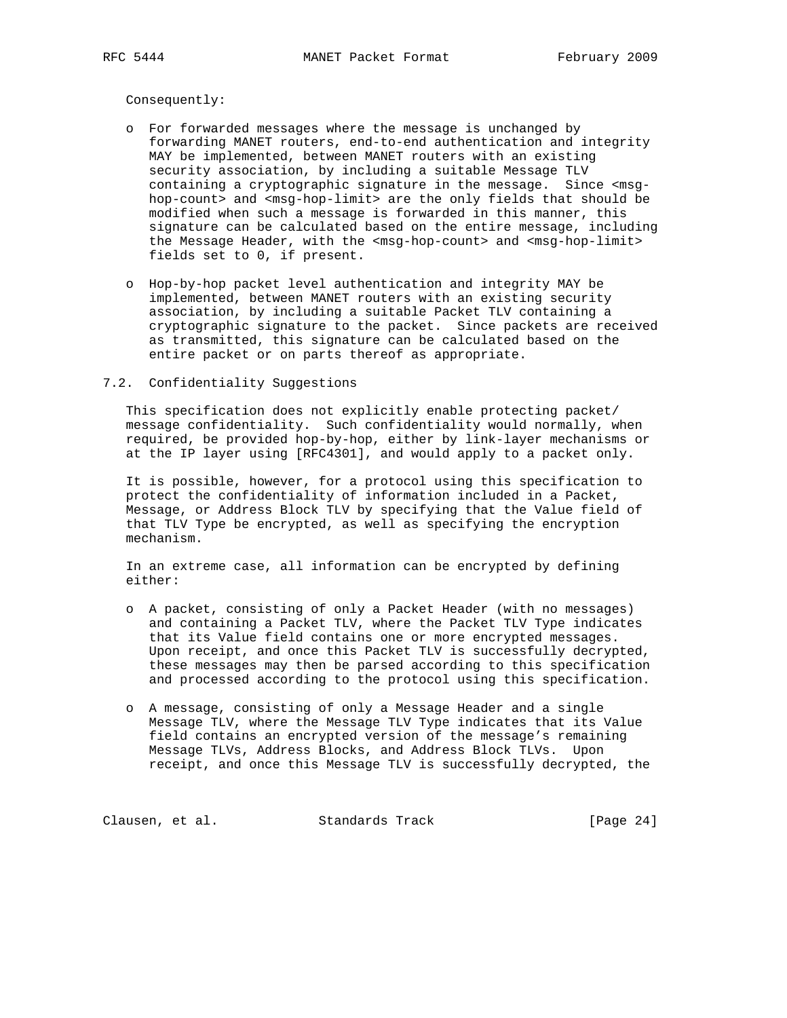Consequently:

- o For forwarded messages where the message is unchanged by forwarding MANET routers, end-to-end authentication and integrity MAY be implemented, between MANET routers with an existing security association, by including a suitable Message TLV containing a cryptographic signature in the message. Since <msg hop-count> and <msg-hop-limit> are the only fields that should be modified when such a message is forwarded in this manner, this signature can be calculated based on the entire message, including the Message Header, with the <msg-hop-count> and <msg-hop-limit> fields set to 0, if present.
- o Hop-by-hop packet level authentication and integrity MAY be implemented, between MANET routers with an existing security association, by including a suitable Packet TLV containing a cryptographic signature to the packet. Since packets are received as transmitted, this signature can be calculated based on the entire packet or on parts thereof as appropriate.

#### 7.2. Confidentiality Suggestions

 This specification does not explicitly enable protecting packet/ message confidentiality. Such confidentiality would normally, when required, be provided hop-by-hop, either by link-layer mechanisms or at the IP layer using [RFC4301], and would apply to a packet only.

 It is possible, however, for a protocol using this specification to protect the confidentiality of information included in a Packet, Message, or Address Block TLV by specifying that the Value field of that TLV Type be encrypted, as well as specifying the encryption mechanism.

 In an extreme case, all information can be encrypted by defining either:

- o A packet, consisting of only a Packet Header (with no messages) and containing a Packet TLV, where the Packet TLV Type indicates that its Value field contains one or more encrypted messages. Upon receipt, and once this Packet TLV is successfully decrypted, these messages may then be parsed according to this specification and processed according to the protocol using this specification.
- o A message, consisting of only a Message Header and a single Message TLV, where the Message TLV Type indicates that its Value field contains an encrypted version of the message's remaining Message TLVs, Address Blocks, and Address Block TLVs. Upon receipt, and once this Message TLV is successfully decrypted, the

Clausen, et al. Standards Track [Page 24]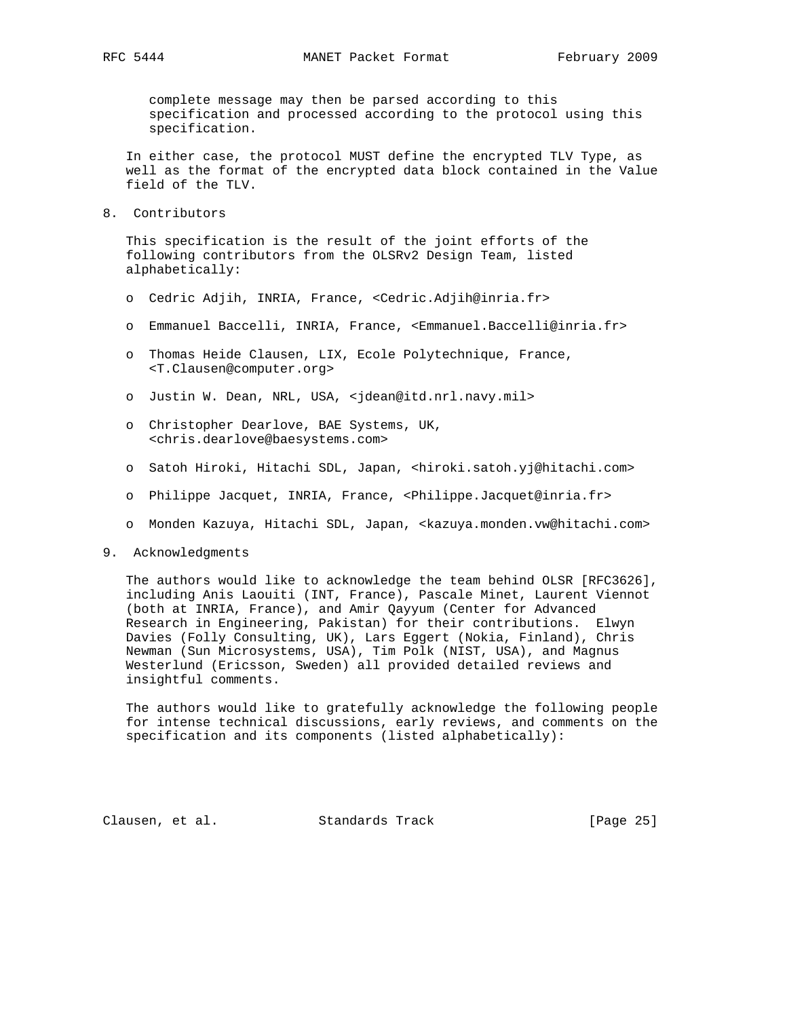complete message may then be parsed according to this specification and processed according to the protocol using this specification.

 In either case, the protocol MUST define the encrypted TLV Type, as well as the format of the encrypted data block contained in the Value field of the TLV.

8. Contributors

 This specification is the result of the joint efforts of the following contributors from the OLSRv2 Design Team, listed alphabetically:

- o Cedric Adjih, INRIA, France, <Cedric.Adjih@inria.fr>
- o Emmanuel Baccelli, INRIA, France, <Emmanuel.Baccelli@inria.fr>
- o Thomas Heide Clausen, LIX, Ecole Polytechnique, France, <T.Clausen@computer.org>
- o Justin W. Dean, NRL, USA, <jdean@itd.nrl.navy.mil>
- o Christopher Dearlove, BAE Systems, UK, <chris.dearlove@baesystems.com>
- o Satoh Hiroki, Hitachi SDL, Japan, <hiroki.satoh.yj@hitachi.com>
- o Philippe Jacquet, INRIA, France, <Philippe.Jacquet@inria.fr>
- o Monden Kazuya, Hitachi SDL, Japan, <kazuya.monden.vw@hitachi.com>
- 9. Acknowledgments

 The authors would like to acknowledge the team behind OLSR [RFC3626], including Anis Laouiti (INT, France), Pascale Minet, Laurent Viennot (both at INRIA, France), and Amir Qayyum (Center for Advanced Research in Engineering, Pakistan) for their contributions. Elwyn Davies (Folly Consulting, UK), Lars Eggert (Nokia, Finland), Chris Newman (Sun Microsystems, USA), Tim Polk (NIST, USA), and Magnus Westerlund (Ericsson, Sweden) all provided detailed reviews and insightful comments.

 The authors would like to gratefully acknowledge the following people for intense technical discussions, early reviews, and comments on the specification and its components (listed alphabetically):

Clausen, et al. Standards Track [Page 25]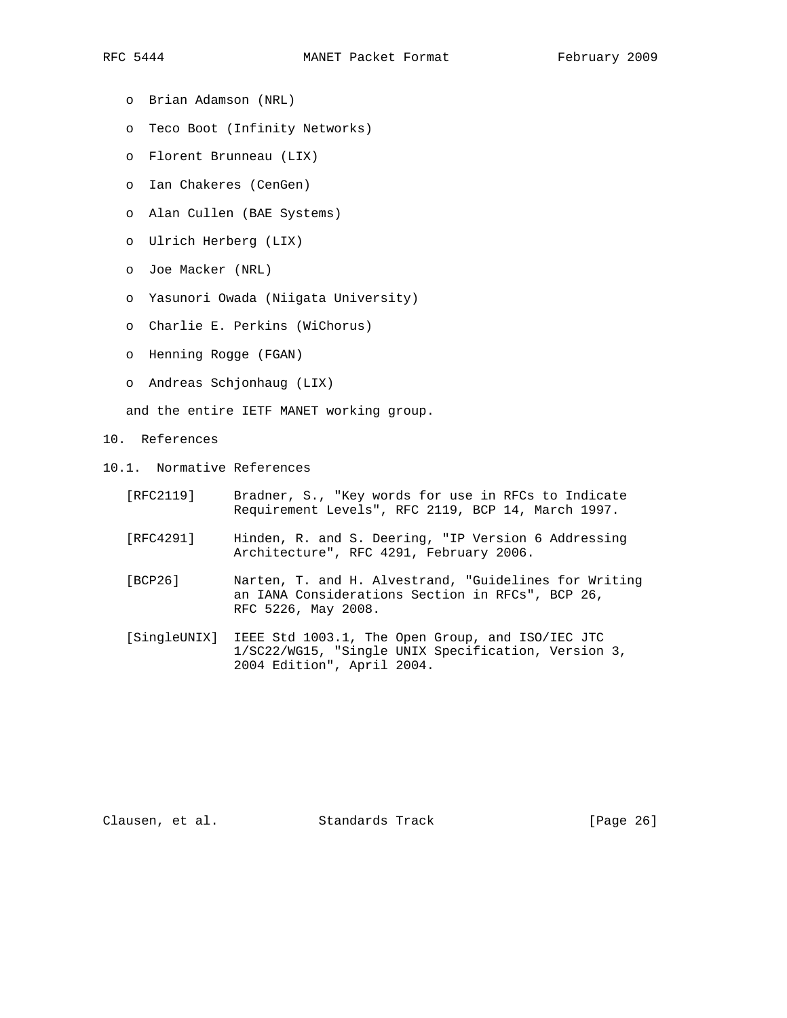- o Brian Adamson (NRL)
- o Teco Boot (Infinity Networks)
- o Florent Brunneau (LIX)
- o Ian Chakeres (CenGen)
- o Alan Cullen (BAE Systems)
- o Ulrich Herberg (LIX)
- o Joe Macker (NRL)
- o Yasunori Owada (Niigata University)
- o Charlie E. Perkins (WiChorus)
- o Henning Rogge (FGAN)
- o Andreas Schjonhaug (LIX)

and the entire IETF MANET working group.

- 10. References
- 10.1. Normative References
	- [RFC2119] Bradner, S., "Key words for use in RFCs to Indicate Requirement Levels", RFC 2119, BCP 14, March 1997.
	- [RFC4291] Hinden, R. and S. Deering, "IP Version 6 Addressing Architecture", RFC 4291, February 2006.
	- [BCP26] Narten, T. and H. Alvestrand, "Guidelines for Writing an IANA Considerations Section in RFCs", BCP 26, RFC 5226, May 2008.
	- [SingleUNIX] IEEE Std 1003.1, The Open Group, and ISO/IEC JTC 1/SC22/WG15, "Single UNIX Specification, Version 3, 2004 Edition", April 2004.

Clausen, et al. Standards Track [Page 26]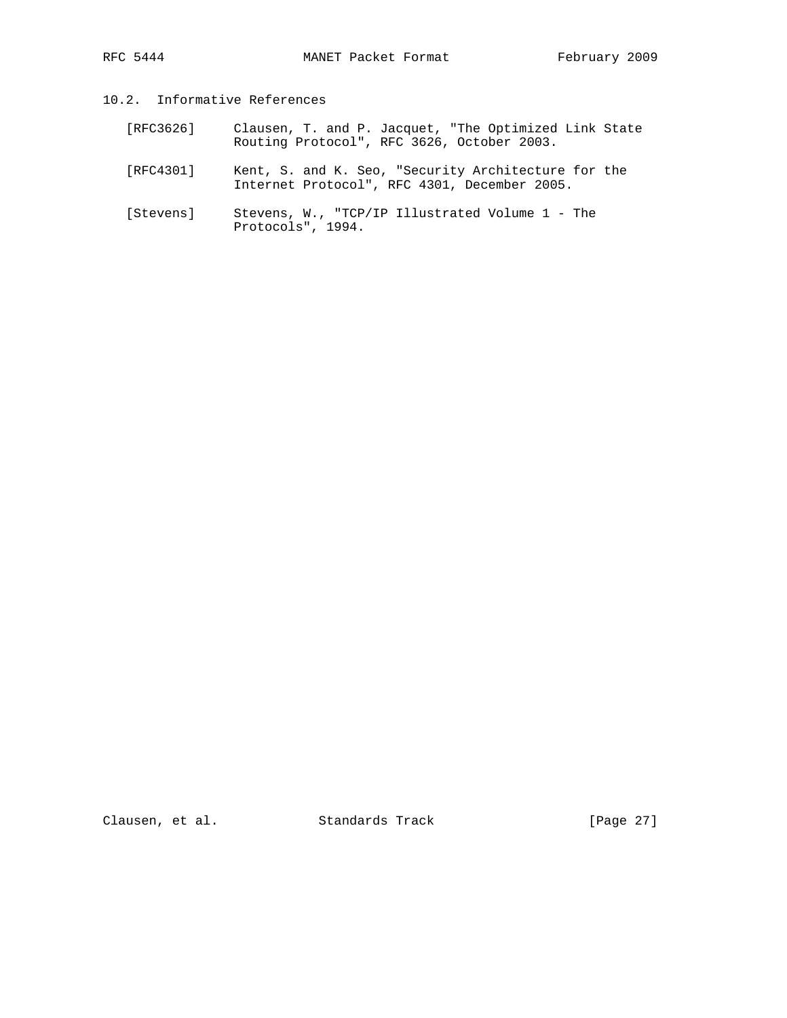# 10.2. Informative References

- [RFC3626] Clausen, T. and P. Jacquet, "The Optimized Link State Routing Protocol", RFC 3626, October 2003.
	- [RFC4301] Kent, S. and K. Seo, "Security Architecture for the Internet Protocol", RFC 4301, December 2005.
	- [Stevens] Stevens, W., "TCP/IP Illustrated Volume 1 The Protocols", 1994.

Clausen, et al. Standards Track [Page 27]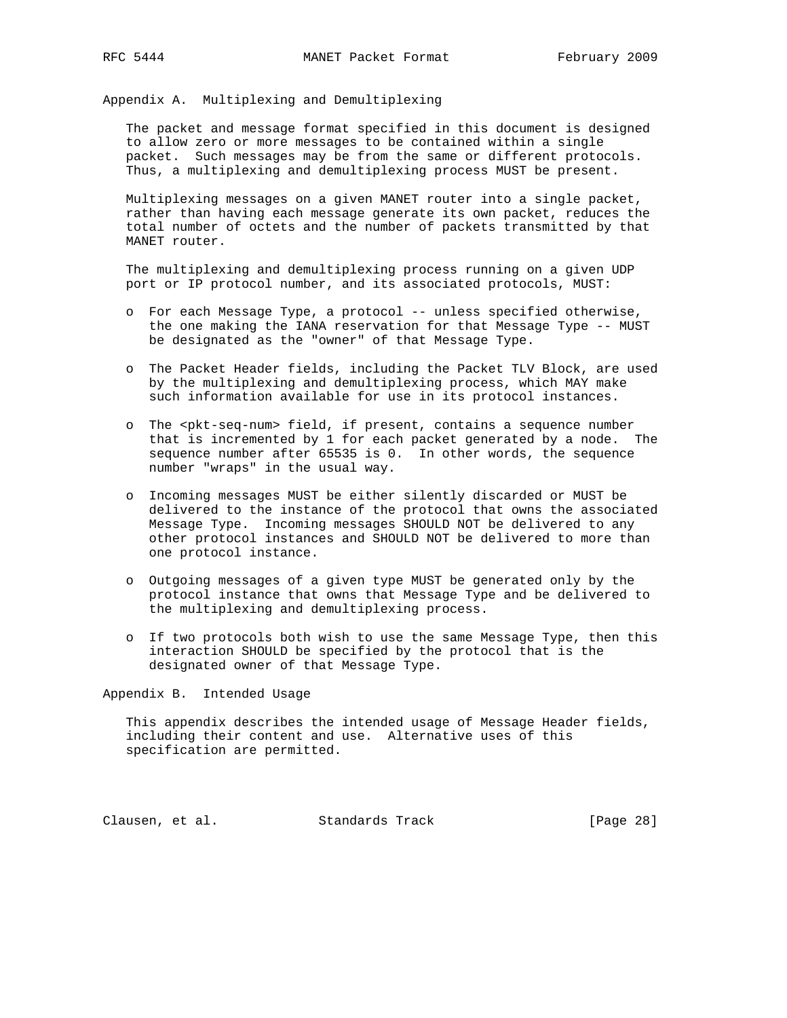Appendix A. Multiplexing and Demultiplexing

 The packet and message format specified in this document is designed to allow zero or more messages to be contained within a single packet. Such messages may be from the same or different protocols. Thus, a multiplexing and demultiplexing process MUST be present.

 Multiplexing messages on a given MANET router into a single packet, rather than having each message generate its own packet, reduces the total number of octets and the number of packets transmitted by that MANET router.

 The multiplexing and demultiplexing process running on a given UDP port or IP protocol number, and its associated protocols, MUST:

- o For each Message Type, a protocol -- unless specified otherwise, the one making the IANA reservation for that Message Type -- MUST be designated as the "owner" of that Message Type.
- o The Packet Header fields, including the Packet TLV Block, are used by the multiplexing and demultiplexing process, which MAY make such information available for use in its protocol instances.
- o The <pkt-seq-num> field, if present, contains a sequence number that is incremented by 1 for each packet generated by a node. The sequence number after 65535 is 0. In other words, the sequence number "wraps" in the usual way.
- o Incoming messages MUST be either silently discarded or MUST be delivered to the instance of the protocol that owns the associated Message Type. Incoming messages SHOULD NOT be delivered to any other protocol instances and SHOULD NOT be delivered to more than one protocol instance.
- o Outgoing messages of a given type MUST be generated only by the protocol instance that owns that Message Type and be delivered to the multiplexing and demultiplexing process.
- o If two protocols both wish to use the same Message Type, then this interaction SHOULD be specified by the protocol that is the designated owner of that Message Type.

Appendix B. Intended Usage

 This appendix describes the intended usage of Message Header fields, including their content and use. Alternative uses of this specification are permitted.

Clausen, et al. Standards Track [Page 28]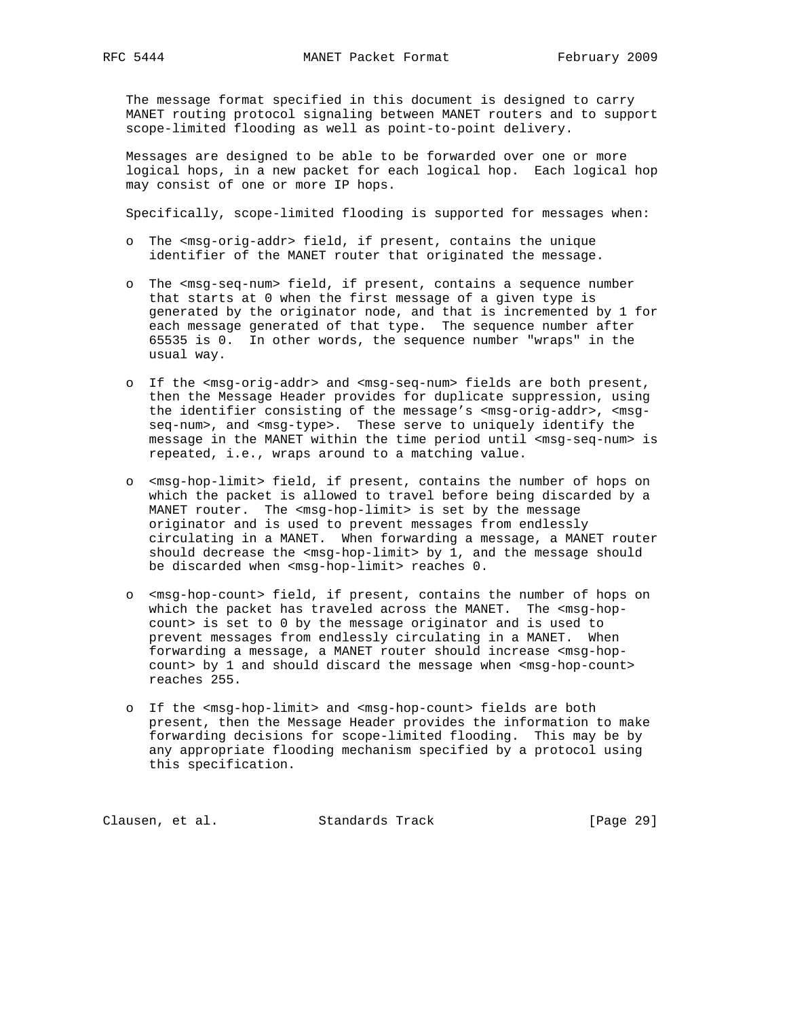The message format specified in this document is designed to carry MANET routing protocol signaling between MANET routers and to support scope-limited flooding as well as point-to-point delivery.

 Messages are designed to be able to be forwarded over one or more logical hops, in a new packet for each logical hop. Each logical hop may consist of one or more IP hops.

Specifically, scope-limited flooding is supported for messages when:

- o The <msg-orig-addr> field, if present, contains the unique identifier of the MANET router that originated the message.
- o The <msg-seq-num> field, if present, contains a sequence number that starts at 0 when the first message of a given type is generated by the originator node, and that is incremented by 1 for each message generated of that type. The sequence number after 65535 is 0. In other words, the sequence number "wraps" in the usual way.
- o If the <msg-orig-addr> and <msg-seq-num> fields are both present, then the Message Header provides for duplicate suppression, using the identifier consisting of the message's <msg-orig-addr>, <msg seq-num>, and <msg-type>. These serve to uniquely identify the message in the MANET within the time period until <msg-seq-num> is repeated, i.e., wraps around to a matching value.
- o <msg-hop-limit> field, if present, contains the number of hops on which the packet is allowed to travel before being discarded by a MANET router. The <msg-hop-limit> is set by the message originator and is used to prevent messages from endlessly circulating in a MANET. When forwarding a message, a MANET router should decrease the <msg-hop-limit> by 1, and the message should be discarded when <msg-hop-limit> reaches 0.
- o <msg-hop-count> field, if present, contains the number of hops on which the packet has traveled across the MANET. The <msg-hop count> is set to 0 by the message originator and is used to prevent messages from endlessly circulating in a MANET. When forwarding a message, a MANET router should increase <msg-hop count> by 1 and should discard the message when <msg-hop-count> reaches 255.
- o If the <msg-hop-limit> and <msg-hop-count> fields are both present, then the Message Header provides the information to make forwarding decisions for scope-limited flooding. This may be by any appropriate flooding mechanism specified by a protocol using this specification.

Clausen, et al. Standards Track [Page 29]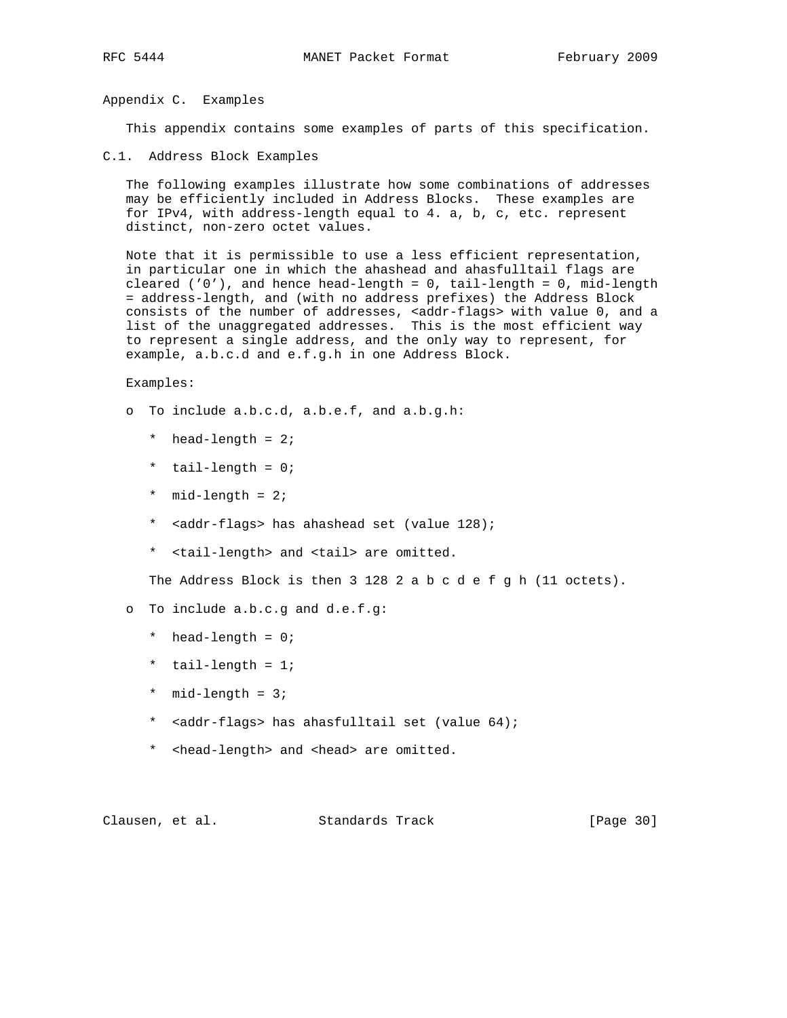Appendix C. Examples

This appendix contains some examples of parts of this specification.

C.1. Address Block Examples

 The following examples illustrate how some combinations of addresses may be efficiently included in Address Blocks. These examples are for IPv4, with address-length equal to 4. a, b, c, etc. represent distinct, non-zero octet values.

 Note that it is permissible to use a less efficient representation, in particular one in which the ahashead and ahasfulltail flags are cleared  $('0')$ , and hence head-length = 0, tail-length = 0, mid-length = address-length, and (with no address prefixes) the Address Block consists of the number of addresses, <addr-flags> with value 0, and a list of the unaggregated addresses. This is the most efficient way to represent a single address, and the only way to represent, for example, a.b.c.d and e.f.g.h in one Address Block.

Examples:

- o To include a.b.c.d, a.b.e.f, and a.b.g.h:
	- \* head-length = 2;
	- \* tail-length = 0;
	- \* mid-length = 2;
	- \* <addr-flags> has ahashead set (value 128);
	- \* <tail-length> and <tail> are omitted.

The Address Block is then 3 128 2 a b c d e f g h (11 octets).

- o To include a.b.c.g and d.e.f.g:
	- \* head-length = 0;
	- \* tail-length = 1;
	- \* mid-length = 3;
	- \* <addr-flags> has ahasfulltail set (value 64);
	- \* <head-length> and <head> are omitted.

Clausen, et al. Standards Track [Page 30]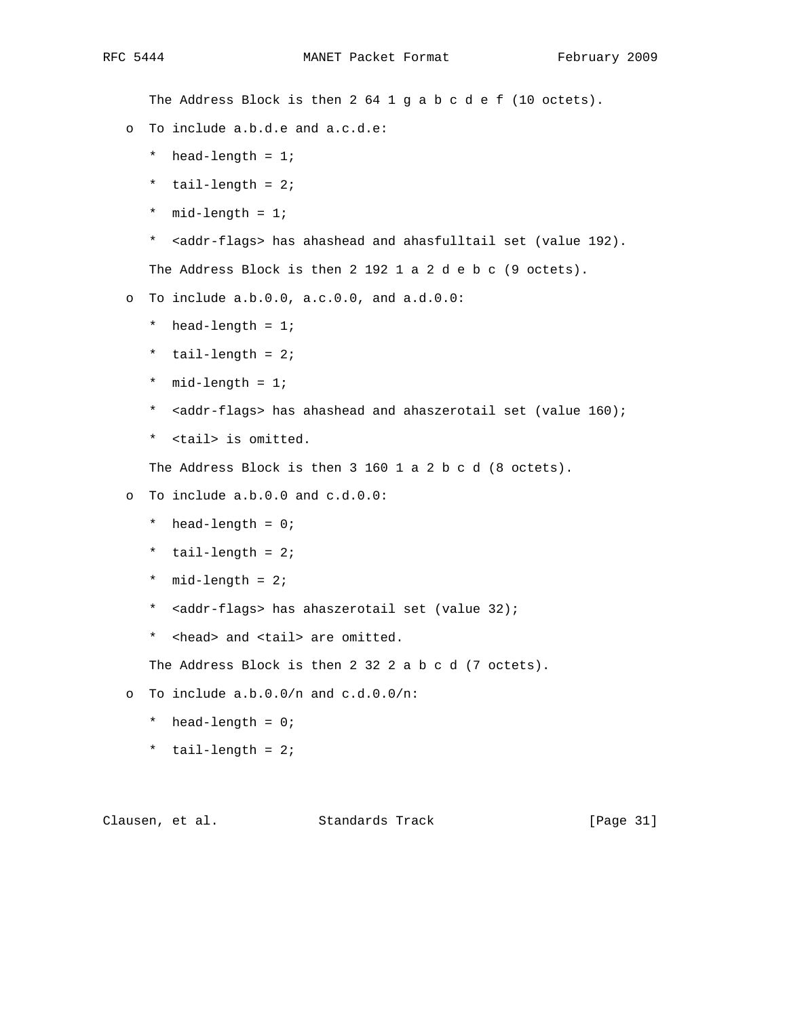The Address Block is then 2 64 1 g a b c d e f (10 octets).

- o To include a.b.d.e and a.c.d.e:
	- \* head-length = 1;
	- \* tail-length = 2;
	- \* mid-length = 1;
	- \* <addr-flags> has ahashead and ahasfulltail set (value 192).

The Address Block is then 2 192 1 a 2 d e b c (9 octets).

o To include a.b.0.0, a.c.0.0, and a.d.0.0:

- \* head-length = 1;
- \* tail-length = 2;
- \* mid-length = 1;
- \* <addr-flags> has ahashead and ahaszerotail set (value 160);
- \* <tail> is omitted.

The Address Block is then 3 160 1 a 2 b c d (8 octets).

o To include a.b.0.0 and c.d.0.0:

- \* head-length = 0;
- \* tail-length = 2;
- \* mid-length = 2;
- \* <addr-flags> has ahaszerotail set (value 32);
- \* <head> and <tail> are omitted.

The Address Block is then 2 32 2 a b c d (7 octets).

- o To include a.b.0.0/n and c.d.0.0/n:
	- \* head-length = 0;
	- \* tail-length = 2;

Clausen, et al. Standards Track [Page 31]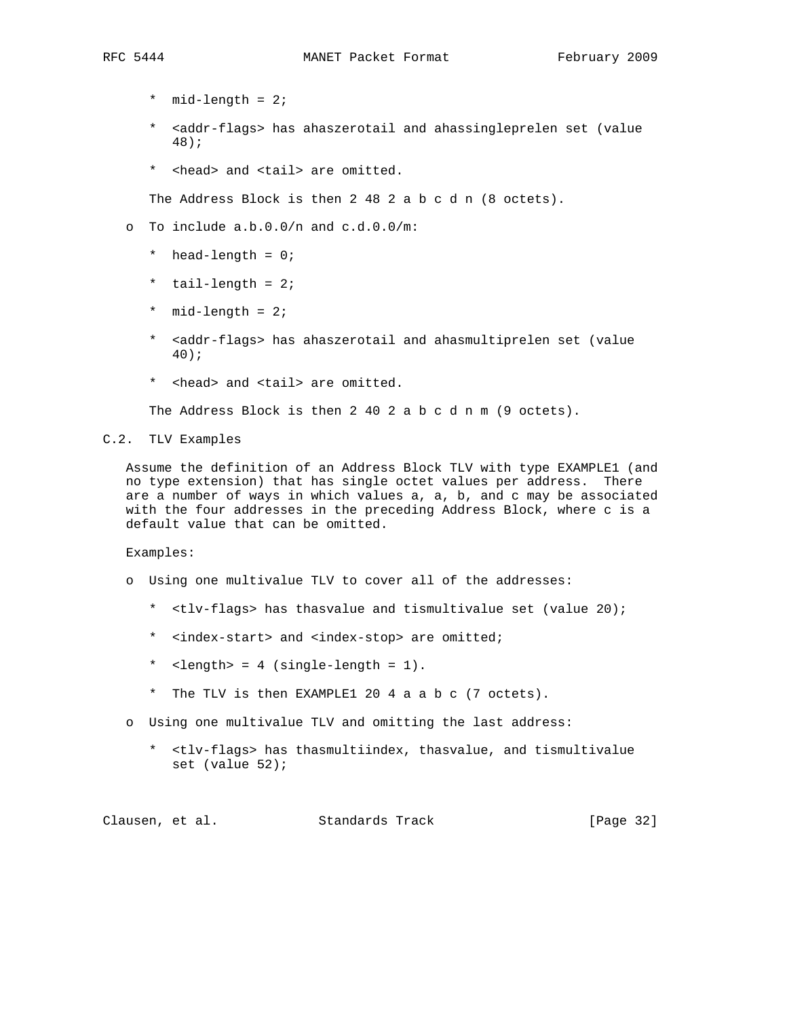- \* mid-length = 2;
- \* <addr-flags> has ahaszerotail and ahassingleprelen set (value 48);
- \* <head> and <tail> are omitted.

The Address Block is then 2 48 2 a b c d n (8 octets).

- o To include a.b.0.0/n and c.d.0.0/m:
	- \* head-length = 0;
	- \* tail-length = 2;
	- \* mid-length = 2;
	- \* <addr-flags> has ahaszerotail and ahasmultiprelen set (value 40);
	- \* <head> and <tail> are omitted.

The Address Block is then 2 40 2 a b c d n m (9 octets).

C.2. TLV Examples

 Assume the definition of an Address Block TLV with type EXAMPLE1 (and no type extension) that has single octet values per address. There are a number of ways in which values a, a, b, and c may be associated with the four addresses in the preceding Address Block, where c is a default value that can be omitted.

Examples:

- o Using one multivalue TLV to cover all of the addresses:
	- \* <tlv-flags> has thasvalue and tismultivalue set (value 20);
	- \* <index-start> and <index-stop> are omitted;
	- \* <length> = 4 (single-length = 1).
	- \* The TLV is then EXAMPLE1 20 4 a a b c (7 octets).
- o Using one multivalue TLV and omitting the last address:
	- \* <tlv-flags> has thasmultiindex, thasvalue, and tismultivalue set (value 52);

Clausen, et al. Standards Track [Page 32]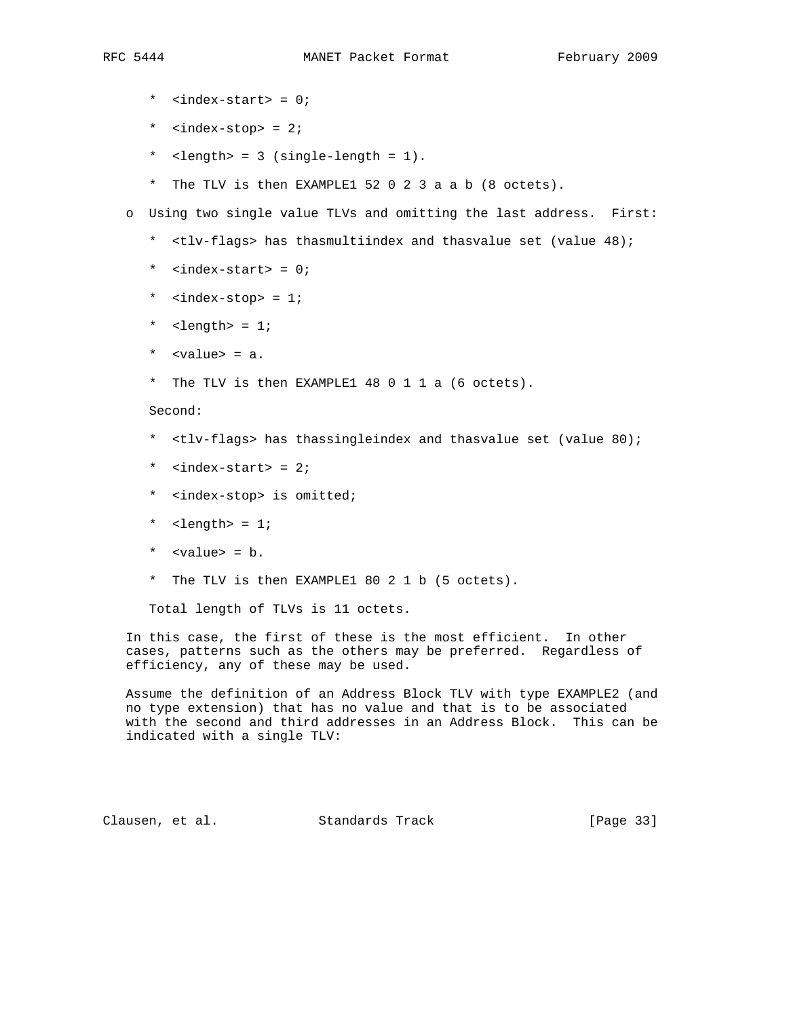- \* <index-start> = 0;
- \* <index-stop> = 2;
- \* <length> = 3 (single-length = 1).
- \* The TLV is then EXAMPLE1 52 0 2 3 a a b (8 octets).
- o Using two single value TLVs and omitting the last address. First:
	- \* <tlv-flags> has thasmultiindex and thasvalue set (value 48);
	- \* <index-start> = 0;
	- \* <index-stop> = 1;
	- \* <length> = 1;
	- \* <value> = a.
	- \* The TLV is then EXAMPLE1 48 0 1 1 a (6 octets).

Second:

- \* <tlv-flags> has thassingleindex and thasvalue set (value 80);
- \*  $\langle$ index-start> = 2;
- \* <index-stop> is omitted;
- \* <length> = 1;
- \* <value> = b.
- \* The TLV is then EXAMPLE1 80 2 1 b (5 octets).

Total length of TLVs is 11 octets.

 In this case, the first of these is the most efficient. In other cases, patterns such as the others may be preferred. Regardless of efficiency, any of these may be used.

 Assume the definition of an Address Block TLV with type EXAMPLE2 (and no type extension) that has no value and that is to be associated with the second and third addresses in an Address Block. This can be indicated with a single TLV:

Clausen, et al. Standards Track [Page 33]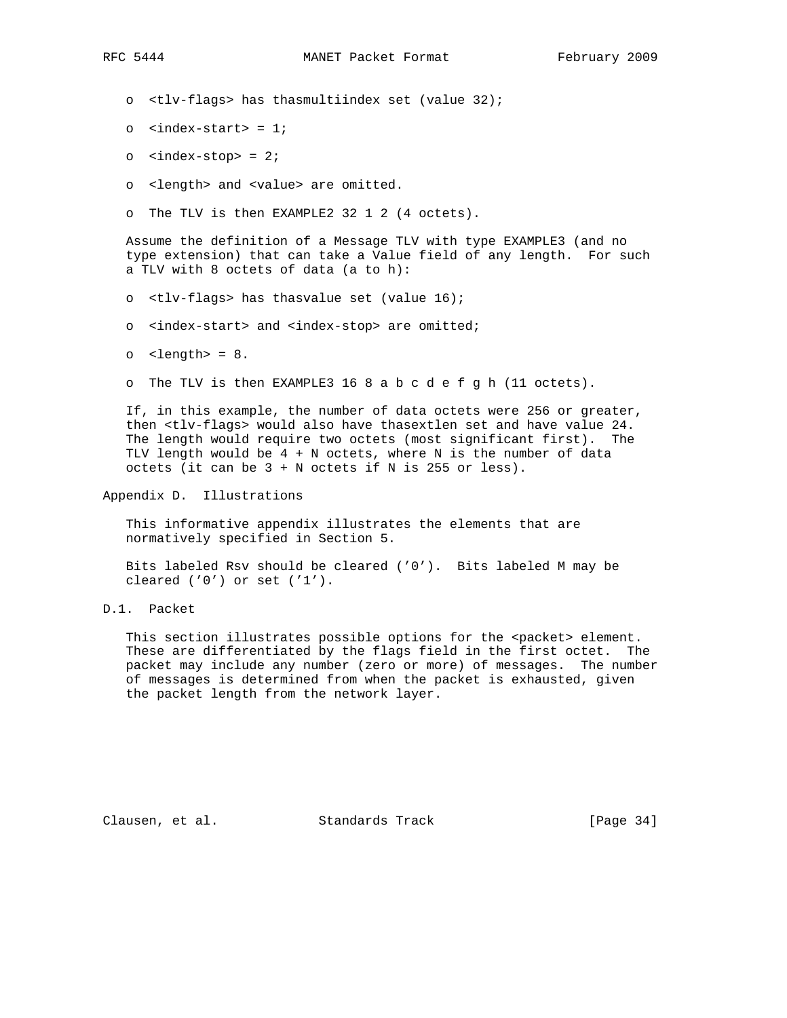o <tlv-flags> has thasmultiindex set (value 32);

- $o$  <index-start> = 1;
- o <index-stop> = 2;
- o <length> and <value> are omitted.
- o The TLV is then EXAMPLE2 32 1 2 (4 octets).

 Assume the definition of a Message TLV with type EXAMPLE3 (and no type extension) that can take a Value field of any length. For such a TLV with 8 octets of data (a to h):

- o <tlv-flags> has thasvalue set (value 16);
- o <index-start> and <index-stop> are omitted;
- o <length> = 8.
- o The TLV is then EXAMPLE3 16 8 a b c d e f g h (11 octets).

 If, in this example, the number of data octets were 256 or greater, then <tlv-flags> would also have thasextlen set and have value 24. The length would require two octets (most significant first). The TLV length would be  $4 + N$  octets, where N is the number of data octets (it can be  $3 + N$  octets if N is 255 or less).

Appendix D. Illustrations

 This informative appendix illustrates the elements that are normatively specified in Section 5.

 Bits labeled Rsv should be cleared ('0'). Bits labeled M may be cleared  $('0')$  or set  $('1')$ .

D.1. Packet

This section illustrates possible options for the <packet> element. These are differentiated by the flags field in the first octet. The packet may include any number (zero or more) of messages. The number of messages is determined from when the packet is exhausted, given the packet length from the network layer.

Clausen, et al. Standards Track [Page 34]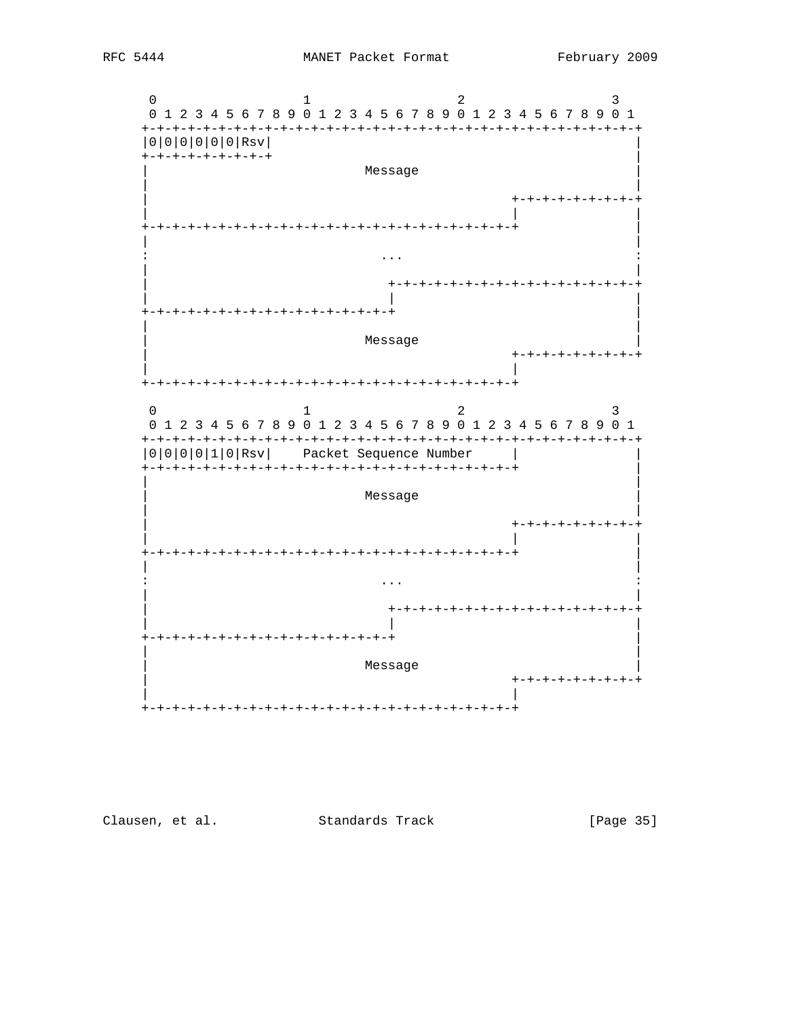

[Page 35]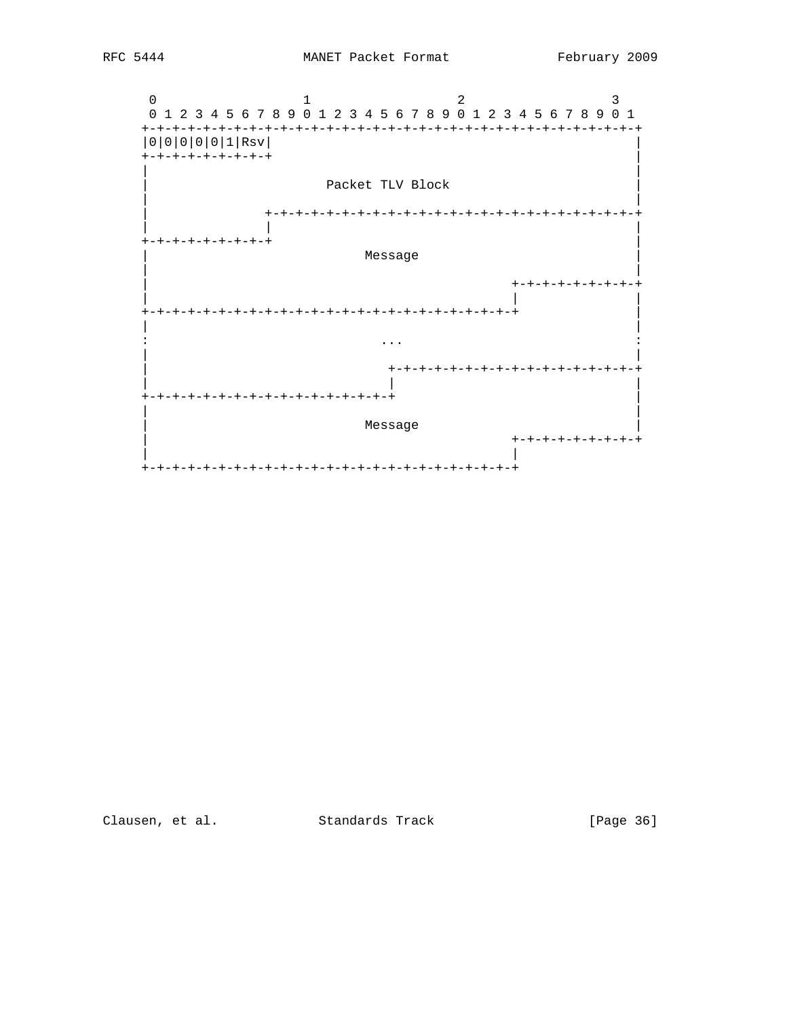



[Page 36]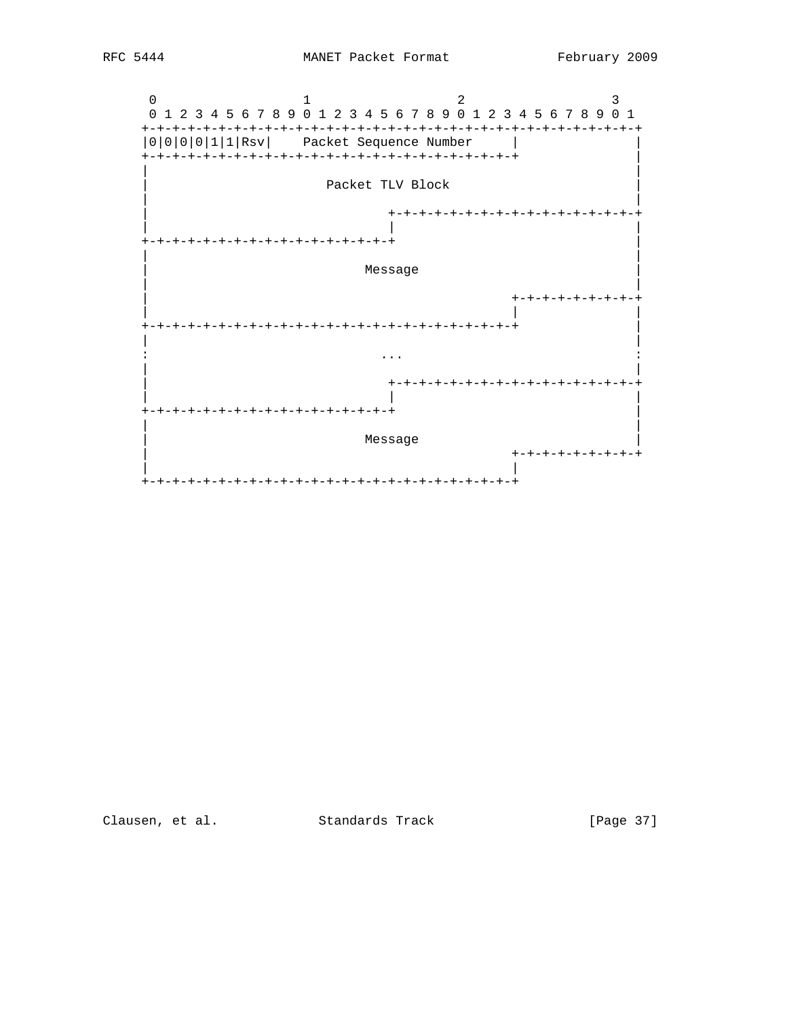

[Page 37]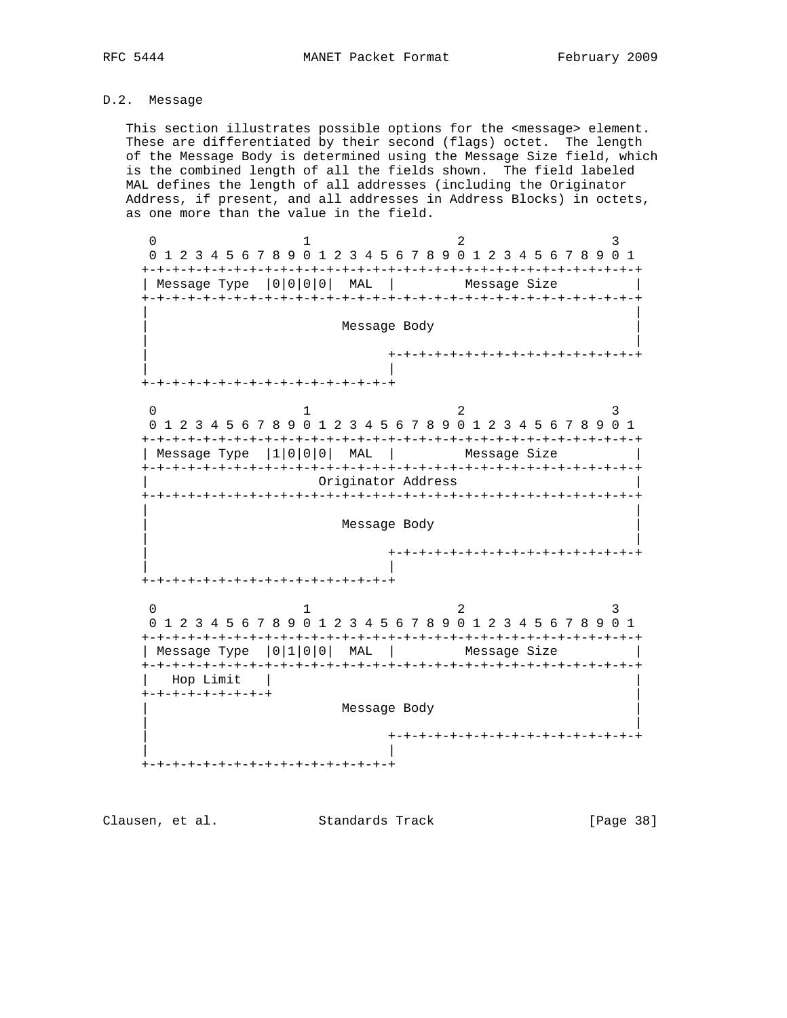# D.2. Message

 This section illustrates possible options for the <message> element. These are differentiated by their second (flags) octet. The length of the Message Body is determined using the Message Size field, which is the combined length of all the fields shown. The field labeled MAL defines the length of all addresses (including the Originator Address, if present, and all addresses in Address Blocks) in octets, as one more than the value in the field.

0  $1$   $2$   $3$  0 1 2 3 4 5 6 7 8 9 0 1 2 3 4 5 6 7 8 9 0 1 2 3 4 5 6 7 8 9 0 1 +-+-+-+-+-+-+-+-+-+-+-+-+-+-+-+-+-+-+-+-+-+-+-+-+-+-+-+-+-+-+-+-+ | Message Type | 0 | 0 | 0 | 0 | MAL | Message Size +-+-+-+-+-+-+-+-+-+-+-+-+-+-+-+-+-+-+-+-+-+-+-+-+-+-+-+-+-+-+-+-+ | | Message Body | | | +-+-+-+-+-+-+-+-+-+-+-+-+-+-+-+-+ | | +-+-+-+-+-+-+-+-+-+-+-+-+-+-+-+-+ 0  $1$   $2$   $3$  0 1 2 3 4 5 6 7 8 9 0 1 2 3 4 5 6 7 8 9 0 1 2 3 4 5 6 7 8 9 0 1 +-+-+-+-+-+-+-+-+-+-+-+-+-+-+-+-+-+-+-+-+-+-+-+-+-+-+-+-+-+-+-+-+ | Message Type |1|0|0|0| MAL | Message Size +-+-+-+-+-+-+-+-+-+-+-+-+-+-+-+-+-+-+-+-+-+-+-+-+-+-+-+-+-+-+-+-+ | Originator Address | +-+-+-+-+-+-+-+-+-+-+-+-+-+-+-+-+-+-+-+-+-+-+-+-+-+-+-+-+-+-+-+-+ | | | Message Body | | | | +-+-+-+-+-+-+-+-+-+-+-+-+-+-+-+-+ | | +-+-+-+-+-+-+-+-+-+-+-+-+-+-+-+-+ 0  $1$   $2$   $3$  0 1 2 3 4 5 6 7 8 9 0 1 2 3 4 5 6 7 8 9 0 1 2 3 4 5 6 7 8 9 0 1 +-+-+-+-+-+-+-+-+-+-+-+-+-+-+-+-+-+-+-+-+-+-+-+-+-+-+-+-+-+-+-+-+ | Message Type | 0 | 1 | 0 | 0 | MAL | Message Size +-+-+-+-+-+-+-+-+-+-+-+-+-+-+-+-+-+-+-+-+-+-+-+-+-+-+-+-+-+-+-+-+ | Hop Limit +-+-+-+-+-+-+-+-+ | | Message Body | | | | +-+-+-+-+-+-+-+-+-+-+-+-+-+-+-+-+ | | +-+-+-+-+-+-+-+-+-+-+-+-+-+-+-+-+

Clausen, et al. Standards Track [Page 38]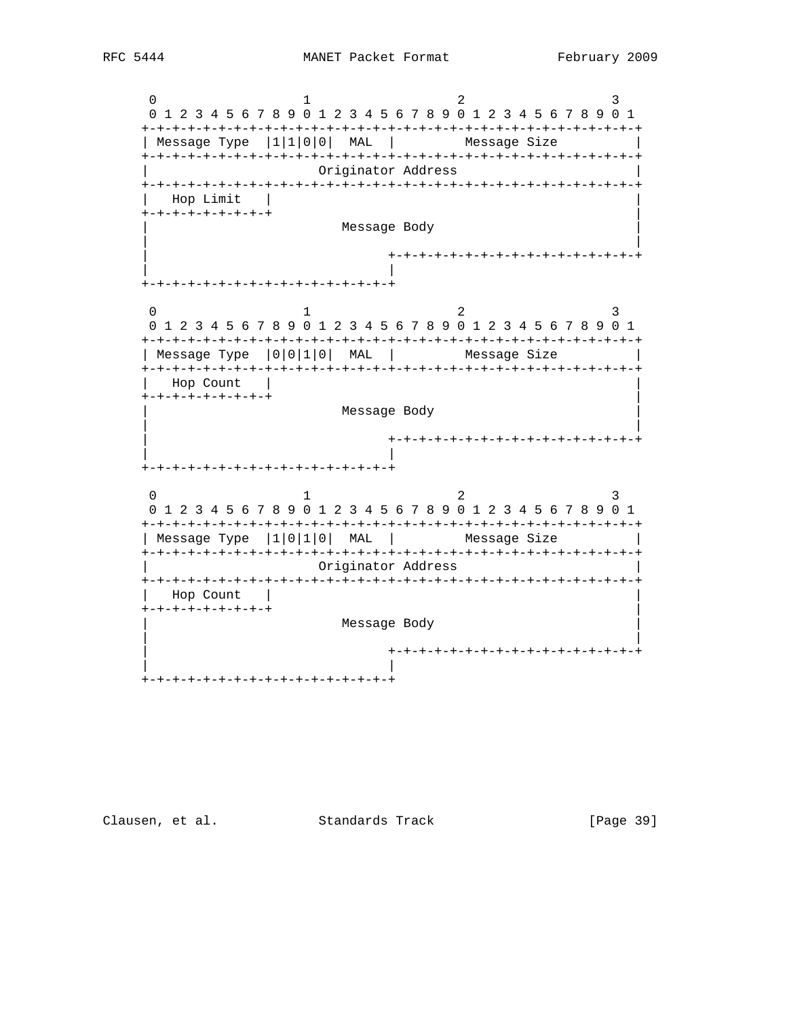Clausen, et al. Standards Track

[Page 39]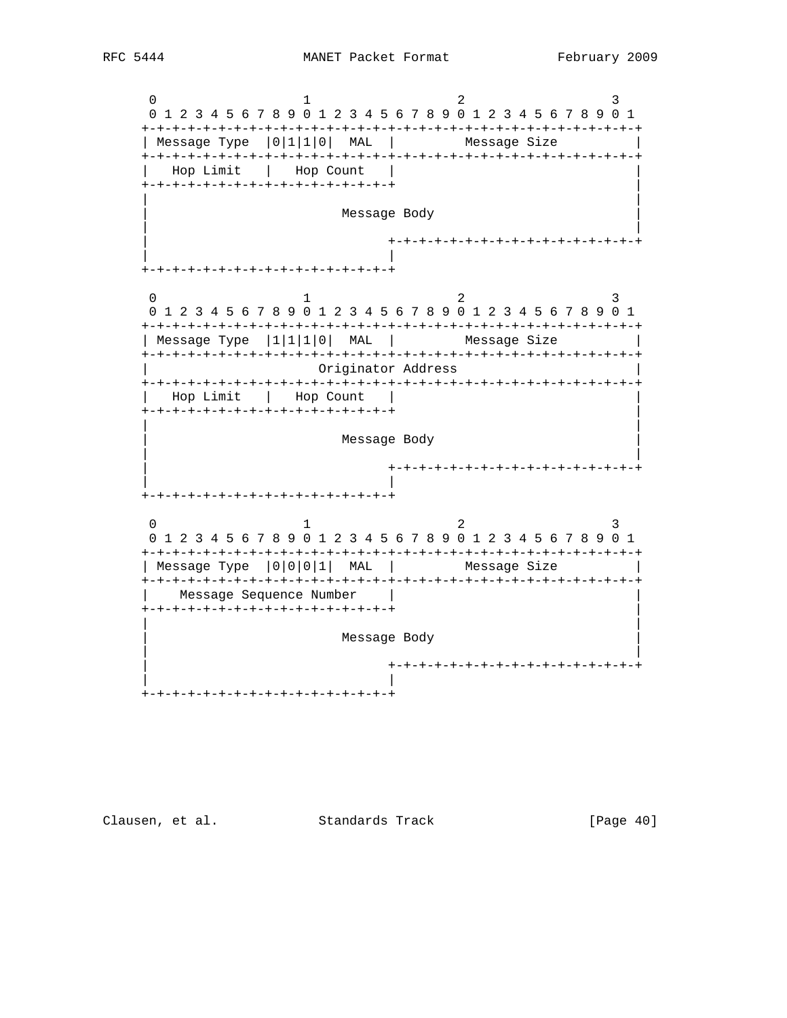0  $1$   $2$   $3$  0 1 2 3 4 5 6 7 8 9 0 1 2 3 4 5 6 7 8 9 0 1 2 3 4 5 6 7 8 9 0 1 +-+-+-+-+-+-+-+-+-+-+-+-+-+-+-+-+-+-+-+-+-+-+-+-+-+-+-+-+-+-+-+-+ | Message Type | 0 | 1 | 1 | 0 | MAL | Message Size +-+-+-+-+-+-+-+-+-+-+-+-+-+-+-+-+-+-+-+-+-+-+-+-+-+-+-+-+-+-+-+-+ Hop Limit | Hop Count +-+-+-+-+-+-+-+-+-+-+-+-+-+-+-+-+ | | | Message Body | | | +-+-+-+-+-+-+-+-+-+-+-+-+-+-+-+-+ | | +-+-+-+-+-+-+-+-+-+-+-+-+-+-+-+-+  $0$  and  $1$  and  $2$  3 0 1 2 3 4 5 6 7 8 9 0 1 2 3 4 5 6 7 8 9 0 1 2 3 4 5 6 7 8 9 0 1 +-+-+-+-+-+-+-+-+-+-+-+-+-+-+-+-+-+-+-+-+-+-+-+-+-+-+-+-+-+-+-+-+ | Message Type  $|1|1|1|0|$  MAL | Message Size +-+-+-+-+-+-+-+-+-+-+-+-+-+-+-+-+-+-+-+-+-+-+-+-+-+-+-+-+-+-+-+-+ | Originator Address | +-+-+-+-+-+-+-+-+-+-+-+-+-+-+-+-+-+-+-+-+-+-+-+-+-+-+-+-+-+-+-+-+ | Hop Limit | Hop Count | | +-+-+-+-+-+-+-+-+-+-+-+-+-+-+-+-+ | | | Message Body | | | +-+-+-+-+-+-+-+-+-+-+-+-+-+-+-+-+ | | +-+-+-+-+-+-+-+-+-+-+-+-+-+-+-+-+ 0  $1$   $2$   $3$  0 1 2 3 4 5 6 7 8 9 0 1 2 3 4 5 6 7 8 9 0 1 2 3 4 5 6 7 8 9 0 1 +-+-+-+-+-+-+-+-+-+-+-+-+-+-+-+-+-+-+-+-+-+-+-+-+-+-+-+-+-+-+-+-+ | Message Type  $|0|0|0|1|$  MAL | Message Size +-+-+-+-+-+-+-+-+-+-+-+-+-+-+-+-+-+-+-+-+-+-+-+-+-+-+-+-+-+-+-+-+ Message Sequence Number +-+-+-+-+-+-+-+-+-+-+-+-+-+-+-+-+ | | | Message Body | | | +-+-+-+-+-+-+-+-+-+-+-+-+-+-+-+-+ | | +-+-+-+-+-+-+-+-+-+-+-+-+-+-+-+-+

Clausen, et al. Standards Track [Page 40]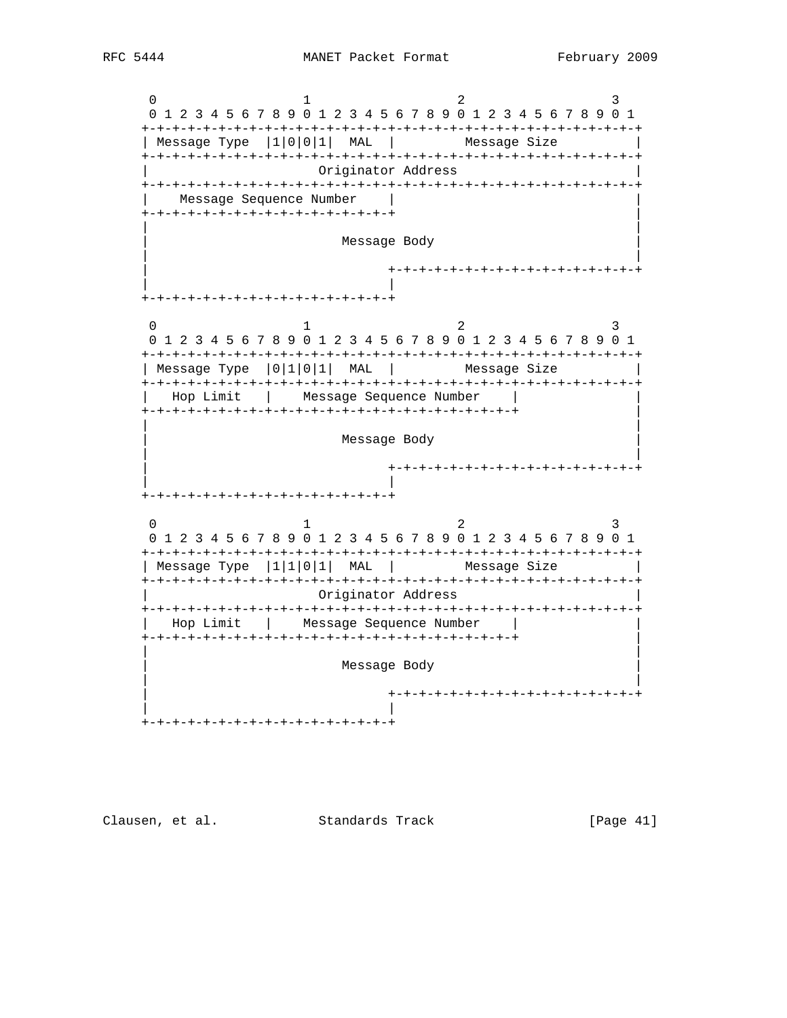0  $1$   $2$   $3$  0 1 2 3 4 5 6 7 8 9 0 1 2 3 4 5 6 7 8 9 0 1 2 3 4 5 6 7 8 9 0 1 +-+-+-+-+-+-+-+-+-+-+-+-+-+-+-+-+-+-+-+-+-+-+-+-+-+-+-+-+-+-+-+-+ | Message Type  $|1|0|0|1|$  MAL | Message Size +-+-+-+-+-+-+-+-+-+-+-+-+-+-+-+-+-+-+-+-+-+-+-+-+-+-+-+-+-+-+-+-+ | Originator Address | +-+-+-+-+-+-+-+-+-+-+-+-+-+-+-+-+-+-+-+-+-+-+-+-+-+-+-+-+-+-+-+-+ Message Sequence Number +-+-+-+-+-+-+-+-+-+-+-+-+-+-+-+-+ | | | | Message Body | | | | +-+-+-+-+-+-+-+-+-+-+-+-+-+-+-+-+ | | +-+-+-+-+-+-+-+-+-+-+-+-+-+-+-+-+ 0  $1$   $2$   $3$  0 1 2 3 4 5 6 7 8 9 0 1 2 3 4 5 6 7 8 9 0 1 2 3 4 5 6 7 8 9 0 1 +-+-+-+-+-+-+-+-+-+-+-+-+-+-+-+-+-+-+-+-+-+-+-+-+-+-+-+-+-+-+-+-+  $|$  Message Type  $|0|1|0|1|$  MAL  $|$  Message Size +-+-+-+-+-+-+-+-+-+-+-+-+-+-+-+-+-+-+-+-+-+-+-+-+-+-+-+-+-+-+-+-+ | Hop Limit | Message Sequence Number | | +-+-+-+-+-+-+-+-+-+-+-+-+-+-+-+-+-+-+-+-+-+-+-+-+ | | | Message Body | | | +-+-+-+-+-+-+-+-+-+-+-+-+-+-+-+-+ | | +-+-+-+-+-+-+-+-+-+-+-+-+-+-+-+-+ 0  $1$   $2$   $3$  0 1 2 3 4 5 6 7 8 9 0 1 2 3 4 5 6 7 8 9 0 1 2 3 4 5 6 7 8 9 0 1 +-+-+-+-+-+-+-+-+-+-+-+-+-+-+-+-+-+-+-+-+-+-+-+-+-+-+-+-+-+-+-+-+ | Message Type  $|1|1|0|1|$  MAL | Message Size +-+-+-+-+-+-+-+-+-+-+-+-+-+-+-+-+-+-+-+-+-+-+-+-+-+-+-+-+-+-+-+-+ | Originator Address | +-+-+-+-+-+-+-+-+-+-+-+-+-+-+-+-+-+-+-+-+-+-+-+-+-+-+-+-+-+-+-+-+ | Hop Limit | Message Sequence Number | | +-+-+-+-+-+-+-+-+-+-+-+-+-+-+-+-+-+-+-+-+-+-+-+-+ | | | Message Body | | | +-+-+-+-+-+-+-+-+-+-+-+-+-+-+-+-+ | | +-+-+-+-+-+-+-+-+-+-+-+-+-+-+-+-+

Clausen, et al. Standards Track [Page 41]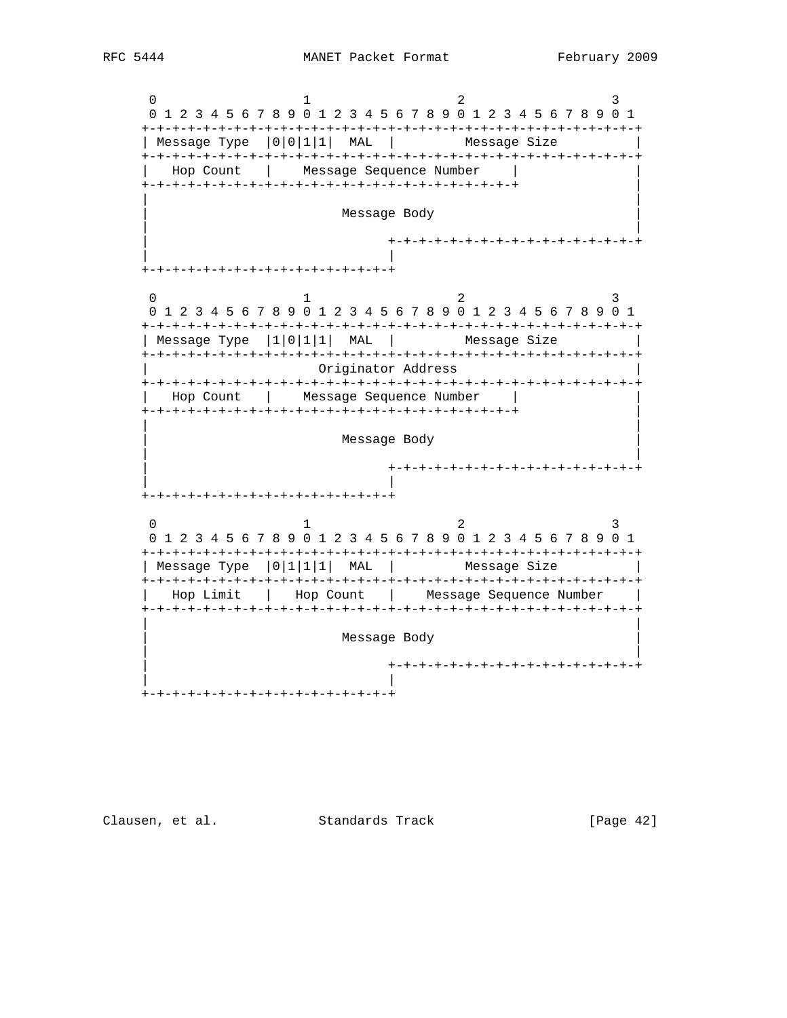0  $1$   $2$   $3$  0 1 2 3 4 5 6 7 8 9 0 1 2 3 4 5 6 7 8 9 0 1 2 3 4 5 6 7 8 9 0 1 +-+-+-+-+-+-+-+-+-+-+-+-+-+-+-+-+-+-+-+-+-+-+-+-+-+-+-+-+-+-+-+-+ | Message Type  $|0|0|1|1|$  MAL | Message Size +-+-+-+-+-+-+-+-+-+-+-+-+-+-+-+-+-+-+-+-+-+-+-+-+-+-+-+-+-+-+-+-+ Hop Count | Message Sequence Number +-+-+-+-+-+-+-+-+-+-+-+-+-+-+-+-+-+-+-+-+-+-+-+-+ | | | Message Body | | | +-+-+-+-+-+-+-+-+-+-+-+-+-+-+-+-+ | | +-+-+-+-+-+-+-+-+-+-+-+-+-+-+-+-+  $0$  and  $1$  and  $2$  3 0 1 2 3 4 5 6 7 8 9 0 1 2 3 4 5 6 7 8 9 0 1 2 3 4 5 6 7 8 9 0 1 +-+-+-+-+-+-+-+-+-+-+-+-+-+-+-+-+-+-+-+-+-+-+-+-+-+-+-+-+-+-+-+-+ | Message Type  $|1|0|1|1|$  MAL | Message Size +-+-+-+-+-+-+-+-+-+-+-+-+-+-+-+-+-+-+-+-+-+-+-+-+-+-+-+-+-+-+-+-+ | Originator Address | +-+-+-+-+-+-+-+-+-+-+-+-+-+-+-+-+-+-+-+-+-+-+-+-+-+-+-+-+-+-+-+-+ | Hop Count | Message Sequence Number | | +-+-+-+-+-+-+-+-+-+-+-+-+-+-+-+-+-+-+-+-+-+-+-+-+ | | | Message Body | | | +-+-+-+-+-+-+-+-+-+-+-+-+-+-+-+-+ | | +-+-+-+-+-+-+-+-+-+-+-+-+-+-+-+-+ 0  $1$   $2$   $3$  0 1 2 3 4 5 6 7 8 9 0 1 2 3 4 5 6 7 8 9 0 1 2 3 4 5 6 7 8 9 0 1 +-+-+-+-+-+-+-+-+-+-+-+-+-+-+-+-+-+-+-+-+-+-+-+-+-+-+-+-+-+-+-+-+ | Message Type  $|0|1|1|1|$  MAL | Message Size +-+-+-+-+-+-+-+-+-+-+-+-+-+-+-+-+-+-+-+-+-+-+-+-+-+-+-+-+-+-+-+-+ Hop Limit | Hop Count | Message Sequence Number +-+-+-+-+-+-+-+-+-+-+-+-+-+-+-+-+-+-+-+-+-+-+-+-+-+-+-+-+-+-+-+-+ | | Message Body | | | +-+-+-+-+-+-+-+-+-+-+-+-+-+-+-+-+ | | +-+-+-+-+-+-+-+-+-+-+-+-+-+-+-+-+

Clausen, et al. Standards Track [Page 42]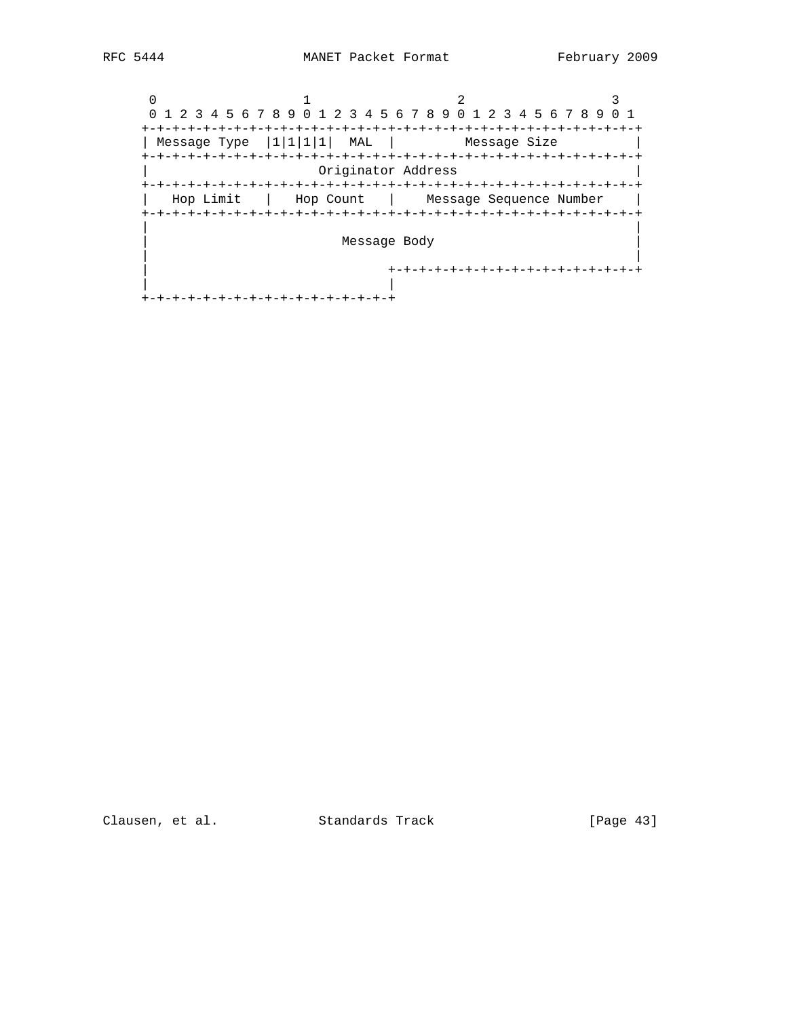0  $1$   $2$   $3$  0 1 2 3 4 5 6 7 8 9 0 1 2 3 4 5 6 7 8 9 0 1 2 3 4 5 6 7 8 9 0 1 +-+-+-+-+-+-+-+-+-+-+-+-+-+-+-+-+-+-+-+-+-+-+-+-+-+-+-+-+-+-+-+-+ | Message Type  $|1|1|1|1|$  MAL | Message Size +-+-+-+-+-+-+-+-+-+-+-+-+-+-+-+-+-+-+-+-+-+-+-+-+-+-+-+-+-+-+-+-+ | Originator Address | +-+-+-+-+-+-+-+-+-+-+-+-+-+-+-+-+-+-+-+-+-+-+-+-+-+-+-+-+-+-+-+-+ | Hop Limit | Hop Count | Message Sequence Number | +-+-+-+-+-+-+-+-+-+-+-+-+-+-+-+-+-+-+-+-+-+-+-+-+-+-+-+-+-+-+-+-+ | | Message Body | | | +-+-+-+-+-+-+-+-+-+-+-+-+-+-+-+-+ | | +-+-+-+-+-+-+-+-+-+-+-+-+-+-+-+-+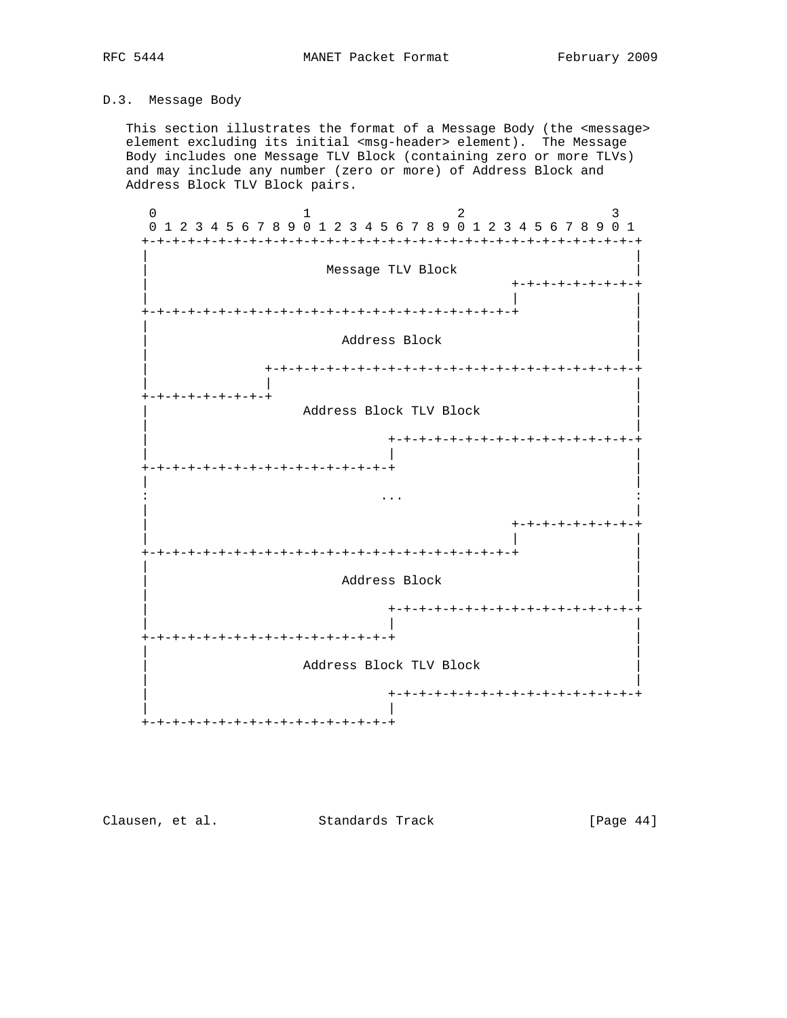# D.3. Message Body

 This section illustrates the format of a Message Body (the <message> element excluding its initial <msg-header> element). The Message Body includes one Message TLV Block (containing zero or more TLVs) and may include any number (zero or more) of Address Block and Address Block TLV Block pairs.



Clausen, et al. Standards Track [Page 44]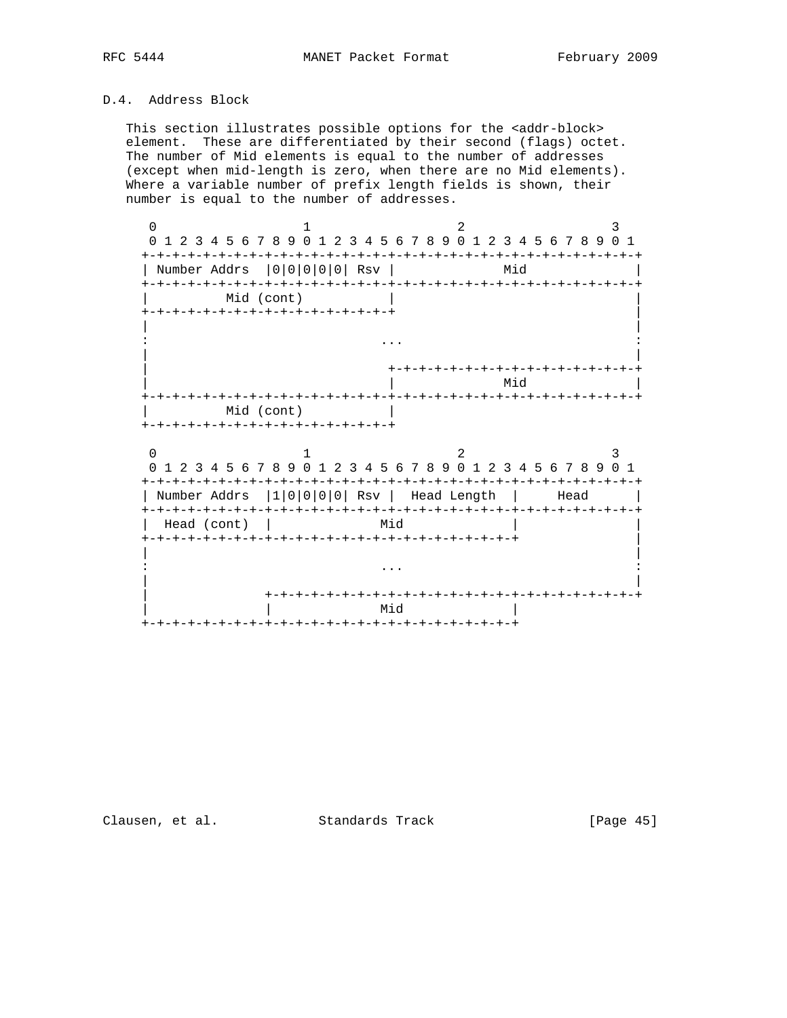# D.4. Address Block

This section illustrates possible options for the <addr-block> element. These are differentiated by their second (flags) octet. The number of Mid elements is equal to the number of addresses (except when mid-length is zero, when there are no Mid elements). Where a variable number of prefix length fields is shown, their number is equal to the number of addresses.

0  $1$   $2$   $3$  0 1 2 3 4 5 6 7 8 9 0 1 2 3 4 5 6 7 8 9 0 1 2 3 4 5 6 7 8 9 0 1 +-+-+-+-+-+-+-+-+-+-+-+-+-+-+-+-+-+-+-+-+-+-+-+-+-+-+-+-+-+-+-+-+ | Number Addrs |0|0|0|0|0| Rsv | Mid | +-+-+-+-+-+-+-+-+-+-+-+-+-+-+-+-+-+-+-+-+-+-+-+-+-+-+-+-+-+-+-+-+ Mid (cont) +-+-+-+-+-+-+-+-+-+-+-+-+-+-+-+-+ | | | : ... : | | | +-+-+-+-+-+-+-+-+-+-+-+-+-+-+-+-+ | | Mid | +-+-+-+-+-+-+-+-+-+-+-+-+-+-+-+-+-+-+-+-+-+-+-+-+-+-+-+-+-+-+-+-+ | Mid (cont) | +-+-+-+-+-+-+-+-+-+-+-+-+-+-+-+-+ 0  $1$   $2$   $3$  0 1 2 3 4 5 6 7 8 9 0 1 2 3 4 5 6 7 8 9 0 1 2 3 4 5 6 7 8 9 0 1 +-+-+-+-+-+-+-+-+-+-+-+-+-+-+-+-+-+-+-+-+-+-+-+-+-+-+-+-+-+-+-+-+ | Number Addrs |1|0|0|0|0| Rsv | Head Length | Head | +-+-+-+-+-+-+-+-+-+-+-+-+-+-+-+-+-+-+-+-+-+-+-+-+-+-+-+-+-+-+-+-+ | Head (cont) | Mid +-+-+-+-+-+-+-+-+-+-+-+-+-+-+-+-+-+-+-+-+-+-+-+-+ | | | : ... : | | | +-+-+-+-+-+-+-+-+-+-+-+-+-+-+-+-+-+-+-+-+-+-+-+-+ | | Mid | +-+-+-+-+-+-+-+-+-+-+-+-+-+-+-+-+-+-+-+-+-+-+-+-+

Clausen, et al. Standards Track [Page 45]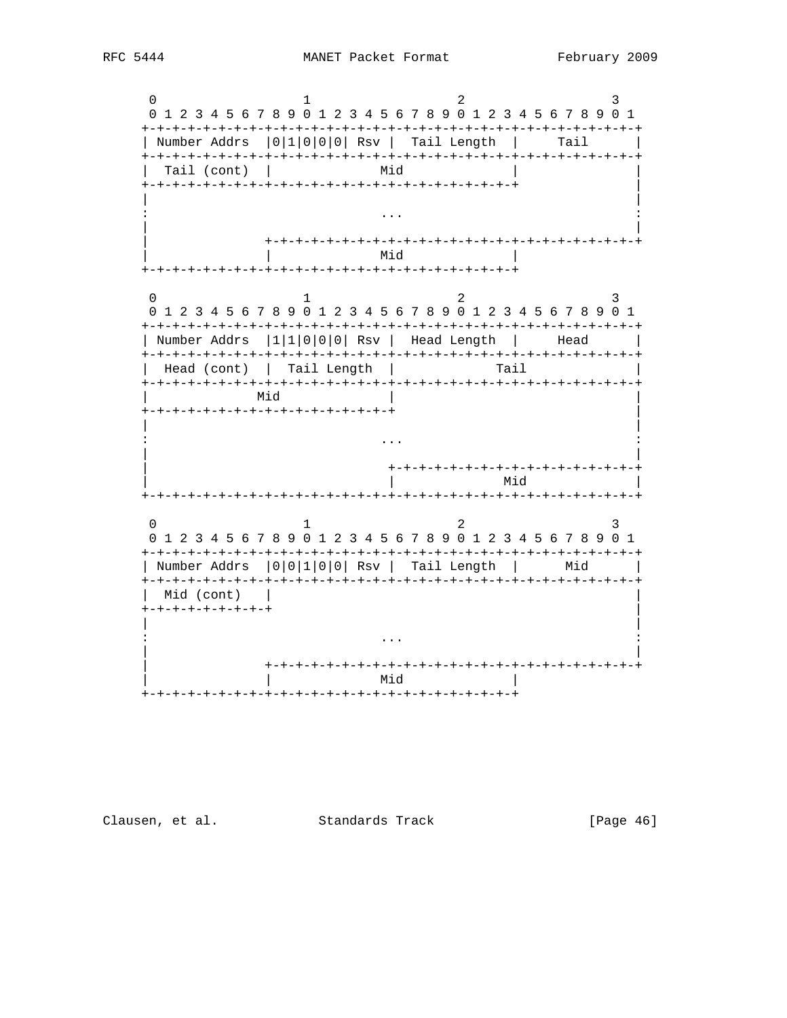$\Omega$  $\mathcal{L}$  $\mathbf{R}$  $\mathbf{1}$ 0 1 2 3 4 5 6 7 8 9 0 1 2 3 4 5 6 7 8 9 0 1 2 3 4 5 6 7 8 9 0 1 | Number Addrs | 0 | 1 | 0 | 0 | 0 | 0 | Rsv | Tail Length | Tail | Tail (cont) | ы. Mid  $\overline{1}$  $\Omega$  $\overline{2}$  $\mathcal{L}$  $\mathbf{1}$ 0 1 2 3 4 5 6 7 8 9 0 1 2 3 4 5 6 7 8 9 0 1 2 3 4 5 6 7 8 9 0 1 | Number Addrs |1|1|0|0|0| Rsv | Head Length | Head | Head (cont) | Tail Length | Tail Mid +-+-+-+-+-+-+-+-+-+-+-+-+-+-+-+-+  $\ldots$  . -+-+-+-+-+-+-+-+-+-+-+-+-+-+-+-+-Mid  $0 \qquad \qquad$  $\overline{2}$  $\mathbf{1}$ 3 0 1 2 3 4 5 6 7 8 9 0 1 2 3 4 5 6 7 8 9 0 1 2 3 4 5 6 7 8 9 0 1  $\sim$  1 | Number Addrs | 0 | 0 | 1 | 0 | 0 | Rsv | Tail Length | Mid Mid (cont) | +-+-+-+-+-+-+-+-+  $\ddots$ | Mid 

Clausen, et al. Standards Track

[Page 46]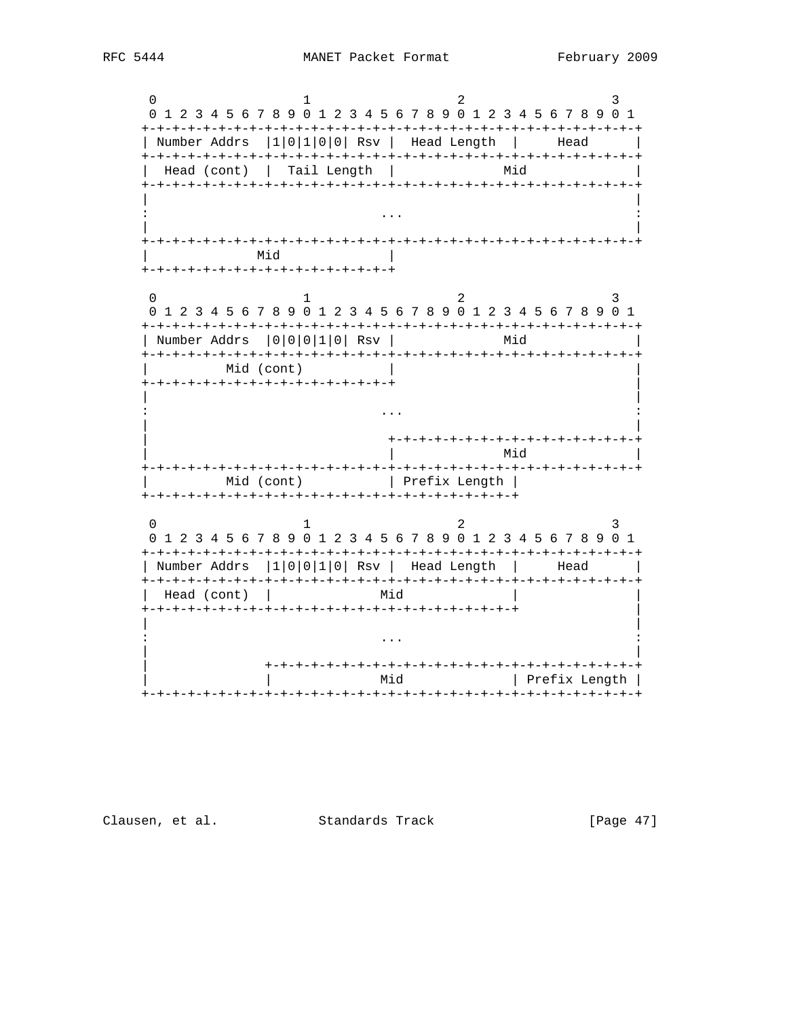$\Omega$  $\mathcal{L}$  $\mathbf{R}$  $\mathbf{1}$ 0 1 2 3 4 5 6 7 8 9 0 1 2 3 4 5 6 7 8 9 0 1 2 3 4 5 6 7 8 9 0 1 | Number Addrs |1|0|1|0|0| Rsv | Head Length | Head | Head (cont) | Tail Length | ЫіМ Mid and the set of the set of the set of the set of the set of the set of the set of the set of the set of the +-+-+-+-+-+-+-+-+-+-+-+-+-+-+-+-+  $\cap$  $\mathbf{1}$ 2  $\mathcal{L}$ 0 1 2 3 4 5 6 7 8 9 0 1 2 3 4 5 6 7 8 9 0 1 2 3 4 5 6 7 8 9 0 1 | Number Addrs | 0 | 0 | 0 | 1 | 0 | Rsv | Mid Mid (cont) +-+-+-+-+-+-+-+-+-+-+-+-+-+-+-+-+  $\sim$   $\sim$   $\sim$ +-+-+-+-+-+-+-+-+-+-+-+-+-+-+-+-+-| Mid -+-+-+-+-+-+-+-+-+-Mid (cont) | Prefix Length |  $\cap$  $\overline{2}$  $\overline{1}$ 3 0 1 2 3 4 5 6 7 8 9 0 1 2 3 4 5 6 7 8 9 0 1 2 3 4 5 6 7 8 9 0 1  $\sim$  1 | Number Addrs |1|0|0|1|0| Rsv | Head Length | Head Head (cont) | ЫіМ | Mid | Prefix Length | 

Clausen, et al. Standards Track

 $[Page 47]$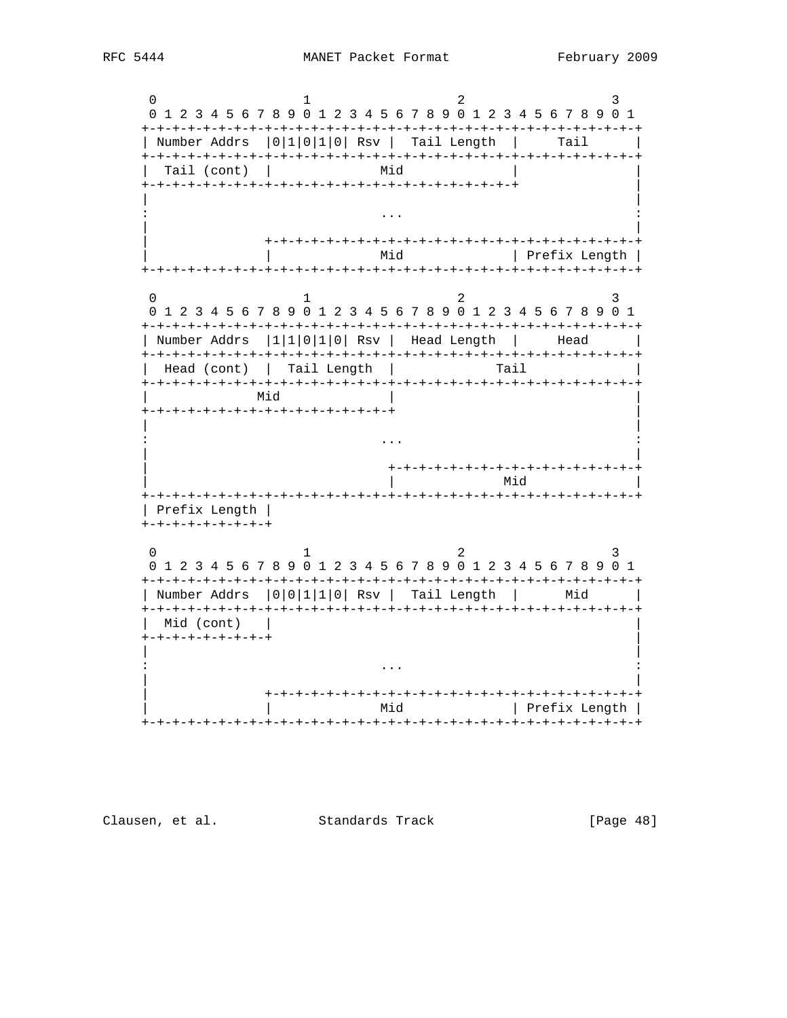$\Omega$  $\mathcal{L}$  $\mathbf{R}$  $\mathbf{1}$ 0 1 2 3 4 5 6 7 8 9 0 1 2 3 4 5 6 7 8 9 0 1 2 3 4 5 6 7 8 9 0 1 | Number Addrs | 0 | 1 | 0 | 1 | 0 | 0 | Rsv | Tail Length | Tail | Tail (cont) | Ытм | Mid | Prefix Length |  $\Omega$  $\overline{2}$  $\mathbf{1}$ 0 1 2 3 4 5 6 7 8 9 0 1 2 3 4 5 6 7 8 9 0 1 2 3 4 5 6 7 8 9 0 1 | Number Addrs |1|1|0|1|0| Rsv | Head Length | Head | Head (cont) | Tail Length | Tail Mid +-+-+-+-+-+-+-+-+-+-+-+-+-+-+-+-+  $\ddots$ -+-+-+-+-+-+-+-+-+-+-+-+-+-+ | Mid | Prefix Length |  $+ - + - + - + - + - + - + - +$  $\overline{a}$  $\Omega$  $1$  $\mathcal{R}$ 0 1 2 3 4 5 6 7 8 9 0 1 2 3 4 5 6 7 8 9 0 1 2 3 4 5 6 7 8 9 0 1 | Number Addrs | 0 | 0 | 1 | 1 | 0 | Rsv | Tail Length | Mid  $\sim$ Mid (cont) +-+-+-+-+-+-+-+-+  $\sim$   $\sim$   $\sim$ | Mid | Prefix Length | 

Clausen, et al. Standards Track

 $[Page 48]$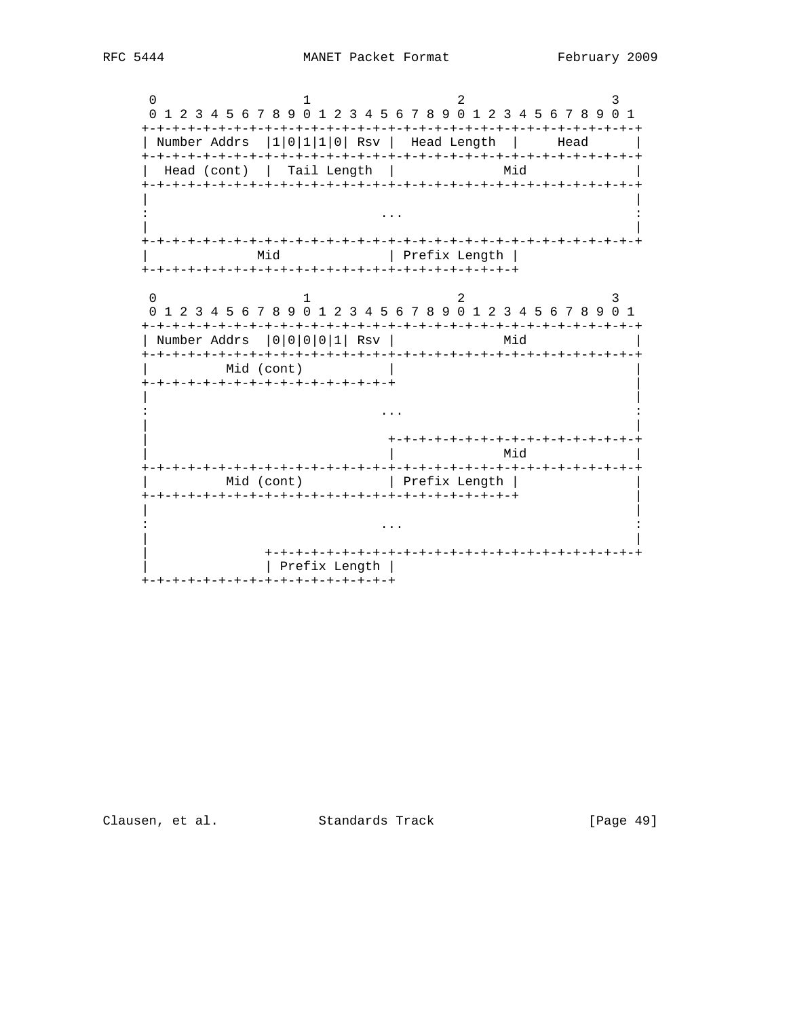$\mathbf{0}$  $\mathcal{L}$  $\mathcal{R}$  $\mathbf{1}$ 0 1 2 3 4 5 6 7 8 9 0 1 2 3 4 5 6 7 8 9 0 1 2 3 4 5 6 7 8 9 0 1 | Number Addrs |1|0|1|1|0| Rsv | Head Length | Head | Head (cont) | Tail Length | ЫіМ  $\cdot$   $\cdot$   $\cdot$ Mid | Prefix Length |  $\cap$  $\mathbf{1}$  $\overline{2}$  $\mathbf{3}$ 0 1 2 3 4 5 6 7 8 9 0 1 2 3 4 5 6 7 8 9 0 1 2 3 4 5 6 7 8 9 0 1 | Number Addrs | 0 | 0 | 0 | 0 | 1 | Rsv | Mid Mid (cont) +-+-+-+-+-+-+-+-+-+-+-+-+-+-+-+-+  $\sim$   $\sim$   $\sim$ +-+-+-+-+-+-+-+-+-+-+-+-+-+-+-+-+ Mid +-+-+-+-+-+-+-+-+-+-+-+-+-+-+-Mid (cont) | Prefix Length |  $\ddots$ Prefix Length | +-+-+-+-+-+-+-+-+-+-+-+-+-+-+-+-+

Clausen, et al. Standards Track

[Page 49]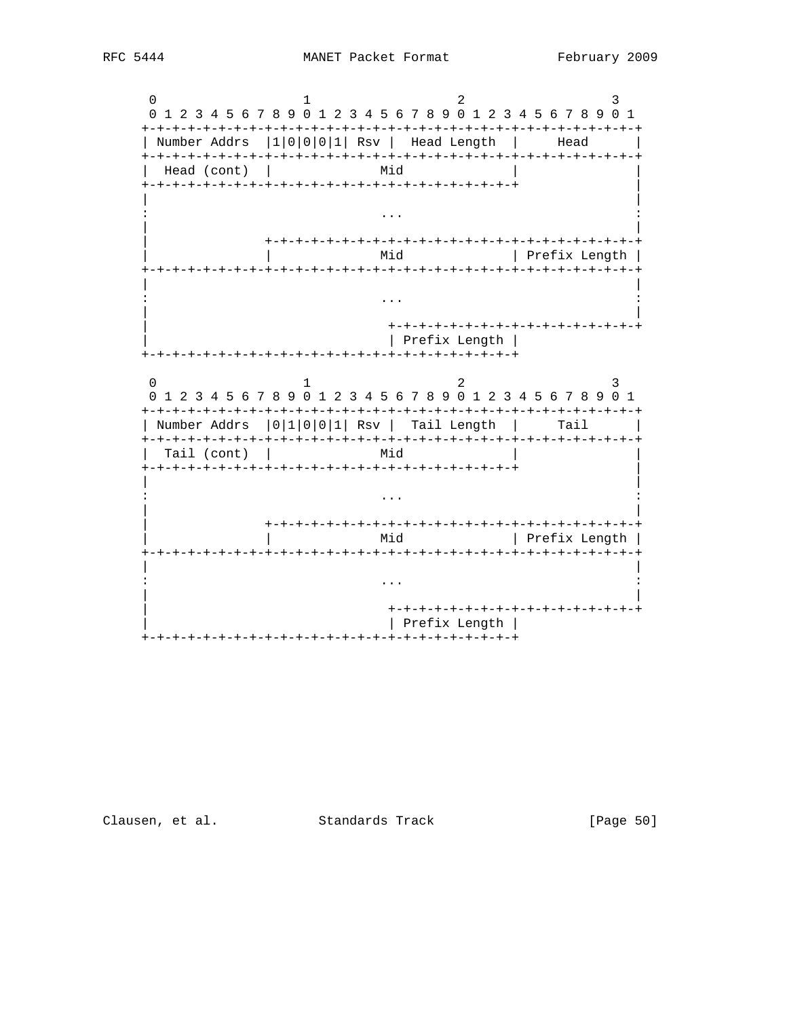

[Page 50]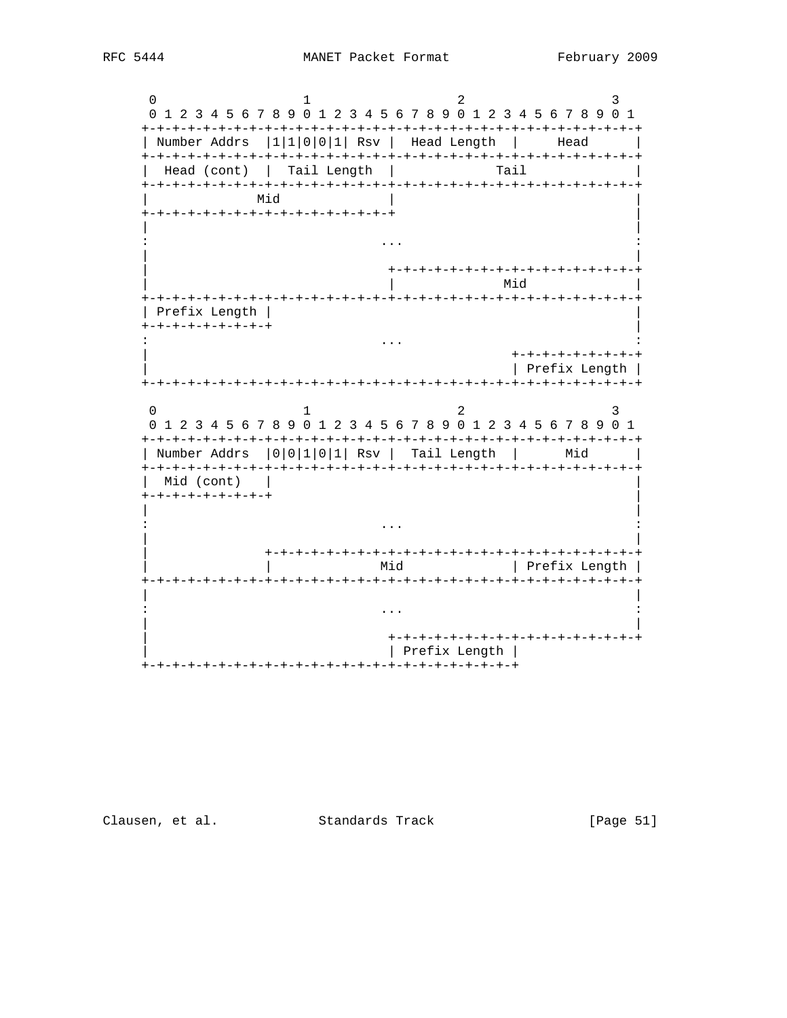$\overline{0}$  $\mathcal{L}$  $\mathbf{R}$  $\mathbf{1}$ 0 1 2 3 4 5 6 7 8 9 0 1 2 3 4 5 6 7 8 9 0 1 2 3 4 5 6 7 8 9 0 1 | Number Addrs |1|1|0|0|1| Rsv | Head Length | Head  $\sim$ Head (cont) | Tail Length | Tail Mid +-+-+-+-+-+-+-+-+-+-+-+-+-+-+-+-+ | Mid Prefix Length | +-+-+-+-+-+-+-+-+  $\sim 100$ +-+-+-+-+-+-+-+-+ Prefix Length |  $\Omega$ 2  $\mathbf{1}$ 3 0 1 2 3 4 5 6 7 8 9 0 1 2 3 4 5 6 7 8 9 0 1 2 3 4 5 6 7 8 9 0 1 | Number Addrs | 0 | 0 | 1 | 0 | 1 | 0 | 1 | 0 | 1 | 0 | 1 | 0 | 1 | 0 | 1 | 0 | 1 | 0 | 1 | 0 | 1 | 0 | 1 | 0 Mid (cont) |  $+ - + - + - + - + - + - + - +$  $\ddots$ Mid | Prefix Length | +-+-+-+-+-+-+-+-+-+-+-+-+-+-+-+-+ | Prefix Length | 

Clausen, et al. Standards Track

[Page 51]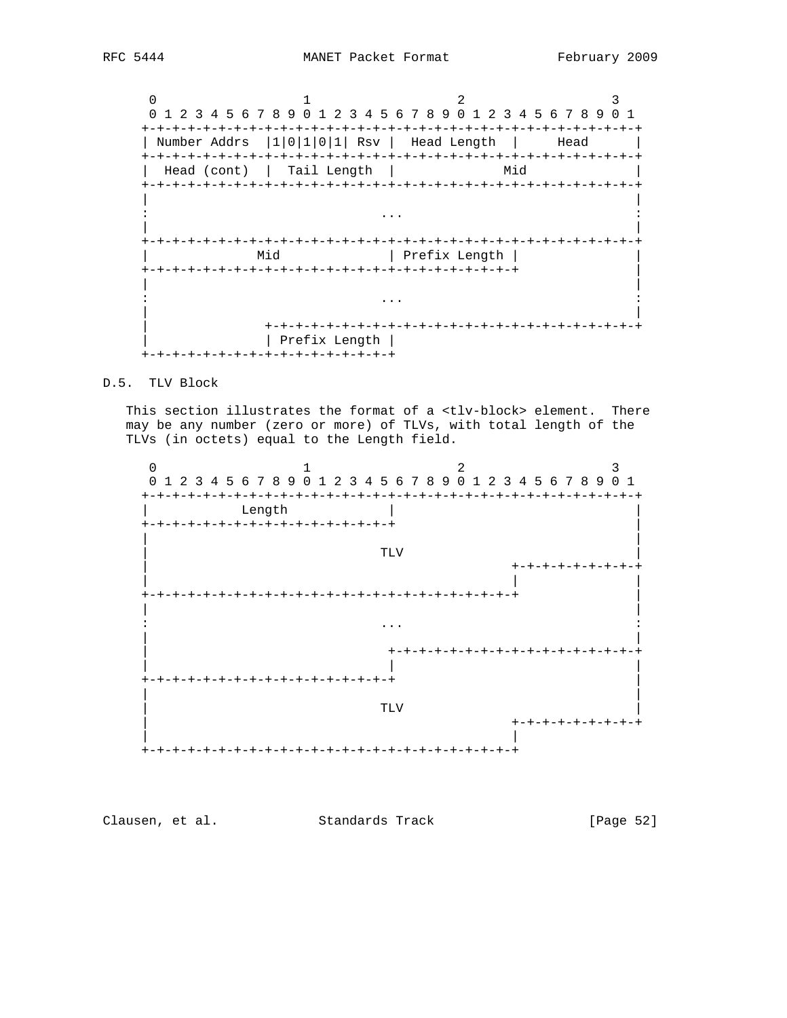0  $1$   $2$   $3$  0 1 2 3 4 5 6 7 8 9 0 1 2 3 4 5 6 7 8 9 0 1 2 3 4 5 6 7 8 9 0 1 +-+-+-+-+-+-+-+-+-+-+-+-+-+-+-+-+-+-+-+-+-+-+-+-+-+-+-+-+-+-+-+-+ | Number Addrs |1|0|1|0|1| Rsv | Head Length | Head | +-+-+-+-+-+-+-+-+-+-+-+-+-+-+-+-+-+-+-+-+-+-+-+-+-+-+-+-+-+-+-+-+ Head (cont) | Tail Length | Mid +-+-+-+-+-+-+-+-+-+-+-+-+-+-+-+-+-+-+-+-+-+-+-+-+-+-+-+-+-+-+-+-+ | | : ... : | | +-+-+-+-+-+-+-+-+-+-+-+-+-+-+-+-+-+-+-+-+-+-+-+-+-+-+-+-+-+-+-+-+ | Mid | Prefix Length | | +-+-+-+-+-+-+-+-+-+-+-+-+-+-+-+-+-+-+-+-+-+-+-+-+ | | | : ... : | | | +-+-+-+-+-+-+-+-+-+-+-+-+-+-+-+-+-+-+-+-+-+-+-+-+ | | Prefix Length | +-+-+-+-+-+-+-+-+-+-+-+-+-+-+-+-+

# D.5. TLV Block

This section illustrates the format of a <tlv-block> element. There may be any number (zero or more) of TLVs, with total length of the TLVs (in octets) equal to the Length field.

 $0$  and  $1$  and  $2$  3 0 1 2 3 4 5 6 7 8 9 0 1 2 3 4 5 6 7 8 9 0 1 2 3 4 5 6 7 8 9 0 1 +-+-+-+-+-+-+-+-+-+-+-+-+-+-+-+-+-+-+-+-+-+-+-+-+-+-+-+-+-+-+-+-+ | Length | | +-+-+-+-+-+-+-+-+-+-+-+-+-+-+-+-+ | | | | TLV | | +-+-+-+-+-+-+-+-+ | | | +-+-+-+-+-+-+-+-+-+-+-+-+-+-+-+-+-+-+-+-+-+-+-+-+ | | | : ... : | | | +-+-+-+-+-+-+-+-+-+-+-+-+-+-+-+-+ | | | +-+-+-+-+-+-+-+-+-+-+-+-+-+-+-+-+ | | |  $\|$  is the contract of the contract of the contract of the contract of the contract of the contract of the contract of the contract of the contract of the contract of the contract of the contract of the contract of the c | +-+-+-+-+-+-+-+-+ | | +-+-+-+-+-+-+-+-+-+-+-+-+-+-+-+-+-+-+-+-+-+-+-+-+

Clausen, et al. Standards Track [Page 52]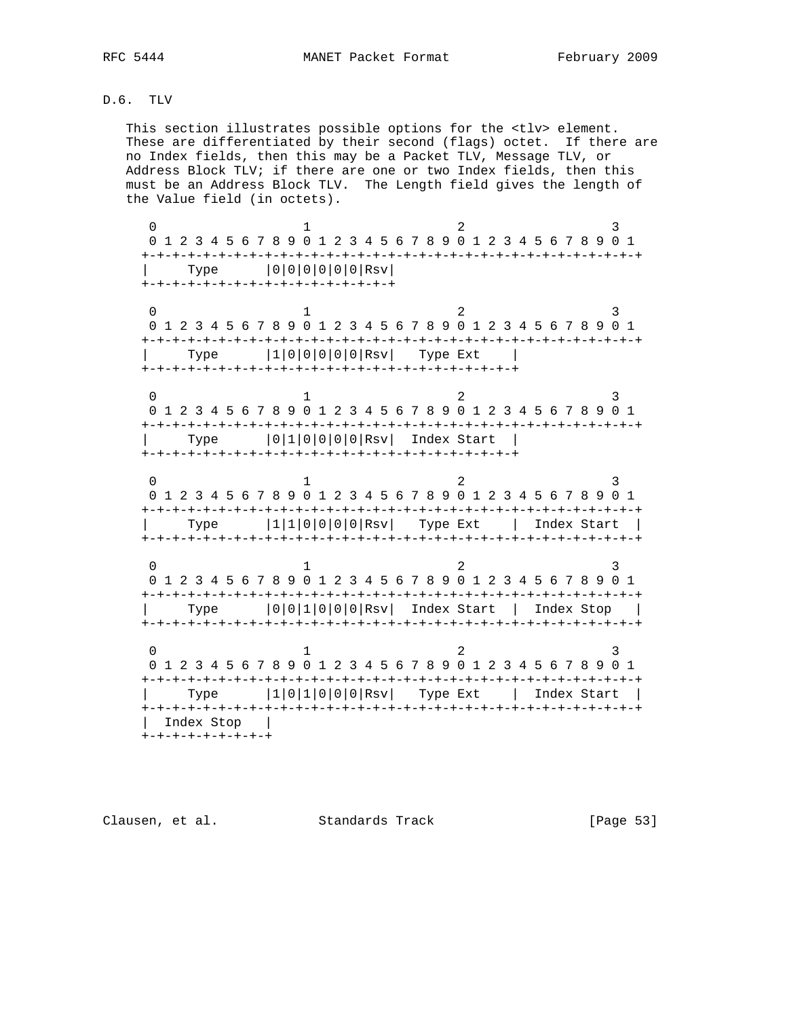# D.6. TLV

 This section illustrates possible options for the <tlv> element. These are differentiated by their second (flags) octet. If there are no Index fields, then this may be a Packet TLV, Message TLV, or Address Block TLV; if there are one or two Index fields, then this must be an Address Block TLV. The Length field gives the length of the Value field (in octets).

0  $1$   $2$   $3$  0 1 2 3 4 5 6 7 8 9 0 1 2 3 4 5 6 7 8 9 0 1 2 3 4 5 6 7 8 9 0 1 +-+-+-+-+-+-+-+-+-+-+-+-+-+-+-+-+-+-+-+-+-+-+-+-+-+-+-+-+-+-+-+-+ | Type |0|0|0|0|0|0|Rsv| +-+-+-+-+-+-+-+-+-+-+-+-+-+-+-+-+ 0  $1$   $2$   $3$  0 1 2 3 4 5 6 7 8 9 0 1 2 3 4 5 6 7 8 9 0 1 2 3 4 5 6 7 8 9 0 1 +-+-+-+-+-+-+-+-+-+-+-+-+-+-+-+-+-+-+-+-+-+-+-+-+-+-+-+-+-+-+-+-+ | Type |1|0|0|0|0|0|Rsv| Type Ext | +-+-+-+-+-+-+-+-+-+-+-+-+-+-+-+-+-+-+-+-+-+-+-+-+ 0  $1$   $2$   $3$  0 1 2 3 4 5 6 7 8 9 0 1 2 3 4 5 6 7 8 9 0 1 2 3 4 5 6 7 8 9 0 1 +-+-+-+-+-+-+-+-+-+-+-+-+-+-+-+-+-+-+-+-+-+-+-+-+-+-+-+-+-+-+-+-+ | Type |0|1|0|0|0|0|Rsv| Index Start | +-+-+-+-+-+-+-+-+-+-+-+-+-+-+-+-+-+-+-+-+-+-+-+-+ 0  $1$   $2$   $3$  0 1 2 3 4 5 6 7 8 9 0 1 2 3 4 5 6 7 8 9 0 1 2 3 4 5 6 7 8 9 0 1 +-+-+-+-+-+-+-+-+-+-+-+-+-+-+-+-+-+-+-+-+-+-+-+-+-+-+-+-+-+-+-+-+ | Type |1|1|0|0|0|0|Rsv| Type Ext | Index Start | +-+-+-+-+-+-+-+-+-+-+-+-+-+-+-+-+-+-+-+-+-+-+-+-+-+-+-+-+-+-+-+-+ 0  $1$   $2$   $3$  0 1 2 3 4 5 6 7 8 9 0 1 2 3 4 5 6 7 8 9 0 1 2 3 4 5 6 7 8 9 0 1 +-+-+-+-+-+-+-+-+-+-+-+-+-+-+-+-+-+-+-+-+-+-+-+-+-+-+-+-+-+-+-+-+ | Type |0|0|1|0|0|0|Rsv| Index Start | Index Stop | +-+-+-+-+-+-+-+-+-+-+-+-+-+-+-+-+-+-+-+-+-+-+-+-+-+-+-+-+-+-+-+-+ 0  $1$   $2$   $3$  0 1 2 3 4 5 6 7 8 9 0 1 2 3 4 5 6 7 8 9 0 1 2 3 4 5 6 7 8 9 0 1 +-+-+-+-+-+-+-+-+-+-+-+-+-+-+-+-+-+-+-+-+-+-+-+-+-+-+-+-+-+-+-+-+ | Type |1|0|1|0|0|0|Rsv| Type Ext | Index Start |

 +-+-+-+-+-+-+-+-+-+-+-+-+-+-+-+-+-+-+-+-+-+-+-+-+-+-+-+-+-+-+-+-+ | Index Stop | +-+-+-+-+-+-+-+-+

Clausen, et al. Standards Track [Page 53]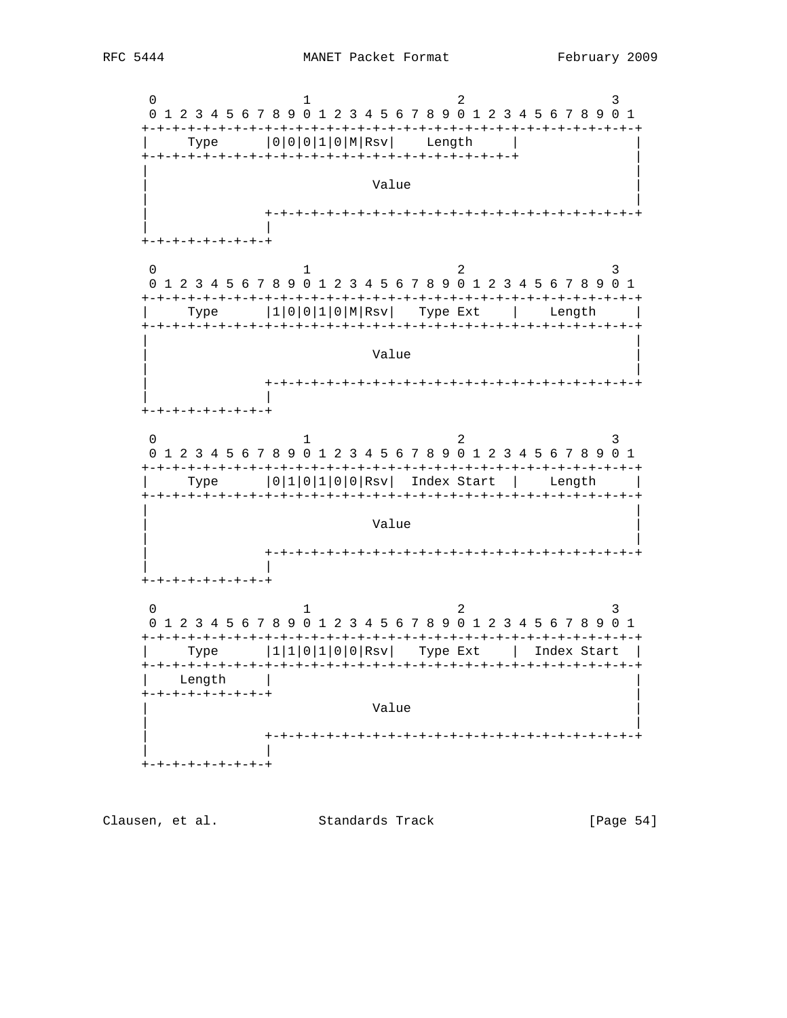

 $[Page 54]$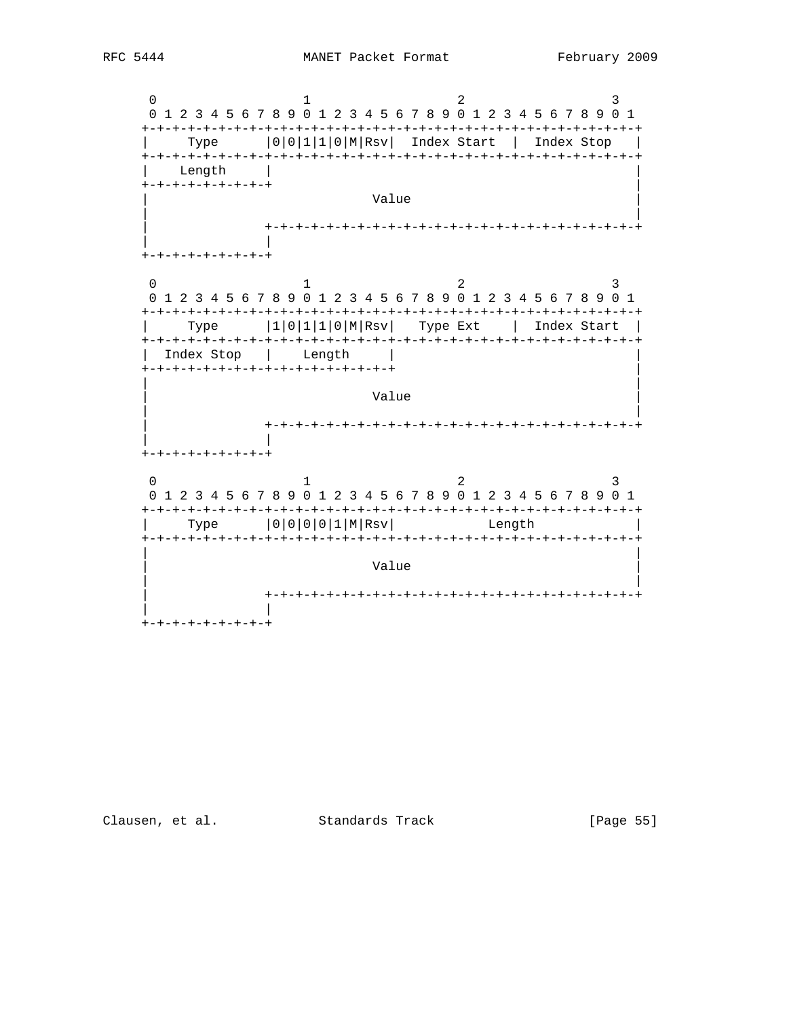Clausen, et al. Standards Track

[Page 55]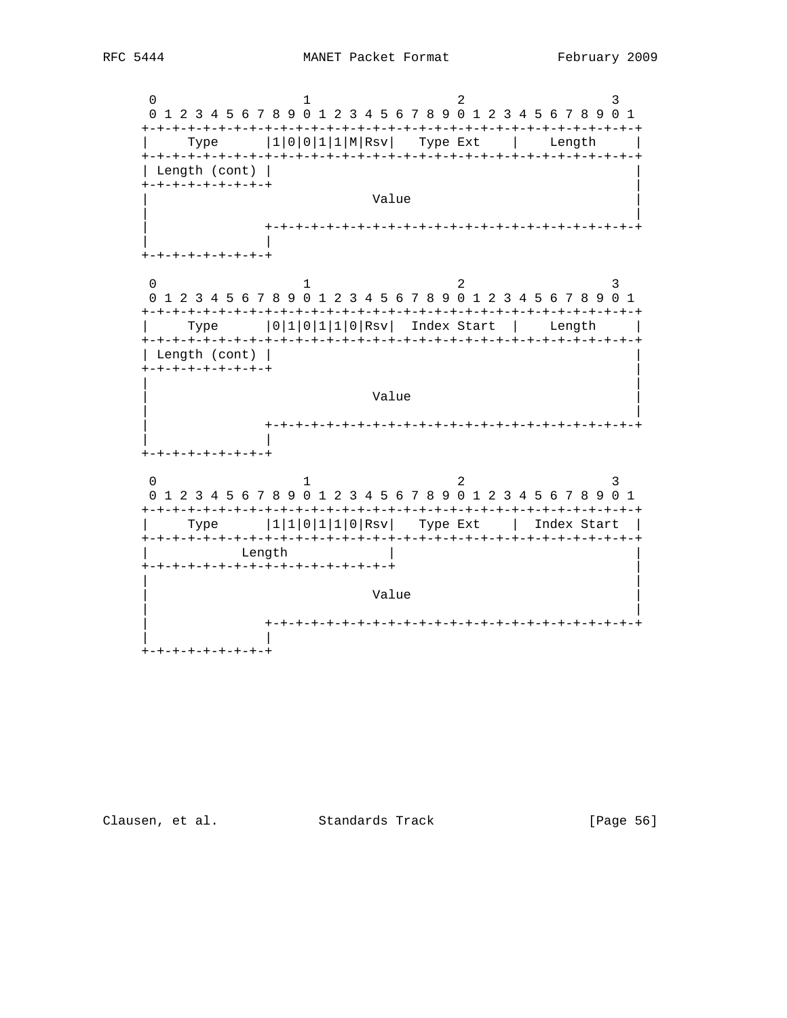

[Page 56]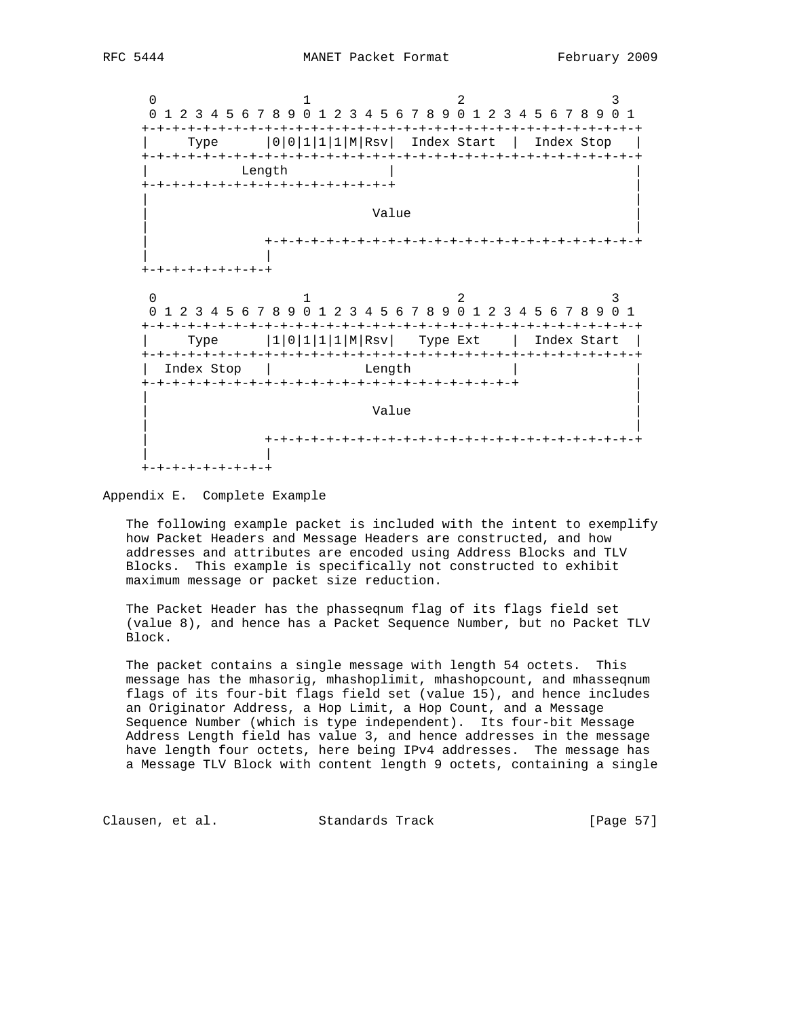

#### Appendix E. Complete Example

 The following example packet is included with the intent to exemplify how Packet Headers and Message Headers are constructed, and how addresses and attributes are encoded using Address Blocks and TLV Blocks. This example is specifically not constructed to exhibit maximum message or packet size reduction.

 The Packet Header has the phasseqnum flag of its flags field set (value 8), and hence has a Packet Sequence Number, but no Packet TLV Block.

 The packet contains a single message with length 54 octets. This message has the mhasorig, mhashoplimit, mhashopcount, and mhasseqnum flags of its four-bit flags field set (value 15), and hence includes an Originator Address, a Hop Limit, a Hop Count, and a Message Sequence Number (which is type independent). Its four-bit Message Address Length field has value 3, and hence addresses in the message have length four octets, here being IPv4 addresses. The message has a Message TLV Block with content length 9 octets, containing a single

Clausen, et al. Standards Track [Page 57]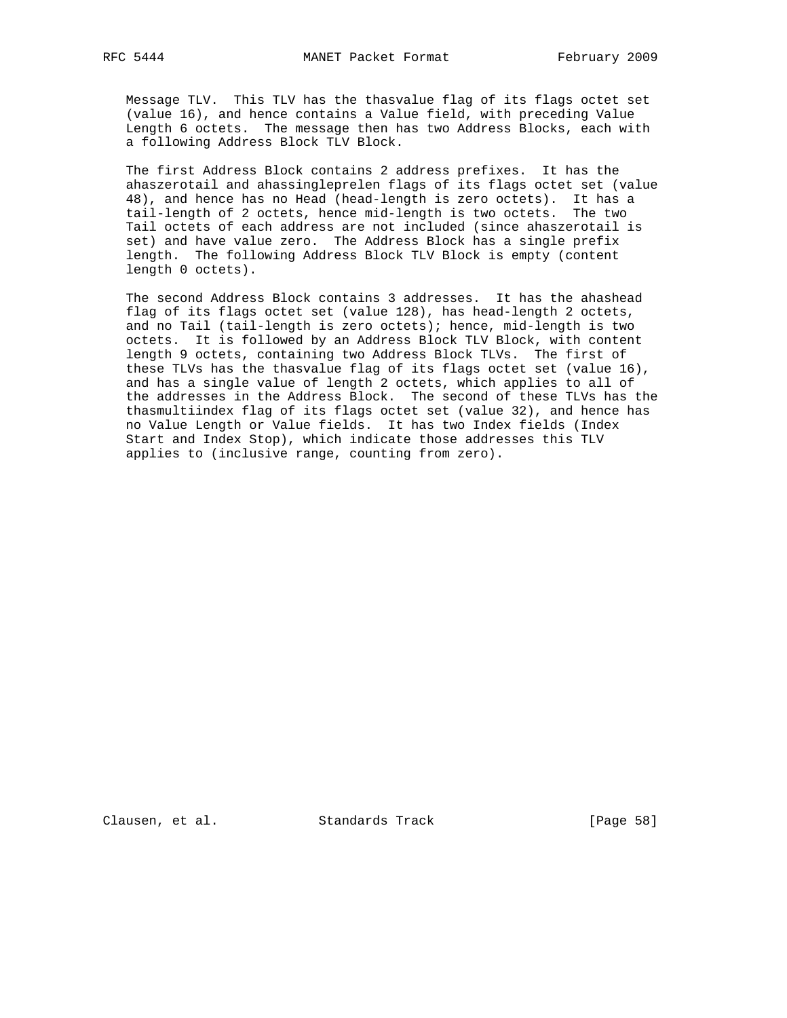Message TLV. This TLV has the thasvalue flag of its flags octet set (value 16), and hence contains a Value field, with preceding Value Length 6 octets. The message then has two Address Blocks, each with a following Address Block TLV Block.

 The first Address Block contains 2 address prefixes. It has the ahaszerotail and ahassingleprelen flags of its flags octet set (value 48), and hence has no Head (head-length is zero octets). It has a tail-length of 2 octets, hence mid-length is two octets. The two Tail octets of each address are not included (since ahaszerotail is set) and have value zero. The Address Block has a single prefix length. The following Address Block TLV Block is empty (content length 0 octets).

 The second Address Block contains 3 addresses. It has the ahashead flag of its flags octet set (value 128), has head-length 2 octets, and no Tail (tail-length is zero octets); hence, mid-length is two octets. It is followed by an Address Block TLV Block, with content length 9 octets, containing two Address Block TLVs. The first of these TLVs has the thasvalue flag of its flags octet set (value 16), and has a single value of length 2 octets, which applies to all of the addresses in the Address Block. The second of these TLVs has the thasmultiindex flag of its flags octet set (value 32), and hence has no Value Length or Value fields. It has two Index fields (Index Start and Index Stop), which indicate those addresses this TLV applies to (inclusive range, counting from zero).

Clausen, et al. Standards Track [Page 58]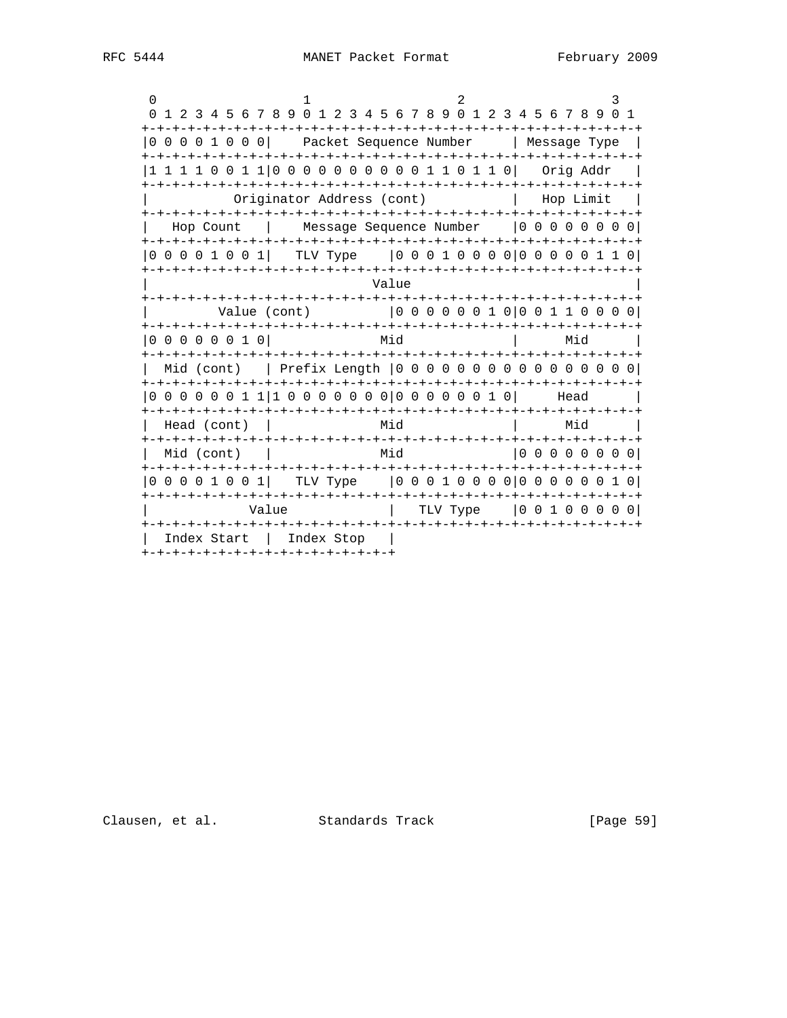| $\Omega$                                         |                                                                                                  |       |          |  |                                        | 3 |
|--------------------------------------------------|--------------------------------------------------------------------------------------------------|-------|----------|--|----------------------------------------|---|
| +-+-+-+-+-+-+-+-+-+-+-+-                         | 0 1 2 3 4 5 6 7 8 9 0 1 2 3 4 5 6 7 8 9 0 1 2 3 4 5 6 7 8 9 0 1<br>-+-+-+-+-+-+-+-+-+-+-+-+-+-+- |       |          |  |                                        |   |
| 0 0 0 0 1 0 0 0 1                                | Packet Sequence Number<br>-+-+-+-+-+-+-+-+-+-+-+-+-+-                                            |       |          |  | Message Type<br>-+-+-+-+-+-+-+-+-+-+-+ |   |
|                                                  |                                                                                                  |       |          |  | Orig Addr                              |   |
|                                                  | Originator Address (cont)                                                                        |       |          |  | Hop Limit                              |   |
| Hop Count                                        | Message Sequence Number                                                                          |       |          |  |                                        |   |
| 0 0 0 0 1 0 0 1                                  | TLV Type                                                                                         |       |          |  | 00010000 00000110                      |   |
| - + – + – + – + – + – +                          |                                                                                                  | Value |          |  |                                        |   |
| Value (cont)                                     |                                                                                                  |       |          |  | 00000010001100000                      |   |
| 0 0 0 0 0 0 1 0 1                                |                                                                                                  | Mid   |          |  | Mid                                    |   |
| -+-+-+-+-+-+-+-+<br>Mid (cont)                   |                                                                                                  |       |          |  |                                        |   |
|                                                  |                                                                                                  |       |          |  |                                        |   |
|                                                  |                                                                                                  |       |          |  | Head                                   |   |
| Head (cont)                                      |                                                                                                  | Mid   |          |  | Mid                                    |   |
| Mid (cont)                                       |                                                                                                  | Mid   |          |  | 0 0 0 0 0 0 0 0                        |   |
| -+-+-+-+-+-+-+<br>0 0 0 0 1 0 0 1                | TLV Type                                                                                         |       |          |  | 00010000 00000010                      |   |
|                                                  | Value                                                                                            |       | TLV Type |  | 100100001                              |   |
| Index Start<br>+-+-+-+-+-+-+-+-+-+-+-+-+-+-+-+-+ | Index Stop                                                                                       |       |          |  |                                        |   |

Clausen, et al. Standards Track [Page 59]